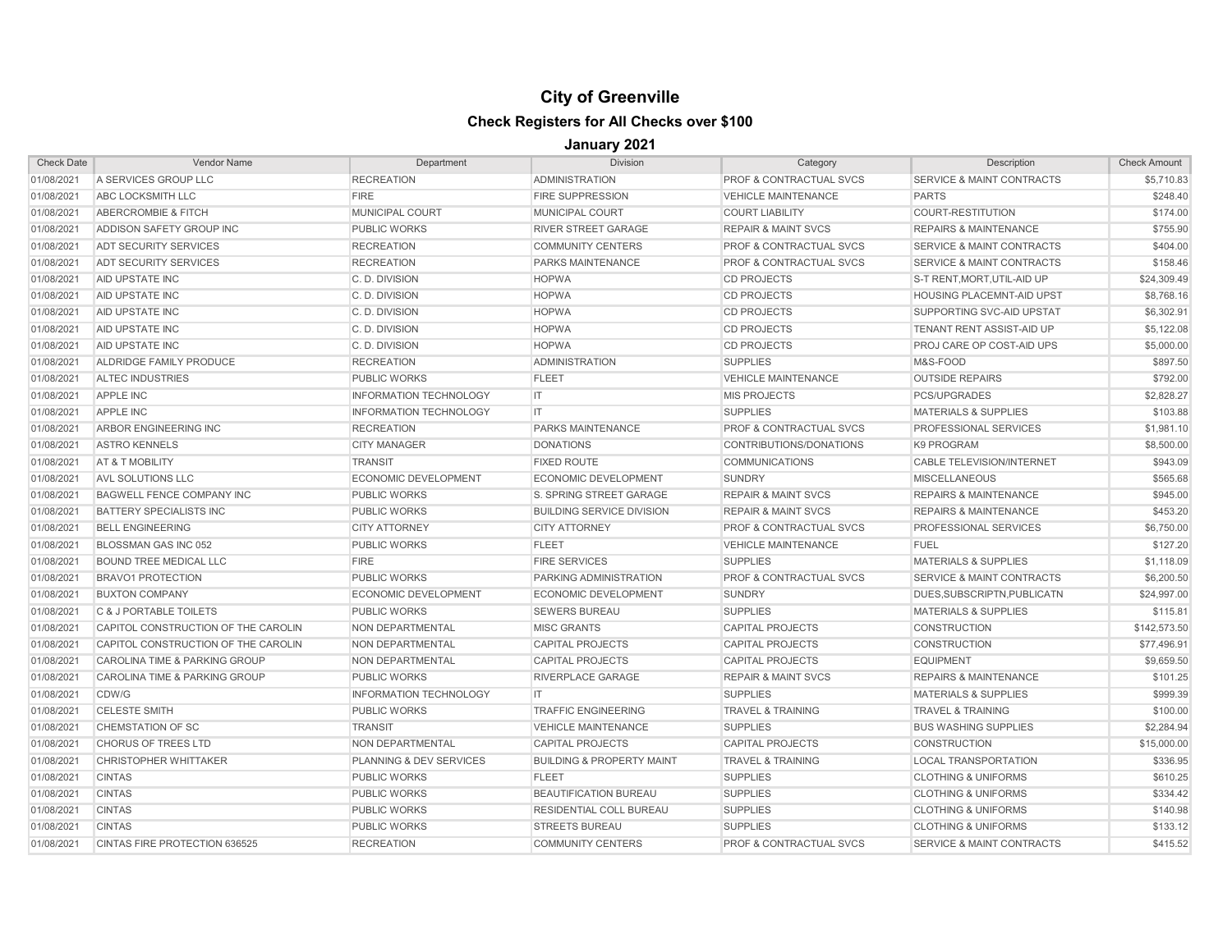| <b>Check Date</b> | <b>Vendor Name</b>                  | Department                    | <b>Division</b>                      | Category                           | Description                          | <b>Check Amount</b> |
|-------------------|-------------------------------------|-------------------------------|--------------------------------------|------------------------------------|--------------------------------------|---------------------|
| 01/08/2021        | A SERVICES GROUP LLC                | <b>RECREATION</b>             | <b>ADMINISTRATION</b>                | <b>PROF &amp; CONTRACTUAL SVCS</b> | <b>SERVICE &amp; MAINT CONTRACTS</b> | \$5,710.83          |
| 01/08/2021        | ABC LOCKSMITH LLC                   | <b>FIRE</b>                   | <b>FIRE SUPPRESSION</b>              | <b>VEHICLE MAINTENANCE</b>         | <b>PARTS</b>                         | \$248.40            |
| 01/08/2021        | ABERCROMBIE & FITCH                 | <b>MUNICIPAL COURT</b>        | <b>MUNICIPAL COURT</b>               | <b>COURT LIABILITY</b>             | <b>COURT-RESTITUTION</b>             | \$174.00            |
| 01/08/2021        | ADDISON SAFETY GROUP INC            | <b>PUBLIC WORKS</b>           | <b>RIVER STREET GARAGE</b>           | <b>REPAIR &amp; MAINT SVCS</b>     | <b>REPAIRS &amp; MAINTENANCE</b>     | \$755.90            |
| 01/08/2021        | <b>ADT SECURITY SERVICES</b>        | <b>RECREATION</b>             | <b>COMMUNITY CENTERS</b>             | PROF & CONTRACTUAL SVCS            | <b>SERVICE &amp; MAINT CONTRACTS</b> | \$404.00            |
| 01/08/2021        | <b>ADT SECURITY SERVICES</b>        | <b>RECREATION</b>             | PARKS MAINTENANCE                    | <b>PROF &amp; CONTRACTUAL SVCS</b> | <b>SERVICE &amp; MAINT CONTRACTS</b> | \$158.46            |
| 01/08/2021        | AID UPSTATE INC                     | C.D. DIVISION                 | <b>HOPWA</b>                         | <b>CD PROJECTS</b>                 | S-T RENT, MORT, UTIL-AID UP          | \$24,309.49         |
| 01/08/2021        | AID UPSTATE INC                     | C.D. DIVISION                 | <b>HOPWA</b>                         | <b>CD PROJECTS</b>                 | <b>HOUSING PLACEMNT-AID UPST</b>     | \$8,768.16          |
| 01/08/2021        | AID UPSTATE INC                     | C.D. DIVISION                 | <b>HOPWA</b>                         | <b>CD PROJECTS</b>                 | SUPPORTING SVC-AID UPSTAT            | \$6,302.91          |
| 01/08/2021        | <b>AID UPSTATE INC</b>              | C.D. DIVISION                 | <b>HOPWA</b>                         | <b>CD PROJECTS</b>                 | TENANT RENT ASSIST-AID UP            | \$5,122.08          |
| 01/08/2021        | <b>AID UPSTATE INC</b>              | C.D. DIVISION                 | <b>HOPWA</b>                         | <b>CD PROJECTS</b>                 | PROJ CARE OP COST-AID UPS            | \$5,000.00          |
| 01/08/2021        | ALDRIDGE FAMILY PRODUCE             | <b>RECREATION</b>             | <b>ADMINISTRATION</b>                | <b>SUPPLIES</b>                    | M&S-FOOD                             | \$897.50            |
| 01/08/2021        | <b>ALTEC INDUSTRIES</b>             | PUBLIC WORKS                  | <b>FLEET</b>                         | <b>VEHICLE MAINTENANCE</b>         | <b>OUTSIDE REPAIRS</b>               | \$792.00            |
| 01/08/2021        | <b>APPLE INC</b>                    | <b>INFORMATION TECHNOLOGY</b> | IT.                                  | <b>MIS PROJECTS</b>                | PCS/UPGRADES                         | \$2,828.27          |
| 01/08/2021        | <b>APPLE INC</b>                    | <b>INFORMATION TECHNOLOGY</b> | IT.                                  | <b>SUPPLIES</b>                    | <b>MATERIALS &amp; SUPPLIES</b>      | \$103.88            |
| 01/08/2021        | ARBOR ENGINEERING INC               | <b>RECREATION</b>             | <b>PARKS MAINTENANCE</b>             | PROF & CONTRACTUAL SVCS            | <b>PROFESSIONAL SERVICES</b>         | \$1,981.10          |
| 01/08/2021        | <b>ASTRO KENNELS</b>                | <b>CITY MANAGER</b>           | <b>DONATIONS</b>                     | CONTRIBUTIONS/DONATIONS            | <b>K9 PROGRAM</b>                    | \$8,500.00          |
| 01/08/2021        | AT & T MOBILITY                     | <b>TRANSIT</b>                | <b>FIXED ROUTE</b>                   | <b>COMMUNICATIONS</b>              | <b>CABLE TELEVISION/INTERNET</b>     | \$943.09            |
| 01/08/2021        | <b>AVL SOLUTIONS LLC</b>            | <b>ECONOMIC DEVELOPMENT</b>   | <b>ECONOMIC DEVELOPMENT</b>          | <b>SUNDRY</b>                      | <b>MISCELLANEOUS</b>                 | \$565.68            |
| 01/08/2021        | <b>BAGWELL FENCE COMPANY INC</b>    | <b>PUBLIC WORKS</b>           | S. SPRING STREET GARAGE              | <b>REPAIR &amp; MAINT SVCS</b>     | <b>REPAIRS &amp; MAINTENANCE</b>     | \$945.00            |
| 01/08/2021        | <b>BATTERY SPECIALISTS INC</b>      | <b>PUBLIC WORKS</b>           | <b>BUILDING SERVICE DIVISION</b>     | <b>REPAIR &amp; MAINT SVCS</b>     | <b>REPAIRS &amp; MAINTENANCE</b>     | \$453.20            |
| 01/08/2021        | <b>BELL ENGINEERING</b>             | <b>CITY ATTORNEY</b>          | <b>CITY ATTORNEY</b>                 | <b>PROF &amp; CONTRACTUAL SVCS</b> | PROFESSIONAL SERVICES                | \$6,750.00          |
| 01/08/2021        | BLOSSMAN GAS INC 052                | <b>PUBLIC WORKS</b>           | <b>FLEET</b>                         | <b>VEHICLE MAINTENANCE</b>         | <b>FUEL</b>                          | \$127.20            |
| 01/08/2021        | <b>BOUND TREE MEDICAL LLC</b>       | <b>FIRE</b>                   | <b>FIRE SERVICES</b>                 | <b>SUPPLIES</b>                    | <b>MATERIALS &amp; SUPPLIES</b>      | \$1,118.09          |
| 01/08/2021        | <b>BRAVO1 PROTECTION</b>            | <b>PUBLIC WORKS</b>           | PARKING ADMINISTRATION               | PROF & CONTRACTUAL SVCS            | <b>SERVICE &amp; MAINT CONTRACTS</b> | \$6,200.50          |
| 01/08/2021        | <b>BUXTON COMPANY</b>               | <b>ECONOMIC DEVELOPMENT</b>   | <b>ECONOMIC DEVELOPMENT</b>          | <b>SUNDRY</b>                      | DUES, SUBSCRIPTN, PUBLICATN          | \$24,997.00         |
| 01/08/2021        | <b>C &amp; J PORTABLE TOILETS</b>   | <b>PUBLIC WORKS</b>           | <b>SEWERS BUREAU</b>                 | <b>SUPPLIES</b>                    | <b>MATERIALS &amp; SUPPLIES</b>      | \$115.81            |
| 01/08/2021        | CAPITOL CONSTRUCTION OF THE CAROLIN | NON DEPARTMENTAL              | <b>MISC GRANTS</b>                   | <b>CAPITAL PROJECTS</b>            | <b>CONSTRUCTION</b>                  | \$142,573.50        |
| 01/08/2021        | CAPITOL CONSTRUCTION OF THE CAROLIN | NON DEPARTMENTAL              | <b>CAPITAL PROJECTS</b>              | <b>CAPITAL PROJECTS</b>            | <b>CONSTRUCTION</b>                  | \$77,496.91         |
| 01/08/2021        | CAROLINA TIME & PARKING GROUP       | NON DEPARTMENTAL              | <b>CAPITAL PROJECTS</b>              | <b>CAPITAL PROJECTS</b>            | <b>EQUIPMENT</b>                     | \$9,659.50          |
| 01/08/2021        | CAROLINA TIME & PARKING GROUP       | <b>PUBLIC WORKS</b>           | RIVERPLACE GARAGE                    | <b>REPAIR &amp; MAINT SVCS</b>     | <b>REPAIRS &amp; MAINTENANCE</b>     | \$101.25            |
| 01/08/2021        | CDW/G                               | <b>INFORMATION TECHNOLOGY</b> | IT                                   | <b>SUPPLIES</b>                    | <b>MATERIALS &amp; SUPPLIES</b>      | \$999.39            |
| 01/08/2021        | <b>CELESTE SMITH</b>                | <b>PUBLIC WORKS</b>           | <b>TRAFFIC ENGINEERING</b>           | <b>TRAVEL &amp; TRAINING</b>       | <b>TRAVEL &amp; TRAINING</b>         | \$100.00            |
| 01/08/2021        | <b>CHEMSTATION OF SC</b>            | <b>TRANSIT</b>                | <b>VEHICLE MAINTENANCE</b>           | <b>SUPPLIES</b>                    | <b>BUS WASHING SUPPLIES</b>          | \$2,284.94          |
| 01/08/2021        | <b>CHORUS OF TREES LTD</b>          | <b>NON DEPARTMENTAL</b>       | <b>CAPITAL PROJECTS</b>              | <b>CAPITAL PROJECTS</b>            | <b>CONSTRUCTION</b>                  | \$15,000.00         |
| 01/08/2021        | <b>CHRISTOPHER WHITTAKER</b>        | PLANNING & DEV SERVICES       | <b>BUILDING &amp; PROPERTY MAINT</b> | <b>TRAVEL &amp; TRAINING</b>       | <b>LOCAL TRANSPORTATION</b>          | \$336.95            |
| 01/08/2021        | <b>CINTAS</b>                       | <b>PUBLIC WORKS</b>           | <b>FLEET</b>                         | <b>SUPPLIES</b>                    | <b>CLOTHING &amp; UNIFORMS</b>       | \$610.25            |
| 01/08/2021        | <b>CINTAS</b>                       | <b>PUBLIC WORKS</b>           | <b>BEAUTIFICATION BUREAU</b>         | <b>SUPPLIES</b>                    | <b>CLOTHING &amp; UNIFORMS</b>       | \$334.42            |
| 01/08/2021        | <b>CINTAS</b>                       | <b>PUBLIC WORKS</b>           | RESIDENTIAL COLL BUREAU              | <b>SUPPLIES</b>                    | <b>CLOTHING &amp; UNIFORMS</b>       | \$140.98            |
| 01/08/2021        | <b>CINTAS</b>                       | <b>PUBLIC WORKS</b>           | <b>STREETS BUREAU</b>                | <b>SUPPLIES</b>                    | <b>CLOTHING &amp; UNIFORMS</b>       | \$133.12            |
| 01/08/2021        | CINTAS FIRE PROTECTION 636525       | <b>RECREATION</b>             | <b>COMMUNITY CENTERS</b>             | <b>PROF &amp; CONTRACTUAL SVCS</b> | <b>SERVICE &amp; MAINT CONTRACTS</b> | \$415.52            |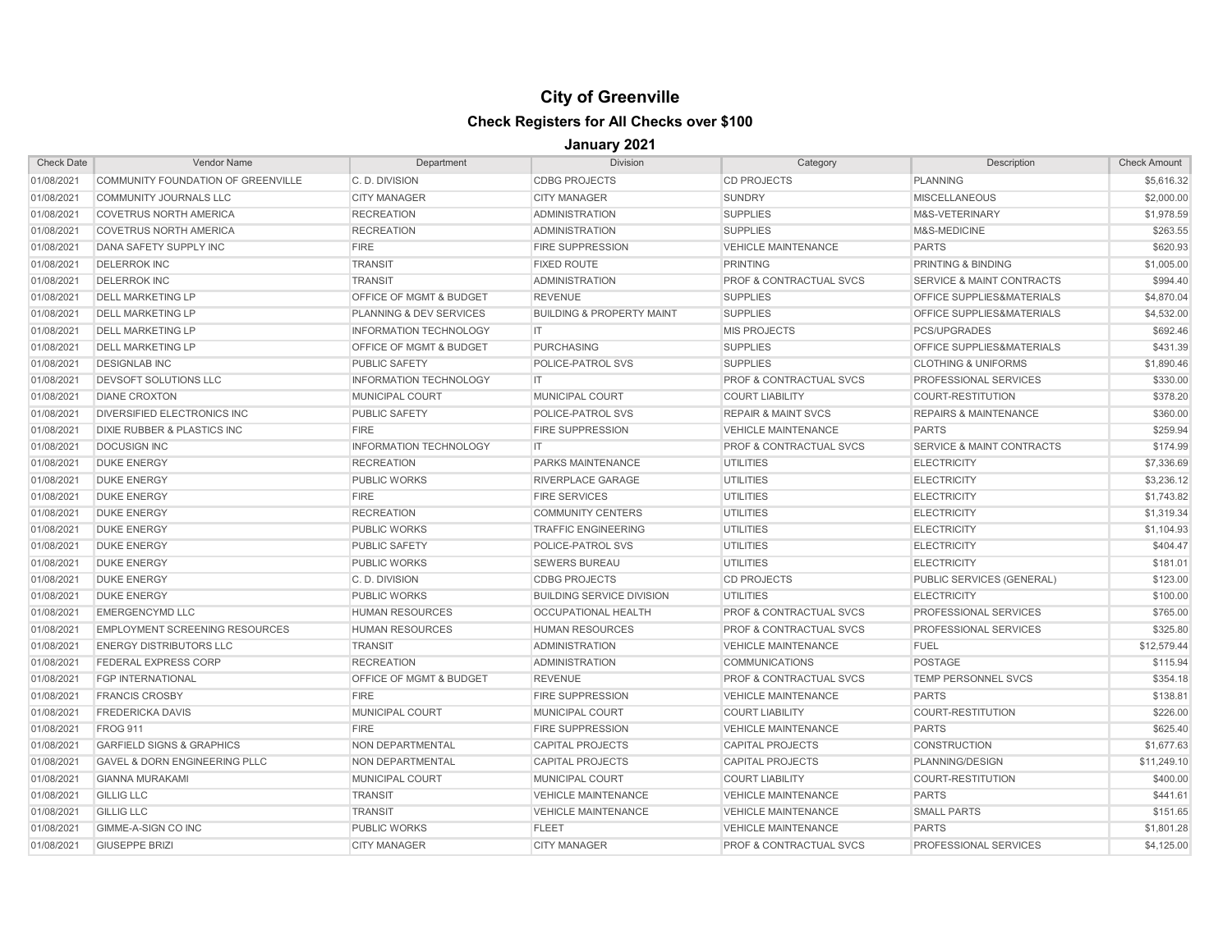| <b>Check Date</b> | <b>Vendor Name</b>                       | Department                         | <b>Division</b>                      | Category                           | Description                          | <b>Check Amount</b> |
|-------------------|------------------------------------------|------------------------------------|--------------------------------------|------------------------------------|--------------------------------------|---------------------|
| 01/08/2021        | COMMUNITY FOUNDATION OF GREENVILLE       | C.D. DIVISION                      | <b>CDBG PROJECTS</b>                 | <b>CD PROJECTS</b>                 | <b>PLANNING</b>                      | \$5,616.32          |
| 01/08/2021        | <b>COMMUNITY JOURNALS LLC</b>            | <b>CITY MANAGER</b>                | <b>CITY MANAGER</b>                  | <b>SUNDRY</b>                      | <b>MISCELLANEOUS</b>                 | \$2,000.00          |
| 01/08/2021        | <b>COVETRUS NORTH AMERICA</b>            | <b>RECREATION</b>                  | <b>ADMINISTRATION</b>                | <b>SUPPLIES</b>                    | M&S-VETERINARY                       | \$1,978.59          |
| 01/08/2021        | <b>COVETRUS NORTH AMERICA</b>            | <b>RECREATION</b>                  | <b>ADMINISTRATION</b>                | <b>SUPPLIES</b>                    | M&S-MEDICINE                         | \$263.55            |
| 01/08/2021        | DANA SAFETY SUPPLY INC                   | <b>FIRE</b>                        | <b>FIRE SUPPRESSION</b>              | <b>VEHICLE MAINTENANCE</b>         | <b>PARTS</b>                         | \$620.93            |
| 01/08/2021        | <b>DELERROK INC</b>                      | <b>TRANSIT</b>                     | <b>FIXED ROUTE</b>                   | <b>PRINTING</b>                    | PRINTING & BINDING                   | \$1,005.00          |
| 01/08/2021        | <b>DELERROK INC</b>                      | <b>TRANSIT</b>                     | <b>ADMINISTRATION</b>                | <b>PROF &amp; CONTRACTUAL SVCS</b> | <b>SERVICE &amp; MAINT CONTRACTS</b> | \$994.40            |
| 01/08/2021        | <b>DELL MARKETING LP</b>                 | <b>OFFICE OF MGMT &amp; BUDGET</b> | <b>REVENUE</b>                       | <b>SUPPLIES</b>                    | <b>OFFICE SUPPLIES&amp;MATERIALS</b> | \$4,870.04          |
| 01/08/2021        | <b>DELL MARKETING LP</b>                 | <b>PLANNING &amp; DEV SERVICES</b> | <b>BUILDING &amp; PROPERTY MAINT</b> | <b>SUPPLIES</b>                    | <b>OFFICE SUPPLIES&amp;MATERIALS</b> | \$4,532.00          |
| 01/08/2021        | <b>DELL MARKETING LP</b>                 | <b>INFORMATION TECHNOLOGY</b>      | IT.                                  | <b>MIS PROJECTS</b>                | <b>PCS/UPGRADES</b>                  | \$692.46            |
| 01/08/2021        | <b>DELL MARKETING LP</b>                 | <b>OFFICE OF MGMT &amp; BUDGET</b> | <b>PURCHASING</b>                    | <b>SUPPLIES</b>                    | <b>OFFICE SUPPLIES&amp;MATERIALS</b> | \$431.39            |
| 01/08/2021        | <b>DESIGNLAB INC</b>                     | <b>PUBLIC SAFETY</b>               | POLICE-PATROL SVS                    | <b>SUPPLIES</b>                    | <b>CLOTHING &amp; UNIFORMS</b>       | \$1,890.46          |
| 01/08/2021        | <b>DEVSOFT SOLUTIONS LLC</b>             | <b>INFORMATION TECHNOLOGY</b>      | IT                                   | PROF & CONTRACTUAL SVCS            | <b>PROFESSIONAL SERVICES</b>         | \$330.00            |
| 01/08/2021        | <b>DIANE CROXTON</b>                     | <b>MUNICIPAL COURT</b>             | MUNICIPAL COURT                      | <b>COURT LIABILITY</b>             | <b>COURT-RESTITUTION</b>             | \$378.20            |
| 01/08/2021        | <b>DIVERSIFIED ELECTRONICS INC</b>       | <b>PUBLIC SAFETY</b>               | POLICE-PATROL SVS                    | <b>REPAIR &amp; MAINT SVCS</b>     | <b>REPAIRS &amp; MAINTENANCE</b>     | \$360.00            |
| 01/08/2021        | <b>DIXIE RUBBER &amp; PLASTICS INC</b>   | <b>FIRE</b>                        | <b>FIRE SUPPRESSION</b>              | <b>VEHICLE MAINTENANCE</b>         | <b>PARTS</b>                         | \$259.94            |
| 01/08/2021        | <b>DOCUSIGN INC</b>                      | <b>INFORMATION TECHNOLOGY</b>      | IT.                                  | <b>PROF &amp; CONTRACTUAL SVCS</b> | <b>SERVICE &amp; MAINT CONTRACTS</b> | \$174.99            |
| 01/08/2021        | <b>DUKE ENERGY</b>                       | <b>RECREATION</b>                  | PARKS MAINTENANCE                    | <b>UTILITIES</b>                   | <b>ELECTRICITY</b>                   | \$7,336.69          |
| 01/08/2021        | <b>DUKE ENERGY</b>                       | <b>PUBLIC WORKS</b>                | RIVERPLACE GARAGE                    | <b>UTILITIES</b>                   | <b>ELECTRICITY</b>                   | \$3,236.12          |
| 01/08/2021        | <b>DUKE ENERGY</b>                       | <b>FIRE</b>                        | <b>FIRE SERVICES</b>                 | <b>UTILITIES</b>                   | <b>ELECTRICITY</b>                   | \$1,743.82          |
| 01/08/2021        | <b>DUKE ENERGY</b>                       | <b>RECREATION</b>                  | <b>COMMUNITY CENTERS</b>             | <b>UTILITIES</b>                   | <b>ELECTRICITY</b>                   | \$1,319.34          |
| 01/08/2021        | <b>DUKE ENERGY</b>                       | <b>PUBLIC WORKS</b>                | <b>TRAFFIC ENGINEERING</b>           | <b>UTILITIES</b>                   | <b>ELECTRICITY</b>                   | \$1,104.93          |
| 01/08/2021        | <b>DUKE ENERGY</b>                       | <b>PUBLIC SAFETY</b>               | POLICE-PATROL SVS                    | <b>UTILITIES</b>                   | <b>ELECTRICITY</b>                   | \$404.47            |
| 01/08/2021        | <b>DUKE ENERGY</b>                       | <b>PUBLIC WORKS</b>                | <b>SEWERS BUREAU</b>                 | <b>UTILITIES</b>                   | <b>ELECTRICITY</b>                   | \$181.01            |
| 01/08/2021        | <b>DUKE ENERGY</b>                       | C.D. DIVISION                      | <b>CDBG PROJECTS</b>                 | <b>CD PROJECTS</b>                 | PUBLIC SERVICES (GENERAL)            | \$123.00            |
| 01/08/2021        | <b>DUKE ENERGY</b>                       | <b>PUBLIC WORKS</b>                | <b>BUILDING SERVICE DIVISION</b>     | <b>UTILITIES</b>                   | <b>ELECTRICITY</b>                   | \$100.00            |
| 01/08/2021        | <b>EMERGENCYMD LLC</b>                   | <b>HUMAN RESOURCES</b>             | <b>OCCUPATIONAL HEALTH</b>           | <b>PROF &amp; CONTRACTUAL SVCS</b> | PROFESSIONAL SERVICES                | \$765.00            |
| 01/08/2021        | <b>EMPLOYMENT SCREENING RESOURCES</b>    | <b>HUMAN RESOURCES</b>             | <b>HUMAN RESOURCES</b>               | PROF & CONTRACTUAL SVCS            | PROFESSIONAL SERVICES                | \$325.80            |
| 01/08/2021        | <b>ENERGY DISTRIBUTORS LLC</b>           | <b>TRANSIT</b>                     | <b>ADMINISTRATION</b>                | <b>VEHICLE MAINTENANCE</b>         | <b>FUEL</b>                          | \$12,579.44         |
| 01/08/2021        | <b>FEDERAL EXPRESS CORP</b>              | <b>RECREATION</b>                  | <b>ADMINISTRATION</b>                | <b>COMMUNICATIONS</b>              | <b>POSTAGE</b>                       | \$115.94            |
| 01/08/2021        | <b>FGP INTERNATIONAL</b>                 | OFFICE OF MGMT & BUDGET            | <b>REVENUE</b>                       | PROF & CONTRACTUAL SVCS            | TEMP PERSONNEL SVCS                  | \$354.18            |
| 01/08/2021        | <b>FRANCIS CROSBY</b>                    | <b>FIRE</b>                        | <b>FIRE SUPPRESSION</b>              | <b>VEHICLE MAINTENANCE</b>         | <b>PARTS</b>                         | \$138.81            |
| 01/08/2021        | <b>FREDERICKA DAVIS</b>                  | <b>MUNICIPAL COURT</b>             | MUNICIPAL COURT                      | <b>COURT LIABILITY</b>             | <b>COURT-RESTITUTION</b>             | \$226.00            |
| 01/08/2021        | <b>FROG 911</b>                          | <b>FIRE</b>                        | <b>FIRE SUPPRESSION</b>              | <b>VEHICLE MAINTENANCE</b>         | <b>PARTS</b>                         | \$625.40            |
| 01/08/2021        | <b>GARFIELD SIGNS &amp; GRAPHICS</b>     | NON DEPARTMENTAL                   | <b>CAPITAL PROJECTS</b>              | <b>CAPITAL PROJECTS</b>            | <b>CONSTRUCTION</b>                  | \$1,677.63          |
| 01/08/2021        | <b>GAVEL &amp; DORN ENGINEERING PLLC</b> | NON DEPARTMENTAL                   | <b>CAPITAL PROJECTS</b>              | <b>CAPITAL PROJECTS</b>            | PLANNING/DESIGN                      | \$11,249.10         |
| 01/08/2021        | <b>GIANNA MURAKAMI</b>                   | MUNICIPAL COURT                    | MUNICIPAL COURT                      | <b>COURT LIABILITY</b>             | COURT-RESTITUTION                    | \$400.00            |
| 01/08/2021        | <b>GILLIG LLC</b>                        | <b>TRANSIT</b>                     | <b>VEHICLE MAINTENANCE</b>           | <b>VEHICLE MAINTENANCE</b>         | <b>PARTS</b>                         | \$441.61            |
| 01/08/2021        | <b>GILLIG LLC</b>                        | <b>TRANSIT</b>                     | <b>VEHICLE MAINTENANCE</b>           | <b>VEHICLE MAINTENANCE</b>         | <b>SMALL PARTS</b>                   | \$151.65            |
| 01/08/2021        | GIMME-A-SIGN CO INC                      | <b>PUBLIC WORKS</b>                | <b>FLEET</b>                         | <b>VEHICLE MAINTENANCE</b>         | <b>PARTS</b>                         | \$1,801.28          |
| 01/08/2021        | <b>GIUSEPPE BRIZI</b>                    | <b>CITY MANAGER</b>                | <b>CITY MANAGER</b>                  | <b>PROF &amp; CONTRACTUAL SVCS</b> | PROFESSIONAL SERVICES                | \$4,125.00          |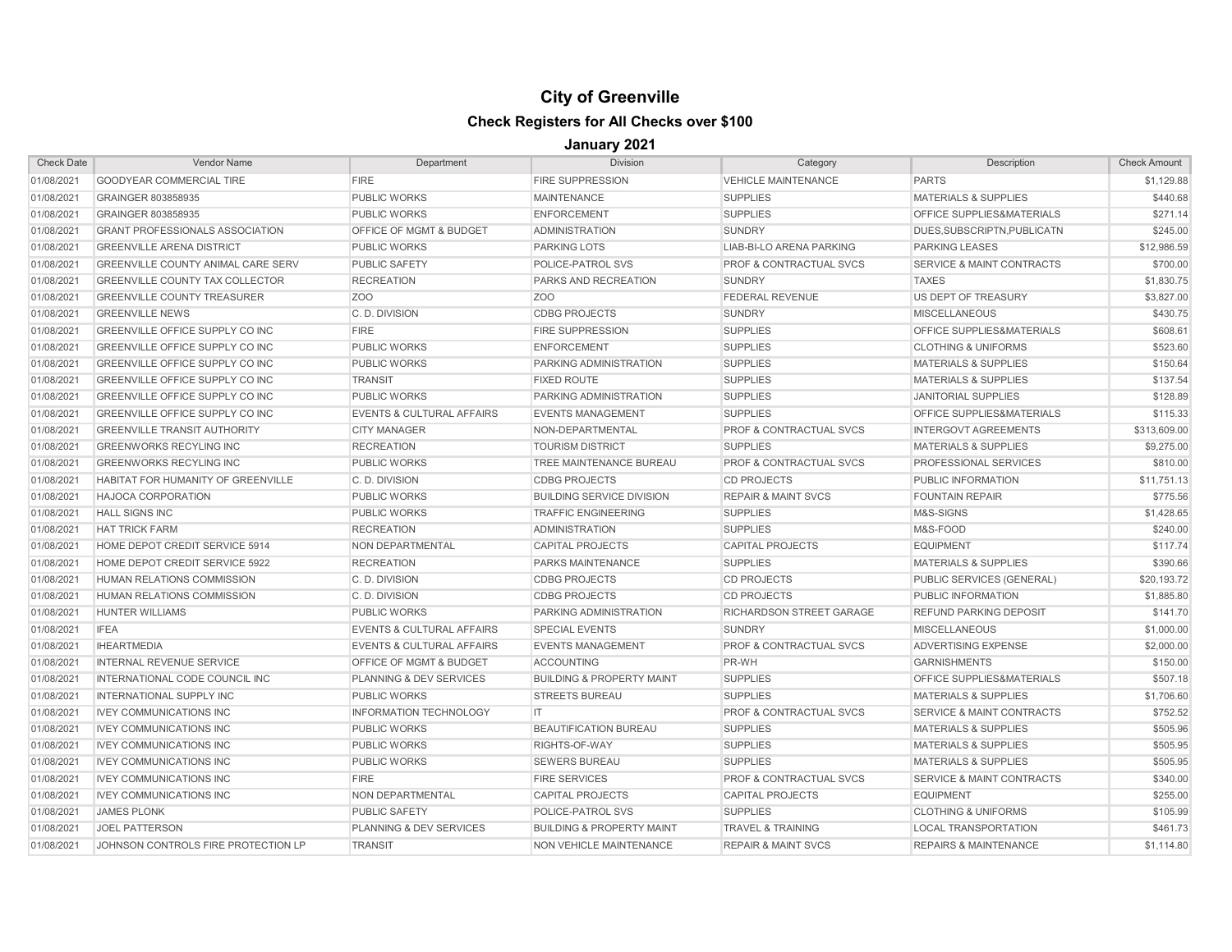# **City of Greenville**

# **Check Registers for All Checks over \$100**

| <b>Check Date</b> | <b>Vendor Name</b>                        | Department                           | <b>Division</b>                      | Category                           | Description                          | <b>Check Amount</b> |
|-------------------|-------------------------------------------|--------------------------------------|--------------------------------------|------------------------------------|--------------------------------------|---------------------|
| 01/08/2021        | <b>GOODYEAR COMMERCIAL TIRE</b>           | <b>FIRE</b>                          | <b>FIRE SUPPRESSION</b>              | <b>VEHICLE MAINTENANCE</b>         | <b>PARTS</b>                         | \$1,129.88          |
| 01/08/2021        | GRAINGER 803858935                        | <b>PUBLIC WORKS</b>                  | <b>MAINTENANCE</b>                   | <b>SUPPLIES</b>                    | <b>MATERIALS &amp; SUPPLIES</b>      | \$440.68            |
| 01/08/2021        | GRAINGER 803858935                        | <b>PUBLIC WORKS</b>                  | <b>ENFORCEMENT</b>                   | <b>SUPPLIES</b>                    | OFFICE SUPPLIES&MATERIALS            | \$271.14            |
| 01/08/2021        | <b>GRANT PROFESSIONALS ASSOCIATION</b>    | <b>OFFICE OF MGMT &amp; BUDGET</b>   | <b>ADMINISTRATION</b>                | <b>SUNDRY</b>                      | DUES.SUBSCRIPTN.PUBLICATN            | \$245.00            |
| 01/08/2021        | <b>GREENVILLE ARENA DISTRICT</b>          | <b>PUBLIC WORKS</b>                  | <b>PARKING LOTS</b>                  | <b>LIAB-BI-LO ARENA PARKING</b>    | <b>PARKING LEASES</b>                | \$12,986.59         |
| 01/08/2021        | <b>GREENVILLE COUNTY ANIMAL CARE SERV</b> | <b>PUBLIC SAFETY</b>                 | POLICE-PATROL SVS                    | <b>PROF &amp; CONTRACTUAL SVCS</b> | <b>SERVICE &amp; MAINT CONTRACTS</b> | \$700.00            |
| 01/08/2021        | <b>GREENVILLE COUNTY TAX COLLECTOR</b>    | <b>RECREATION</b>                    | PARKS AND RECREATION                 | <b>SUNDRY</b>                      | <b>TAXES</b>                         | \$1,830.75          |
| 01/08/2021        | <b>GREENVILLE COUNTY TREASURER</b>        | Z <sub>OO</sub>                      | Z <sub>O</sub> O                     | <b>FEDERAL REVENUE</b>             | US DEPT OF TREASURY                  | \$3,827.00          |
| 01/08/2021        | <b>GREENVILLE NEWS</b>                    | C.D. DIVISION                        | <b>CDBG PROJECTS</b>                 | <b>SUNDRY</b>                      | <b>MISCELLANEOUS</b>                 | \$430.75            |
| 01/08/2021        | GREENVILLE OFFICE SUPPLY CO INC           | <b>FIRE</b>                          | <b>FIRE SUPPRESSION</b>              | <b>SUPPLIES</b>                    | OFFICE SUPPLIES&MATERIALS            | \$608.61            |
| 01/08/2021        | GREENVILLE OFFICE SUPPLY CO INC           | <b>PUBLIC WORKS</b>                  | <b>ENFORCEMENT</b>                   | <b>SUPPLIES</b>                    | <b>CLOTHING &amp; UNIFORMS</b>       | \$523.60            |
| 01/08/2021        | GREENVILLE OFFICE SUPPLY CO INC           | <b>PUBLIC WORKS</b>                  | PARKING ADMINISTRATION               | <b>SUPPLIES</b>                    | <b>MATERIALS &amp; SUPPLIES</b>      | \$150.64            |
| 01/08/2021        | <b>GREENVILLE OFFICE SUPPLY CO INC</b>    | <b>TRANSIT</b>                       | <b>FIXED ROUTE</b>                   | <b>SUPPLIES</b>                    | <b>MATERIALS &amp; SUPPLIES</b>      | \$137.54            |
| 01/08/2021        | <b>GREENVILLE OFFICE SUPPLY CO INC</b>    | <b>PUBLIC WORKS</b>                  | PARKING ADMINISTRATION               | <b>SUPPLIES</b>                    | <b>JANITORIAL SUPPLIES</b>           | \$128.89            |
| 01/08/2021        | <b>GREENVILLE OFFICE SUPPLY CO INC.</b>   | <b>EVENTS &amp; CULTURAL AFFAIRS</b> | <b>EVENTS MANAGEMENT</b>             | <b>SUPPLIES</b>                    | <b>OFFICE SUPPLIES&amp;MATERIALS</b> | \$115.33            |
| 01/08/2021        | <b>GREENVILLE TRANSIT AUTHORITY</b>       | <b>CITY MANAGER</b>                  | NON-DEPARTMENTAL                     | <b>PROF &amp; CONTRACTUAL SVCS</b> | <b>INTERGOVT AGREEMENTS</b>          | \$313,609.00        |
| 01/08/2021        | <b>GREENWORKS RECYLING INC</b>            | <b>RECREATION</b>                    | <b>TOURISM DISTRICT</b>              | <b>SUPPLIES</b>                    | <b>MATERIALS &amp; SUPPLIES</b>      | \$9,275.00          |
| 01/08/2021        | <b>GREENWORKS RECYLING INC</b>            | <b>PUBLIC WORKS</b>                  | TREE MAINTENANCE BUREAU              | PROF & CONTRACTUAL SVCS            | PROFESSIONAL SERVICES                | \$810.00            |
| 01/08/2021        | HABITAT FOR HUMANITY OF GREENVILLE        | C.D. DIVISION                        | <b>CDBG PROJECTS</b>                 | <b>CD PROJECTS</b>                 | PUBLIC INFORMATION                   | \$11,751.13         |
| 01/08/2021        | <b>HAJOCA CORPORATION</b>                 | <b>PUBLIC WORKS</b>                  | <b>BUILDING SERVICE DIVISION</b>     | <b>REPAIR &amp; MAINT SVCS</b>     | <b>FOUNTAIN REPAIR</b>               | \$775.56            |
| 01/08/2021        | <b>HALL SIGNS INC</b>                     | <b>PUBLIC WORKS</b>                  | <b>TRAFFIC ENGINEERING</b>           | <b>SUPPLIES</b>                    | M&S-SIGNS                            | \$1,428.65          |
| 01/08/2021        | <b>HAT TRICK FARM</b>                     | <b>RECREATION</b>                    | <b>ADMINISTRATION</b>                | <b>SUPPLIES</b>                    | M&S-FOOD                             | \$240.00            |
| 01/08/2021        | HOME DEPOT CREDIT SERVICE 5914            | NON DEPARTMENTAL                     | <b>CAPITAL PROJECTS</b>              | <b>CAPITAL PROJECTS</b>            | <b>EQUIPMENT</b>                     | \$117.74            |
| 01/08/2021        | HOME DEPOT CREDIT SERVICE 5922            | <b>RECREATION</b>                    | <b>PARKS MAINTENANCE</b>             | <b>SUPPLIES</b>                    | <b>MATERIALS &amp; SUPPLIES</b>      | \$390.66            |
| 01/08/2021        | HUMAN RELATIONS COMMISSION                | C.D. DIVISION                        | <b>CDBG PROJECTS</b>                 | <b>CD PROJECTS</b>                 | PUBLIC SERVICES (GENERAL)            | \$20,193.72         |
| 01/08/2021        | HUMAN RELATIONS COMMISSION                | C.D. DIVISION                        | <b>CDBG PROJECTS</b>                 | <b>CD PROJECTS</b>                 | PUBLIC INFORMATION                   | \$1,885.80          |
| 01/08/2021        | <b>HUNTER WILLIAMS</b>                    | <b>PUBLIC WORKS</b>                  | PARKING ADMINISTRATION               | RICHARDSON STREET GARAGE           | <b>REFUND PARKING DEPOSIT</b>        | \$141.70            |
| 01/08/2021        | <b>IFEA</b>                               | <b>EVENTS &amp; CULTURAL AFFAIRS</b> | <b>SPECIAL EVENTS</b>                | <b>SUNDRY</b>                      | <b>MISCELLANEOUS</b>                 | \$1,000.00          |
| 01/08/2021        | <b>IHEARTMEDIA</b>                        | <b>EVENTS &amp; CULTURAL AFFAIRS</b> | <b>EVENTS MANAGEMENT</b>             | PROF & CONTRACTUAL SVCS            | ADVERTISING EXPENSE                  | \$2,000.00          |
| 01/08/2021        | <b>INTERNAL REVENUE SERVICE</b>           | <b>OFFICE OF MGMT &amp; BUDGET</b>   | <b>ACCOUNTING</b>                    | PR-WH                              | <b>GARNISHMENTS</b>                  | \$150.00            |
| 01/08/2021        | INTERNATIONAL CODE COUNCIL INC            | PLANNING & DEV SERVICES              | <b>BUILDING &amp; PROPERTY MAINT</b> | <b>SUPPLIES</b>                    | <b>OFFICE SUPPLIES&amp;MATERIALS</b> | \$507.18            |
| 01/08/2021        | INTERNATIONAL SUPPLY INC                  | <b>PUBLIC WORKS</b>                  | <b>STREETS BUREAU</b>                | <b>SUPPLIES</b>                    | <b>MATERIALS &amp; SUPPLIES</b>      | \$1,706.60          |
| 01/08/2021        | <b>IVEY COMMUNICATIONS INC</b>            | <b>INFORMATION TECHNOLOGY</b>        | IT.                                  | <b>PROF &amp; CONTRACTUAL SVCS</b> | <b>SERVICE &amp; MAINT CONTRACTS</b> | \$752.52            |
| 01/08/2021        | <b>IVEY COMMUNICATIONS INC</b>            | <b>PUBLIC WORKS</b>                  | BEAUTIFICATION BUREAU                | <b>SUPPLIES</b>                    | <b>MATERIALS &amp; SUPPLIES</b>      | \$505.96            |
| 01/08/2021        | <b>IVEY COMMUNICATIONS INC</b>            | <b>PUBLIC WORKS</b>                  | RIGHTS-OF-WAY                        | <b>SUPPLIES</b>                    | <b>MATERIALS &amp; SUPPLIES</b>      | \$505.95            |
| 01/08/2021        | <b>IVEY COMMUNICATIONS INC</b>            | <b>PUBLIC WORKS</b>                  | <b>SEWERS BUREAU</b>                 | <b>SUPPLIES</b>                    | <b>MATERIALS &amp; SUPPLIES</b>      | \$505.95            |
| 01/08/2021        | <b>IVEY COMMUNICATIONS INC</b>            | <b>FIRE</b>                          | <b>FIRE SERVICES</b>                 | <b>PROF &amp; CONTRACTUAL SVCS</b> | <b>SERVICE &amp; MAINT CONTRACTS</b> | \$340.00            |
| 01/08/2021        | <b>IVEY COMMUNICATIONS INC</b>            | NON DEPARTMENTAL                     | <b>CAPITAL PROJECTS</b>              | <b>CAPITAL PROJECTS</b>            | <b>EQUIPMENT</b>                     | \$255.00            |
| 01/08/2021        | <b>JAMES PLONK</b>                        | PUBLIC SAFETY                        | POLICE-PATROL SVS                    | <b>SUPPLIES</b>                    | <b>CLOTHING &amp; UNIFORMS</b>       | \$105.99            |
| 01/08/2021        | <b>JOEL PATTERSON</b>                     | PLANNING & DEV SERVICES              | <b>BUILDING &amp; PROPERTY MAINT</b> | <b>TRAVEL &amp; TRAINING</b>       | <b>LOCAL TRANSPORTATION</b>          | \$461.73            |
| 01/08/2021        | JOHNSON CONTROLS FIRE PROTECTION LP       | <b>TRANSIT</b>                       | NON VEHICLE MAINTENANCE              | <b>REPAIR &amp; MAINT SVCS</b>     | <b>REPAIRS &amp; MAINTENANCE</b>     | \$1,114.80          |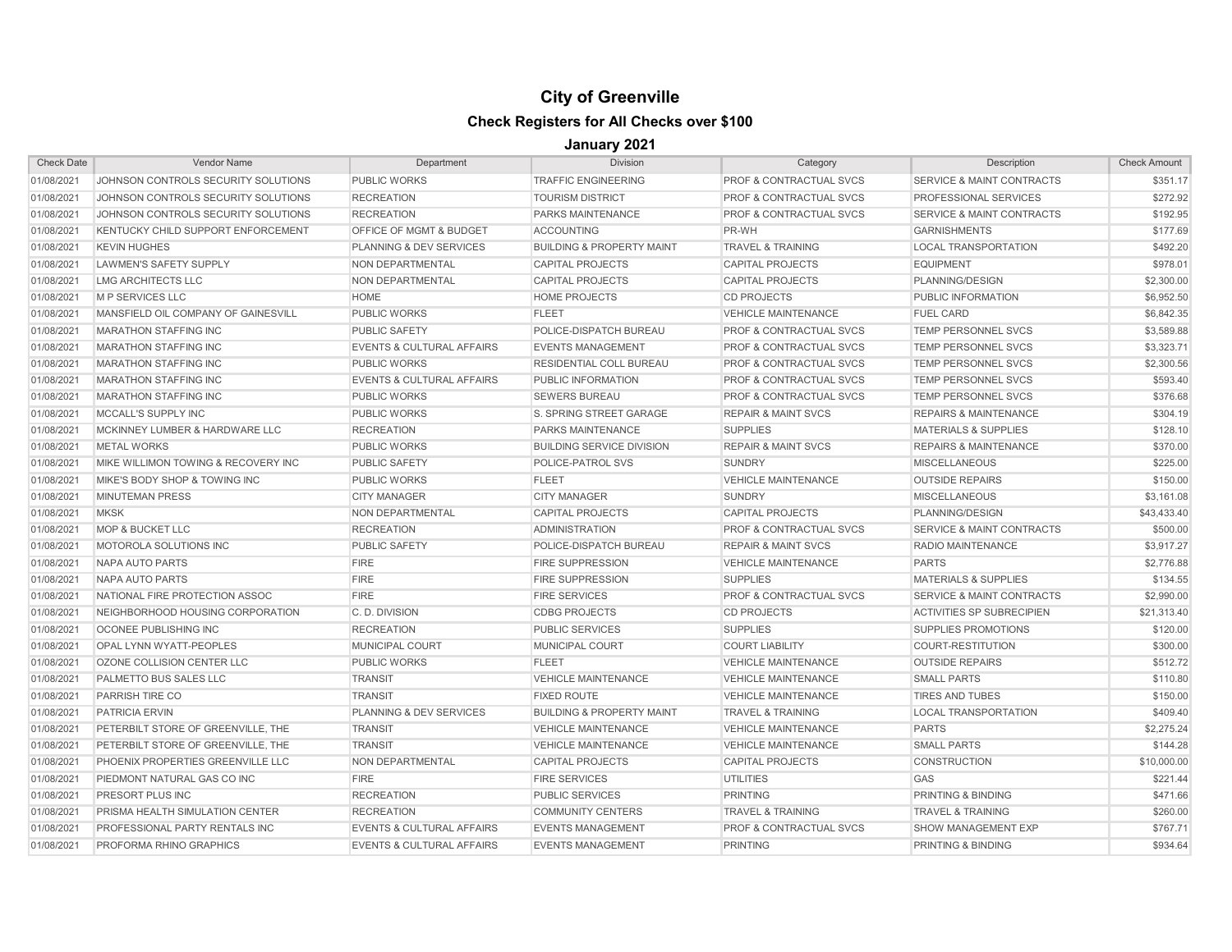| <b>Check Date</b> | <b>Vendor Name</b>                  | Department                           | <b>Division</b>                      | Category                           | Description                          | <b>Check Amount</b> |
|-------------------|-------------------------------------|--------------------------------------|--------------------------------------|------------------------------------|--------------------------------------|---------------------|
| 01/08/2021        | JOHNSON CONTROLS SECURITY SOLUTIONS | <b>PUBLIC WORKS</b>                  | <b>TRAFFIC ENGINEERING</b>           | <b>PROF &amp; CONTRACTUAL SVCS</b> | SERVICE & MAINT CONTRACTS            | \$351.17            |
| 01/08/2021        | JOHNSON CONTROLS SECURITY SOLUTIONS | <b>RECREATION</b>                    | <b>TOURISM DISTRICT</b>              | <b>PROF &amp; CONTRACTUAL SVCS</b> | PROFESSIONAL SERVICES                | \$272.92            |
| 01/08/2021        | JOHNSON CONTROLS SECURITY SOLUTIONS | <b>RECREATION</b>                    | <b>PARKS MAINTENANCE</b>             | <b>PROF &amp; CONTRACTUAL SVCS</b> | <b>SERVICE &amp; MAINT CONTRACTS</b> | \$192.95            |
| 01/08/2021        | KENTUCKY CHILD SUPPORT ENFORCEMENT  | <b>OFFICE OF MGMT &amp; BUDGET</b>   | <b>ACCOUNTING</b>                    | PR-WH                              | <b>GARNISHMENTS</b>                  | \$177.69            |
| 01/08/2021        | <b>KEVIN HUGHES</b>                 | <b>PLANNING &amp; DEV SERVICES</b>   | <b>BUILDING &amp; PROPERTY MAINT</b> | <b>TRAVEL &amp; TRAINING</b>       | <b>LOCAL TRANSPORTATION</b>          | \$492.20            |
| 01/08/2021        | <b>LAWMEN'S SAFETY SUPPLY</b>       | NON DEPARTMENTAL                     | <b>CAPITAL PROJECTS</b>              | <b>CAPITAL PROJECTS</b>            | <b>EQUIPMENT</b>                     | \$978.01            |
| 01/08/2021        | LMG ARCHITECTS LLC                  | NON DEPARTMENTAL                     | <b>CAPITAL PROJECTS</b>              | <b>CAPITAL PROJECTS</b>            | PLANNING/DESIGN                      | \$2,300.00          |
| 01/08/2021        | M P SERVICES LLC                    | HOME                                 | <b>HOME PROJECTS</b>                 | <b>CD PROJECTS</b>                 | PUBLIC INFORMATION                   | \$6,952.50          |
| 01/08/2021        | MANSFIELD OIL COMPANY OF GAINESVILL | <b>PUBLIC WORKS</b>                  | <b>FLEET</b>                         | <b>VEHICLE MAINTENANCE</b>         | <b>FUEL CARD</b>                     | \$6,842.35          |
| 01/08/2021        | <b>MARATHON STAFFING INC</b>        | <b>PUBLIC SAFETY</b>                 | POLICE-DISPATCH BUREAU               | PROF & CONTRACTUAL SVCS            | TEMP PERSONNEL SVCS                  | \$3,589.88          |
| 01/08/2021        | <b>MARATHON STAFFING INC</b>        | <b>EVENTS &amp; CULTURAL AFFAIRS</b> | <b>EVENTS MANAGEMENT</b>             | <b>PROF &amp; CONTRACTUAL SVCS</b> | <b>TEMP PERSONNEL SVCS</b>           | \$3,323,71          |
| 01/08/2021        | <b>MARATHON STAFFING INC</b>        | <b>PUBLIC WORKS</b>                  | RESIDENTIAL COLL BUREAU              | <b>PROF &amp; CONTRACTUAL SVCS</b> | <b>TEMP PERSONNEL SVCS</b>           | \$2,300.56          |
| 01/08/2021        | <b>MARATHON STAFFING INC</b>        | <b>EVENTS &amp; CULTURAL AFFAIRS</b> | PUBLIC INFORMATION                   | <b>PROF &amp; CONTRACTUAL SVCS</b> | TEMP PERSONNEL SVCS                  | \$593.40            |
| 01/08/2021        | <b>MARATHON STAFFING INC</b>        | <b>PUBLIC WORKS</b>                  | <b>SEWERS BUREAU</b>                 | <b>PROF &amp; CONTRACTUAL SVCS</b> | <b>TEMP PERSONNEL SVCS</b>           | \$376.68            |
| 01/08/2021        | MCCALL'S SUPPLY INC                 | <b>PUBLIC WORKS</b>                  | S. SPRING STREET GARAGE              | <b>REPAIR &amp; MAINT SVCS</b>     | <b>REPAIRS &amp; MAINTENANCE</b>     | \$304.19            |
| 01/08/2021        | MCKINNEY LUMBER & HARDWARE LLC      | <b>RECREATION</b>                    | <b>PARKS MAINTENANCE</b>             | <b>SUPPLIES</b>                    | <b>MATERIALS &amp; SUPPLIES</b>      | \$128.10            |
| 01/08/2021        | <b>METAL WORKS</b>                  | <b>PUBLIC WORKS</b>                  | <b>BUILDING SERVICE DIVISION</b>     | <b>REPAIR &amp; MAINT SVCS</b>     | <b>REPAIRS &amp; MAINTENANCE</b>     | \$370.00            |
| 01/08/2021        | MIKE WILLIMON TOWING & RECOVERY INC | <b>PUBLIC SAFETY</b>                 | POLICE-PATROL SVS                    | <b>SUNDRY</b>                      | <b>MISCELLANEOUS</b>                 | \$225.00            |
| 01/08/2021        | MIKE'S BODY SHOP & TOWING INC       | <b>PUBLIC WORKS</b>                  | <b>FLEET</b>                         | <b>VEHICLE MAINTENANCE</b>         | <b>OUTSIDE REPAIRS</b>               | \$150.00            |
| 01/08/2021        | <b>MINUTEMAN PRESS</b>              | <b>CITY MANAGER</b>                  | <b>CITY MANAGER</b>                  | SUNDRY                             | <b>MISCELLANEOUS</b>                 | \$3.161.08          |
| 01/08/2021        | <b>MKSK</b>                         | NON DEPARTMENTAL                     | <b>CAPITAL PROJECTS</b>              | <b>CAPITAL PROJECTS</b>            | PLANNING/DESIGN                      | \$43,433.40         |
| 01/08/2021        | <b>MOP &amp; BUCKET LLC</b>         | <b>RECREATION</b>                    | <b>ADMINISTRATION</b>                | <b>PROF &amp; CONTRACTUAL SVCS</b> | <b>SERVICE &amp; MAINT CONTRACTS</b> | \$500.00            |
| 01/08/2021        | MOTOROLA SOLUTIONS INC              | <b>PUBLIC SAFETY</b>                 | POLICE-DISPATCH BUREAU               | <b>REPAIR &amp; MAINT SVCS</b>     | <b>RADIO MAINTENANCE</b>             | \$3,917.27          |
| 01/08/2021        | NAPA AUTO PARTS                     | <b>FIRE</b>                          | <b>FIRE SUPPRESSION</b>              | <b>VEHICLE MAINTENANCE</b>         | <b>PARTS</b>                         | \$2,776.88          |
| 01/08/2021        | NAPA AUTO PARTS                     | <b>FIRE</b>                          | <b>FIRE SUPPRESSION</b>              | <b>SUPPLIES</b>                    | <b>MATERIALS &amp; SUPPLIES</b>      | \$134.55            |
| 01/08/2021        | NATIONAL FIRE PROTECTION ASSOC      | <b>FIRE</b>                          | <b>FIRE SERVICES</b>                 | PROF & CONTRACTUAL SVCS            | <b>SERVICE &amp; MAINT CONTRACTS</b> | \$2,990.00          |
| 01/08/2021        | NEIGHBORHOOD HOUSING CORPORATION    | C.D. DIVISION                        | <b>CDBG PROJECTS</b>                 | <b>CD PROJECTS</b>                 | <b>ACTIVITIES SP SUBRECIPIEN</b>     | \$21,313.40         |
| 01/08/2021        | OCONEE PUBLISHING INC               | <b>RECREATION</b>                    | <b>PUBLIC SERVICES</b>               | <b>SUPPLIES</b>                    | <b>SUPPLIES PROMOTIONS</b>           | \$120.00            |
| 01/08/2021        | OPAL LYNN WYATT-PEOPLES             | <b>MUNICIPAL COURT</b>               | MUNICIPAL COURT                      | <b>COURT LIABILITY</b>             | COURT-RESTITUTION                    | \$300.00            |
| 01/08/2021        | OZONE COLLISION CENTER LLC          | <b>PUBLIC WORKS</b>                  | <b>FLEET</b>                         | <b>VEHICLE MAINTENANCE</b>         | <b>OUTSIDE REPAIRS</b>               | \$512.72            |
| 01/08/2021        | PALMETTO BUS SALES LLC              | <b>TRANSIT</b>                       | <b>VEHICLE MAINTENANCE</b>           | <b>VEHICLE MAINTENANCE</b>         | <b>SMALL PARTS</b>                   | \$110.80            |
| 01/08/2021        | PARRISH TIRE CO                     | <b>TRANSIT</b>                       | <b>FIXED ROUTE</b>                   | <b>VEHICLE MAINTENANCE</b>         | <b>TIRES AND TUBES</b>               | \$150.00            |
| 01/08/2021        | <b>PATRICIA ERVIN</b>               | <b>PLANNING &amp; DEV SERVICES</b>   | <b>BUILDING &amp; PROPERTY MAINT</b> | <b>TRAVEL &amp; TRAINING</b>       | <b>LOCAL TRANSPORTATION</b>          | \$409.40            |
| 01/08/2021        | PETERBILT STORE OF GREENVILLE, THE  | <b>TRANSIT</b>                       | <b>VEHICLE MAINTENANCE</b>           | <b>VEHICLE MAINTENANCE</b>         | <b>PARTS</b>                         | \$2,275.24          |
| 01/08/2021        | PETERBILT STORE OF GREENVILLE, THE  | <b>TRANSIT</b>                       | <b>VEHICLE MAINTENANCE</b>           | <b>VEHICLE MAINTENANCE</b>         | <b>SMALL PARTS</b>                   | \$144.28            |
| 01/08/2021        | PHOENIX PROPERTIES GREENVILLE LLC   | NON DEPARTMENTAL                     | <b>CAPITAL PROJECTS</b>              | <b>CAPITAL PROJECTS</b>            | <b>CONSTRUCTION</b>                  | \$10,000.00         |
| 01/08/2021        | PIEDMONT NATURAL GAS CO INC         | <b>FIRE</b>                          | <b>FIRE SERVICES</b>                 | <b>UTILITIES</b>                   | <b>GAS</b>                           | \$221.44            |
| 01/08/2021        | PRESORT PLUS INC                    | <b>RECREATION</b>                    | <b>PUBLIC SERVICES</b>               | <b>PRINTING</b>                    | <b>PRINTING &amp; BINDING</b>        | \$471.66            |
| 01/08/2021        | PRISMA HEALTH SIMULATION CENTER     | <b>RECREATION</b>                    | <b>COMMUNITY CENTERS</b>             | <b>TRAVEL &amp; TRAINING</b>       | <b>TRAVEL &amp; TRAINING</b>         | \$260.00            |
| 01/08/2021        | PROFESSIONAL PARTY RENTALS INC      | <b>EVENTS &amp; CULTURAL AFFAIRS</b> | <b>EVENTS MANAGEMENT</b>             | <b>PROF &amp; CONTRACTUAL SVCS</b> | <b>SHOW MANAGEMENT EXP</b>           | \$767.71            |
| 01/08/2021        | PROFORMA RHINO GRAPHICS             | <b>EVENTS &amp; CULTURAL AFFAIRS</b> | <b>EVENTS MANAGEMENT</b>             | PRINTING                           | <b>PRINTING &amp; BINDING</b>        | \$934.64            |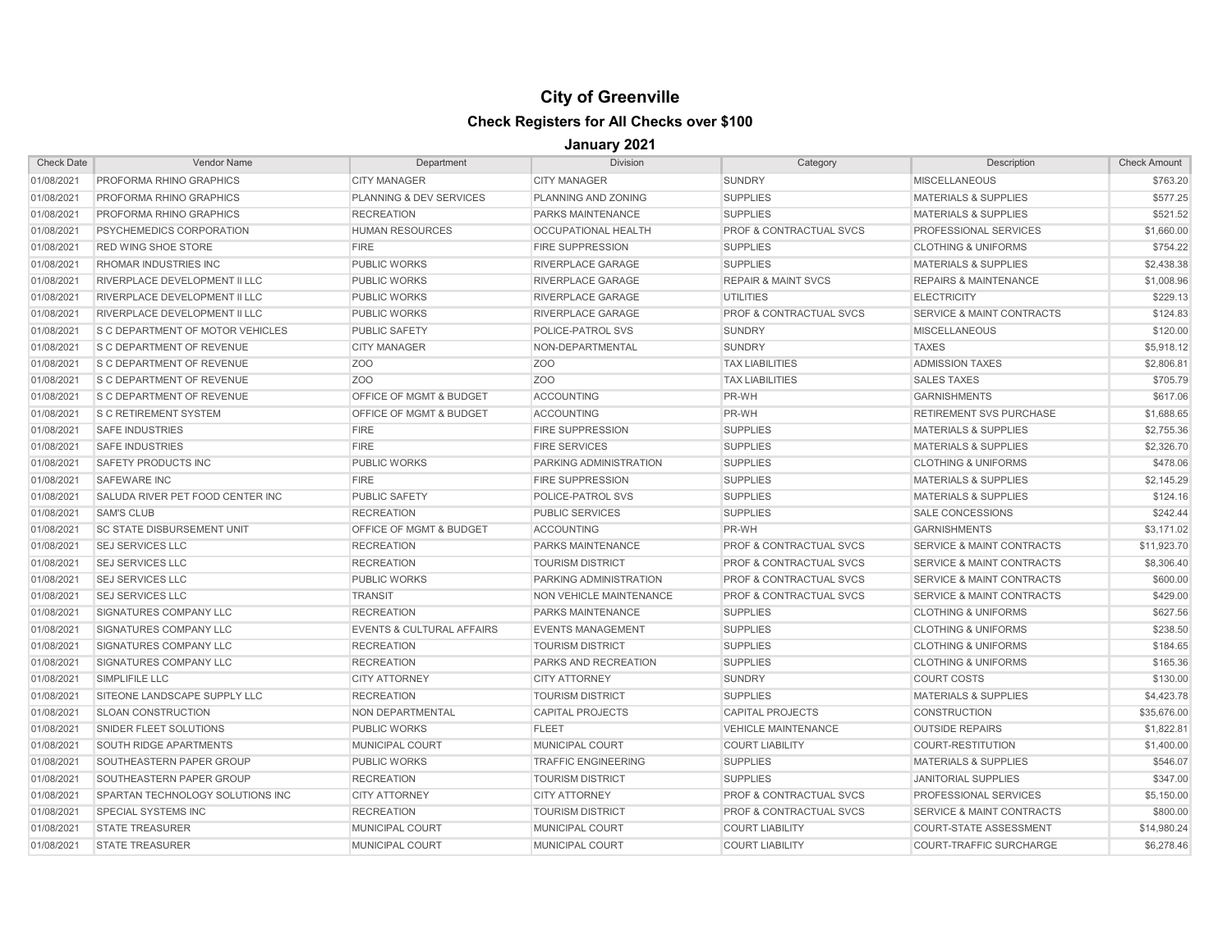| <b>Check Date</b> | <b>Vendor Name</b>                | Department                           | <b>Division</b>             | Category                           | Description                          | <b>Check Amount</b> |
|-------------------|-----------------------------------|--------------------------------------|-----------------------------|------------------------------------|--------------------------------------|---------------------|
| 01/08/2021        | PROFORMA RHINO GRAPHICS           | <b>CITY MANAGER</b>                  | <b>CITY MANAGER</b>         | <b>SUNDRY</b>                      | <b>MISCELLANEOUS</b>                 | \$763.20            |
| 01/08/2021        | <b>PROFORMA RHINO GRAPHICS</b>    | PLANNING & DEV SERVICES              | PLANNING AND ZONING         | <b>SUPPLIES</b>                    | <b>MATERIALS &amp; SUPPLIES</b>      | \$577.25            |
| 01/08/2021        | PROFORMA RHINO GRAPHICS           | <b>RECREATION</b>                    | PARKS MAINTENANCE           | <b>SUPPLIES</b>                    | <b>MATERIALS &amp; SUPPLIES</b>      | \$521.52            |
| 01/08/2021        | PSYCHEMEDICS CORPORATION          | <b>HUMAN RESOURCES</b>               | OCCUPATIONAL HEALTH         | PROF & CONTRACTUAL SVCS            | PROFESSIONAL SERVICES                | \$1,660.00          |
| 01/08/2021        | <b>RED WING SHOE STORE</b>        | <b>FIRE</b>                          | <b>FIRE SUPPRESSION</b>     | <b>SUPPLIES</b>                    | <b>CLOTHING &amp; UNIFORMS</b>       | \$754.22            |
| 01/08/2021        | RHOMAR INDUSTRIES INC             | <b>PUBLIC WORKS</b>                  | RIVERPLACE GARAGE           | <b>SUPPLIES</b>                    | <b>MATERIALS &amp; SUPPLIES</b>      | \$2,438.38          |
| 01/08/2021        | RIVERPLACE DEVELOPMENT II LLC     | <b>PUBLIC WORKS</b>                  | RIVERPLACE GARAGE           | <b>REPAIR &amp; MAINT SVCS</b>     | <b>REPAIRS &amp; MAINTENANCE</b>     | \$1,008.96          |
| 01/08/2021        | RIVERPLACE DEVELOPMENT II LLC     | <b>PUBLIC WORKS</b>                  | RIVERPLACE GARAGE           | <b>UTILITIES</b>                   | <b>ELECTRICITY</b>                   | \$229.13            |
| 01/08/2021        | RIVERPLACE DEVELOPMENT II LLC     | <b>PUBLIC WORKS</b>                  | RIVERPLACE GARAGE           | PROF & CONTRACTUAL SVCS            | <b>SERVICE &amp; MAINT CONTRACTS</b> | \$124.83            |
| 01/08/2021        | S C DEPARTMENT OF MOTOR VEHICLES  | <b>PUBLIC SAFETY</b>                 | POLICE-PATROL SVS           | <b>SUNDRY</b>                      | <b>MISCELLANEOUS</b>                 | \$120.00            |
| 01/08/2021        | <b>S C DEPARTMENT OF REVENUE</b>  | <b>CITY MANAGER</b>                  | NON-DEPARTMENTAL            | <b>SUNDRY</b>                      | <b>TAXES</b>                         | \$5,918.12          |
| 01/08/2021        | <b>S C DEPARTMENT OF REVENUE</b>  | Z <sub>O</sub> O                     | Z <sub>O</sub> O            | <b>TAX LIABILITIES</b>             | <b>ADMISSION TAXES</b>               | \$2,806.81          |
| 01/08/2021        | <b>S C DEPARTMENT OF REVENUE</b>  | Z <sub>O</sub> O                     | Z <sub>O</sub> O            | <b>TAX LIABILITIES</b>             | <b>SALES TAXES</b>                   | \$705.79            |
| 01/08/2021        | <b>S C DEPARTMENT OF REVENUE</b>  | OFFICE OF MGMT & BUDGET              | <b>ACCOUNTING</b>           | PR-WH                              | <b>GARNISHMENTS</b>                  | \$617.06            |
| 01/08/2021        | <b>S C RETIREMENT SYSTEM</b>      | <b>OFFICE OF MGMT &amp; BUDGET</b>   | <b>ACCOUNTING</b>           | PR-WH                              | <b>RETIREMENT SVS PURCHASE</b>       | \$1,688.65          |
| 01/08/2021        | <b>SAFE INDUSTRIES</b>            | <b>FIRE</b>                          | <b>FIRE SUPPRESSION</b>     | <b>SUPPLIES</b>                    | <b>MATERIALS &amp; SUPPLIES</b>      | \$2,755.36          |
| 01/08/2021        | <b>SAFE INDUSTRIES</b>            | <b>FIRE</b>                          | <b>FIRE SERVICES</b>        | <b>SUPPLIES</b>                    | <b>MATERIALS &amp; SUPPLIES</b>      | \$2,326.70          |
| 01/08/2021        | <b>SAFETY PRODUCTS INC</b>        | <b>PUBLIC WORKS</b>                  | PARKING ADMINISTRATION      | <b>SUPPLIES</b>                    | <b>CLOTHING &amp; UNIFORMS</b>       | \$478.06            |
| 01/08/2021        | <b>SAFEWARE INC</b>               | <b>FIRE</b>                          | <b>FIRE SUPPRESSION</b>     | <b>SUPPLIES</b>                    | <b>MATERIALS &amp; SUPPLIES</b>      | \$2,145.29          |
| 01/08/2021        | SALUDA RIVER PET FOOD CENTER INC  | <b>PUBLIC SAFETY</b>                 | POLICE-PATROL SVS           | <b>SUPPLIES</b>                    | <b>MATERIALS &amp; SUPPLIES</b>      | \$124.16            |
| 01/08/2021        | <b>SAM'S CLUB</b>                 | <b>RECREATION</b>                    | <b>PUBLIC SERVICES</b>      | <b>SUPPLIES</b>                    | <b>SALE CONCESSIONS</b>              | \$242.44            |
| 01/08/2021        | <b>SC STATE DISBURSEMENT UNIT</b> | <b>OFFICE OF MGMT &amp; BUDGET</b>   | <b>ACCOUNTING</b>           | PR-WH                              | <b>GARNISHMENTS</b>                  | \$3,171.02          |
| 01/08/2021        | <b>SEJ SERVICES LLC</b>           | <b>RECREATION</b>                    | <b>PARKS MAINTENANCE</b>    | <b>PROF &amp; CONTRACTUAL SVCS</b> | <b>SERVICE &amp; MAINT CONTRACTS</b> | \$11,923.70         |
| 01/08/2021        | <b>SEJ SERVICES LLC</b>           | <b>RECREATION</b>                    | <b>TOURISM DISTRICT</b>     | <b>PROF &amp; CONTRACTUAL SVCS</b> | <b>SERVICE &amp; MAINT CONTRACTS</b> | \$8,306.40          |
| 01/08/2021        | <b>SEJ SERVICES LLC</b>           | <b>PUBLIC WORKS</b>                  | PARKING ADMINISTRATION      | <b>PROF &amp; CONTRACTUAL SVCS</b> | <b>SERVICE &amp; MAINT CONTRACTS</b> | \$600.00            |
| 01/08/2021        | <b>SEJ SERVICES LLC</b>           | <b>TRANSIT</b>                       | NON VEHICLE MAINTENANCE     | PROF & CONTRACTUAL SVCS            | <b>SERVICE &amp; MAINT CONTRACTS</b> | \$429.00            |
| 01/08/2021        | <b>SIGNATURES COMPANY LLC</b>     | <b>RECREATION</b>                    | PARKS MAINTENANCE           | <b>SUPPLIES</b>                    | <b>CLOTHING &amp; UNIFORMS</b>       | \$627.56            |
| 01/08/2021        | <b>SIGNATURES COMPANY LLC</b>     | <b>EVENTS &amp; CULTURAL AFFAIRS</b> | <b>EVENTS MANAGEMENT</b>    | <b>SUPPLIES</b>                    | <b>CLOTHING &amp; UNIFORMS</b>       | \$238.50            |
| 01/08/2021        | <b>SIGNATURES COMPANY LLC</b>     | <b>RECREATION</b>                    | <b>TOURISM DISTRICT</b>     | <b>SUPPLIES</b>                    | <b>CLOTHING &amp; UNIFORMS</b>       | \$184.65            |
| 01/08/2021        | <b>SIGNATURES COMPANY LLC</b>     | <b>RECREATION</b>                    | <b>PARKS AND RECREATION</b> | <b>SUPPLIES</b>                    | <b>CLOTHING &amp; UNIFORMS</b>       | \$165.36            |
| 01/08/2021        | SIMPLIFILE LLC                    | <b>CITY ATTORNEY</b>                 | <b>CITY ATTORNEY</b>        | <b>SUNDRY</b>                      | <b>COURT COSTS</b>                   | \$130.00            |
| 01/08/2021        | SITEONE LANDSCAPE SUPPLY LLC      | <b>RECREATION</b>                    | <b>TOURISM DISTRICT</b>     | <b>SUPPLIES</b>                    | <b>MATERIALS &amp; SUPPLIES</b>      | \$4,423.78          |
| 01/08/2021        | <b>SLOAN CONSTRUCTION</b>         | NON DEPARTMENTAL                     | <b>CAPITAL PROJECTS</b>     | <b>CAPITAL PROJECTS</b>            | <b>CONSTRUCTION</b>                  | \$35,676.00         |
| 01/08/2021        | <b>SNIDER FLEET SOLUTIONS</b>     | <b>PUBLIC WORKS</b>                  | <b>FLEET</b>                | <b>VEHICLE MAINTENANCE</b>         | <b>OUTSIDE REPAIRS</b>               | \$1,822.81          |
| 01/08/2021        | <b>SOUTH RIDGE APARTMENTS</b>     | MUNICIPAL COURT                      | <b>MUNICIPAL COURT</b>      | <b>COURT LIABILITY</b>             | <b>COURT-RESTITUTION</b>             | \$1,400.00          |
| 01/08/2021        | SOUTHEASTERN PAPER GROUP          | <b>PUBLIC WORKS</b>                  | <b>TRAFFIC ENGINEERING</b>  | <b>SUPPLIES</b>                    | <b>MATERIALS &amp; SUPPLIES</b>      | \$546.07            |
| 01/08/2021        | SOUTHEASTERN PAPER GROUP          | <b>RECREATION</b>                    | <b>TOURISM DISTRICT</b>     | <b>SUPPLIES</b>                    | <b>JANITORIAL SUPPLIES</b>           | \$347.00            |
| 01/08/2021        | SPARTAN TECHNOLOGY SOLUTIONS INC  | <b>CITY ATTORNEY</b>                 | <b>CITY ATTORNEY</b>        | <b>PROF &amp; CONTRACTUAL SVCS</b> | PROFESSIONAL SERVICES                | \$5,150.00          |
| 01/08/2021        | <b>SPECIAL SYSTEMS INC</b>        | <b>RECREATION</b>                    | <b>TOURISM DISTRICT</b>     | <b>PROF &amp; CONTRACTUAL SVCS</b> | <b>SERVICE &amp; MAINT CONTRACTS</b> | \$800.00            |
| 01/08/2021        | <b>STATE TREASURER</b>            | <b>MUNICIPAL COURT</b>               | <b>MUNICIPAL COURT</b>      | <b>COURT LIABILITY</b>             | <b>COURT-STATE ASSESSMENT</b>        | \$14,980.24         |
| 01/08/2021        | <b>STATE TREASURER</b>            | <b>MUNICIPAL COURT</b>               | <b>MUNICIPAL COURT</b>      | <b>COURT LIABILITY</b>             | <b>COURT-TRAFFIC SURCHARGE</b>       | \$6,278.46          |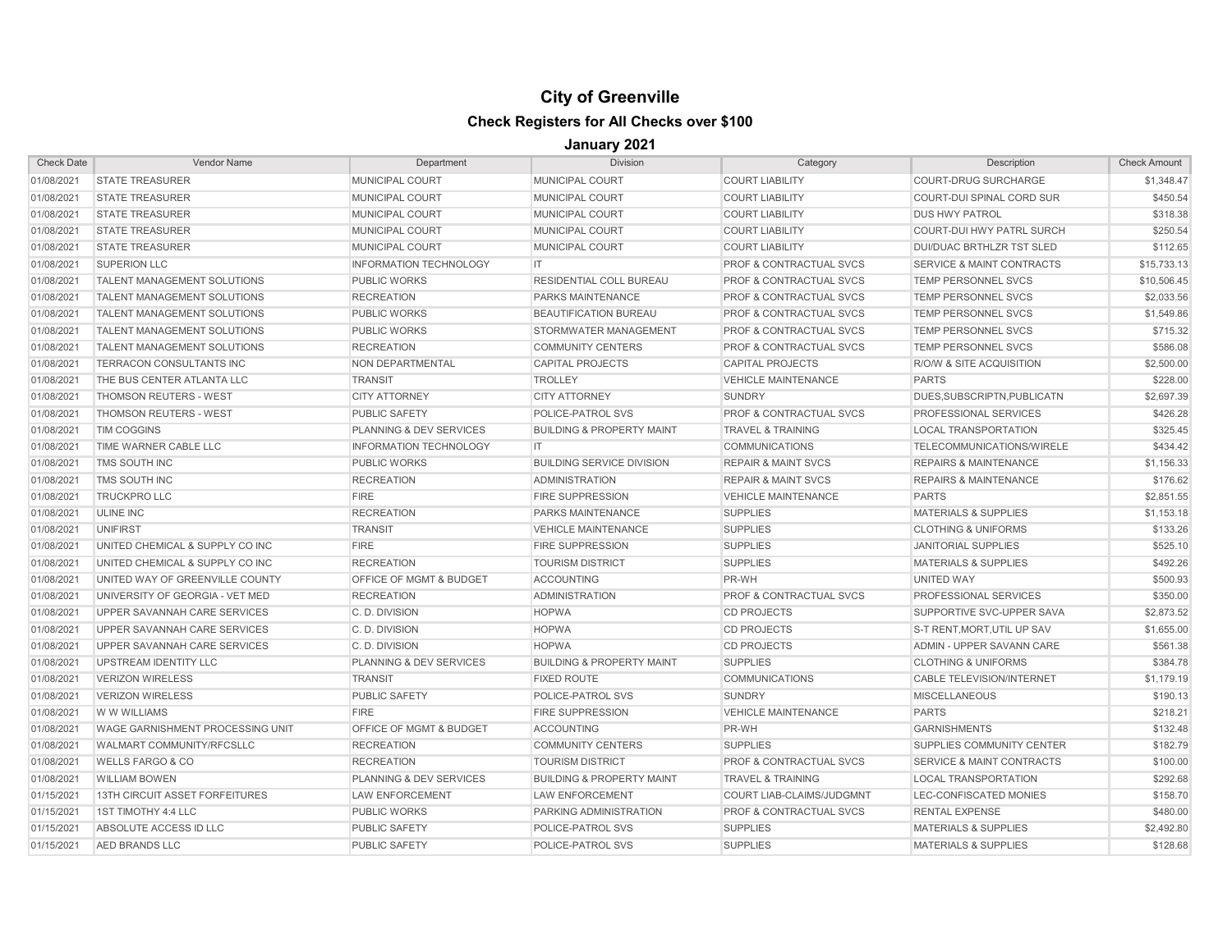| <b>Check Date</b> | <b>Vendor Name</b>                      | Department                    | <b>Division</b>                      | Category                           | Description                          | <b>Check Amount</b> |
|-------------------|-----------------------------------------|-------------------------------|--------------------------------------|------------------------------------|--------------------------------------|---------------------|
| 01/08/2021        | <b>STATE TREASURER</b>                  | <b>MUNICIPAL COURT</b>        | <b>MUNICIPAL COURT</b>               | <b>COURT LIABILITY</b>             | <b>COURT-DRUG SURCHARGE</b>          | \$1,348.47          |
| 01/08/2021        | <b>STATE TREASURER</b>                  | <b>MUNICIPAL COURT</b>        | MUNICIPAL COURT                      | <b>COURT LIABILITY</b>             | <b>COURT-DUI SPINAL CORD SUR</b>     | \$450.54            |
| 01/08/2021        | <b>STATE TREASURER</b>                  | MUNICIPAL COURT               | MUNICIPAL COURT                      | <b>COURT LIABILITY</b>             | <b>DUS HWY PATROL</b>                | \$318.38            |
| 01/08/2021        | <b>STATE TREASURER</b>                  | MUNICIPAL COURT               | MUNICIPAL COURT                      | <b>COURT LIABILITY</b>             | <b>COURT-DUI HWY PATRL SURCH</b>     | \$250.54            |
| 01/08/2021        | <b>STATE TREASURER</b>                  | MUNICIPAL COURT               | MUNICIPAL COURT                      | <b>COURT LIABILITY</b>             | DUI/DUAC BRTHLZR TST SLED            | \$112.65            |
| 01/08/2021        | <b>SUPERION LLC</b>                     | <b>INFORMATION TECHNOLOGY</b> | IT.                                  | <b>PROF &amp; CONTRACTUAL SVCS</b> | <b>SERVICE &amp; MAINT CONTRACTS</b> | \$15,733.13         |
| 01/08/2021        | <b>TALENT MANAGEMENT SOLUTIONS</b>      | <b>PUBLIC WORKS</b>           | RESIDENTIAL COLL BUREAU              | <b>PROF &amp; CONTRACTUAL SVCS</b> | <b>TEMP PERSONNEL SVCS</b>           | \$10,506.45         |
| 01/08/2021        | <b>TALENT MANAGEMENT SOLUTIONS</b>      | <b>RECREATION</b>             | <b>PARKS MAINTENANCE</b>             | <b>PROF &amp; CONTRACTUAL SVCS</b> | <b>TEMP PERSONNEL SVCS</b>           | \$2,033.56          |
| 01/08/2021        | <b>TALENT MANAGEMENT SOLUTIONS</b>      | <b>PUBLIC WORKS</b>           | <b>BEAUTIFICATION BUREAU</b>         | PROF & CONTRACTUAL SVCS            | TEMP PERSONNEL SVCS                  | \$1,549.86          |
| 01/08/2021        | <b>TALENT MANAGEMENT SOLUTIONS</b>      | <b>PUBLIC WORKS</b>           | STORMWATER MANAGEMENT                | <b>PROF &amp; CONTRACTUAL SVCS</b> | TEMP PERSONNEL SVCS                  | \$715.32            |
| 01/08/2021        | <b>TALENT MANAGEMENT SOLUTIONS</b>      | <b>RECREATION</b>             | <b>COMMUNITY CENTERS</b>             | <b>PROF &amp; CONTRACTUAL SVCS</b> | TEMP PERSONNEL SVCS                  | \$586.08            |
| 01/08/2021        | TERRACON CONSULTANTS INC                | <b>NON DEPARTMENTAL</b>       | <b>CAPITAL PROJECTS</b>              | <b>CAPITAL PROJECTS</b>            | R/O/W & SITE ACQUISITION             | \$2,500.00          |
| 01/08/2021        | THE BUS CENTER ATLANTA LLC              | <b>TRANSIT</b>                | <b>TROLLEY</b>                       | <b>VEHICLE MAINTENANCE</b>         | <b>PARTS</b>                         | \$228.00            |
| 01/08/2021        | <b>THOMSON REUTERS - WEST</b>           | <b>CITY ATTORNEY</b>          | <b>CITY ATTORNEY</b>                 | <b>SUNDRY</b>                      | DUES, SUBSCRIPTN, PUBLICATN          | \$2,697.39          |
| 01/08/2021        | <b>THOMSON REUTERS - WEST</b>           | <b>PUBLIC SAFETY</b>          | <b>POLICE-PATROL SVS</b>             | <b>PROF &amp; CONTRACTUAL SVCS</b> | <b>PROFESSIONAL SERVICES</b>         | \$426.28            |
| 01/08/2021        | <b>TIM COGGINS</b>                      | PLANNING & DEV SERVICES       | <b>BUILDING &amp; PROPERTY MAINT</b> | <b>TRAVEL &amp; TRAINING</b>       | <b>LOCAL TRANSPORTATION</b>          | \$325.45            |
| 01/08/2021        | TIME WARNER CABLE LLC                   | <b>INFORMATION TECHNOLOGY</b> | IT.                                  | <b>COMMUNICATIONS</b>              | TELECOMMUNICATIONS/WIRELE            | \$434.42            |
| 01/08/2021        | TMS SOUTH INC                           | <b>PUBLIC WORKS</b>           | <b>BUILDING SERVICE DIVISION</b>     | <b>REPAIR &amp; MAINT SVCS</b>     | <b>REPAIRS &amp; MAINTENANCE</b>     | \$1,156.33          |
| 01/08/2021        | TMS SOUTH INC                           | <b>RECREATION</b>             | <b>ADMINISTRATION</b>                | <b>REPAIR &amp; MAINT SVCS</b>     | <b>REPAIRS &amp; MAINTENANCE</b>     | \$176.62            |
| 01/08/2021        | <b>TRUCKPRO LLC</b>                     | <b>FIRE</b>                   | <b>FIRE SUPPRESSION</b>              | <b>VEHICLE MAINTENANCE</b>         | <b>PARTS</b>                         | \$2,851.55          |
| 01/08/2021        | <b>ULINE INC</b>                        | <b>RECREATION</b>             | <b>PARKS MAINTENANCE</b>             | <b>SUPPLIES</b>                    | <b>MATERIALS &amp; SUPPLIES</b>      | \$1,153.18          |
| 01/08/2021        | <b>UNIFIRST</b>                         | <b>TRANSIT</b>                | <b>VEHICLE MAINTENANCE</b>           | <b>SUPPLIES</b>                    | <b>CLOTHING &amp; UNIFORMS</b>       | \$133.26            |
| 01/08/2021        | UNITED CHEMICAL & SUPPLY CO INC         | <b>FIRE</b>                   | <b>FIRE SUPPRESSION</b>              | <b>SUPPLIES</b>                    | <b>JANITORIAL SUPPLIES</b>           | \$525.10            |
| 01/08/2021        | UNITED CHEMICAL & SUPPLY CO INC         | <b>RECREATION</b>             | <b>TOURISM DISTRICT</b>              | <b>SUPPLIES</b>                    | <b>MATERIALS &amp; SUPPLIES</b>      | \$492.26            |
| 01/08/2021        | UNITED WAY OF GREENVILLE COUNTY         | OFFICE OF MGMT & BUDGET       | <b>ACCOUNTING</b>                    | PR-WH                              | UNITED WAY                           | \$500.93            |
| 01/08/2021        | UNIVERSITY OF GEORGIA - VET MED         | <b>RECREATION</b>             | <b>ADMINISTRATION</b>                | <b>PROF &amp; CONTRACTUAL SVCS</b> | PROFESSIONAL SERVICES                | \$350.00            |
| 01/08/2021        | UPPER SAVANNAH CARE SERVICES            | C.D. DIVISION                 | <b>HOPWA</b>                         | <b>CD PROJECTS</b>                 | SUPPORTIVE SVC-UPPER SAVA            | \$2,873.52          |
| 01/08/2021        | UPPER SAVANNAH CARE SERVICES            | C.D. DIVISION                 | <b>HOPWA</b>                         | <b>CD PROJECTS</b>                 | S-T RENT, MORT, UTIL UP SAV          | \$1,655.00          |
| 01/08/2021        | UPPER SAVANNAH CARE SERVICES            | C.D. DIVISION                 | <b>HOPWA</b>                         | <b>CD PROJECTS</b>                 | ADMIN - UPPER SAVANN CARE            | \$561.38            |
| 01/08/2021        | <b>UPSTREAM IDENTITY LLC</b>            | PLANNING & DEV SERVICES       | <b>BUILDING &amp; PROPERTY MAINT</b> | <b>SUPPLIES</b>                    | <b>CLOTHING &amp; UNIFORMS</b>       | \$384.78            |
| 01/08/2021        | <b>VERIZON WIRELESS</b>                 | <b>TRANSIT</b>                | <b>FIXED ROUTE</b>                   | <b>COMMUNICATIONS</b>              | <b>CABLE TELEVISION/INTERNET</b>     | \$1,179.19          |
| 01/08/2021        | <b>VERIZON WIRELESS</b>                 | <b>PUBLIC SAFETY</b>          | <b>POLICE-PATROL SVS</b>             | <b>SUNDRY</b>                      | <b>MISCELLANEOUS</b>                 | \$190.13            |
| 01/08/2021        | W W WILLIAMS                            | <b>FIRE</b>                   | <b>FIRE SUPPRESSION</b>              | <b>VEHICLE MAINTENANCE</b>         | <b>PARTS</b>                         | \$218.21            |
| 01/08/2021        | <b>WAGE GARNISHMENT PROCESSING UNIT</b> | OFFICE OF MGMT & BUDGET       | <b>ACCOUNTING</b>                    | PR-WH                              | <b>GARNISHMENTS</b>                  | \$132.48            |
| 01/08/2021        | WALMART COMMUNITY/RFCSLLC               | <b>RECREATION</b>             | <b>COMMUNITY CENTERS</b>             | <b>SUPPLIES</b>                    | SUPPLIES COMMUNITY CENTER            | \$182.79            |
| 01/08/2021        | <b>WELLS FARGO &amp; CO</b>             | <b>RECREATION</b>             | <b>TOURISM DISTRICT</b>              | <b>PROF &amp; CONTRACTUAL SVCS</b> | <b>SERVICE &amp; MAINT CONTRACTS</b> | \$100.00            |
| 01/08/2021        | <b>WILLIAM BOWEN</b>                    | PLANNING & DEV SERVICES       | <b>BUILDING &amp; PROPERTY MAINT</b> | <b>TRAVEL &amp; TRAINING</b>       | <b>LOCAL TRANSPORTATION</b>          | \$292.68            |
| 01/15/2021        | <b>13TH CIRCUIT ASSET FORFEITURES</b>   | <b>LAW ENFORCEMENT</b>        | <b>LAW ENFORCEMENT</b>               | COURT LIAB-CLAIMS/JUDGMNT          | LEC-CONFISCATED MONIES               | \$158.70            |
| 01/15/2021        | 1ST TIMOTHY 4:4 LLC                     | <b>PUBLIC WORKS</b>           | PARKING ADMINISTRATION               | PROF & CONTRACTUAL SVCS            | <b>RENTAL EXPENSE</b>                | \$480.00            |
| 01/15/2021        | ABSOLUTE ACCESS ID LLC                  | <b>PUBLIC SAFETY</b>          | POLICE-PATROL SVS                    | <b>SUPPLIES</b>                    | <b>MATERIALS &amp; SUPPLIES</b>      | \$2,492.80          |
| 01/15/2021        | AED BRANDS LLC                          | <b>PUBLIC SAFETY</b>          | <b>POLICE-PATROL SVS</b>             | <b>SUPPLIES</b>                    | <b>MATERIALS &amp; SUPPLIES</b>      | \$128.68            |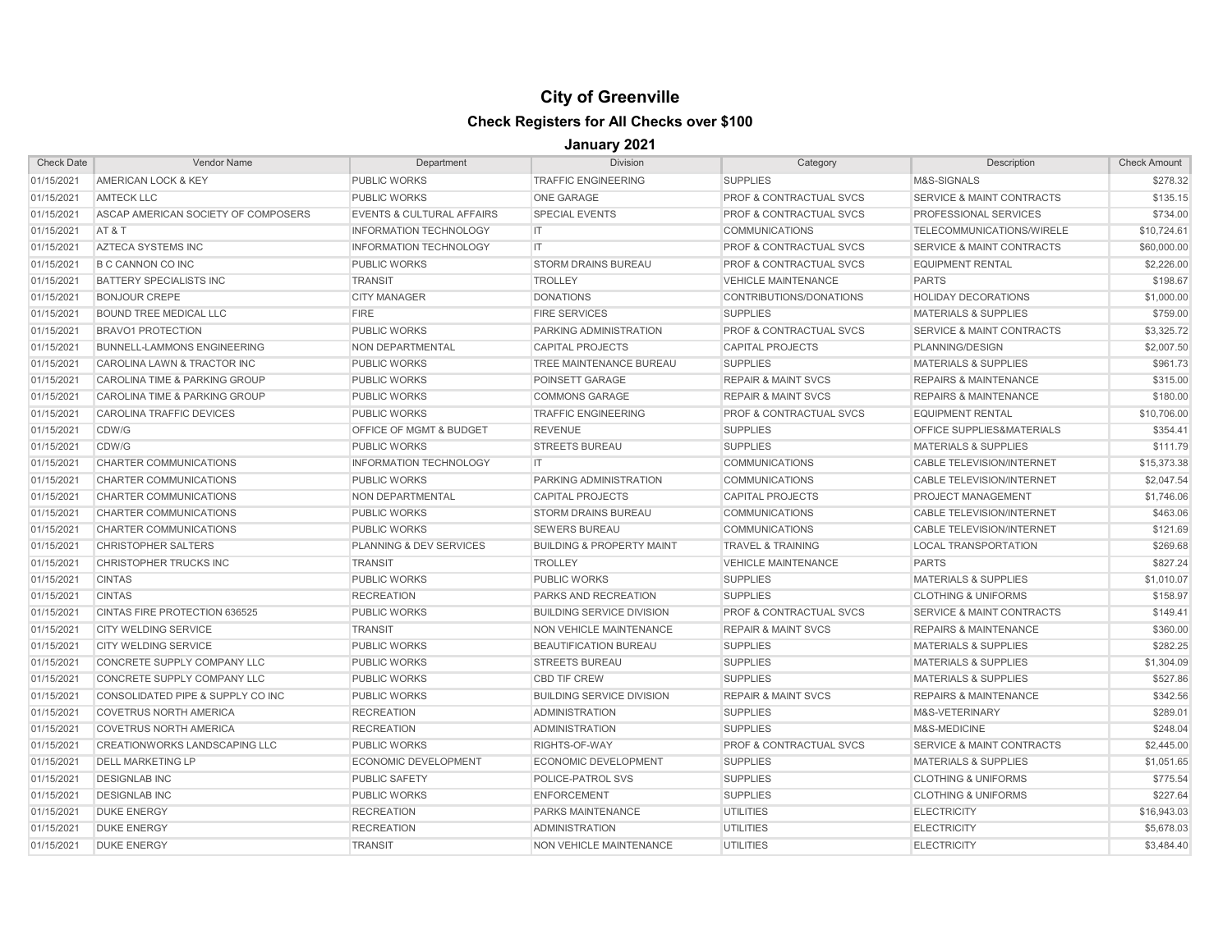| <b>Check Date</b> | Vendor Name                         | Department                           | <b>Division</b>                      | Category                           | Description                          | <b>Check Amount</b> |
|-------------------|-------------------------------------|--------------------------------------|--------------------------------------|------------------------------------|--------------------------------------|---------------------|
| 01/15/2021        | <b>AMERICAN LOCK &amp; KEY</b>      | <b>PUBLIC WORKS</b>                  | <b>TRAFFIC ENGINEERING</b>           | <b>SUPPLIES</b>                    | M&S-SIGNALS                          | \$278.32            |
| 01/15/2021        | <b>AMTECK LLC</b>                   | <b>PUBLIC WORKS</b>                  | <b>ONE GARAGE</b>                    | <b>PROF &amp; CONTRACTUAL SVCS</b> | <b>SERVICE &amp; MAINT CONTRACTS</b> | \$135.15            |
| 01/15/2021        | ASCAP AMERICAN SOCIETY OF COMPOSERS | <b>EVENTS &amp; CULTURAL AFFAIRS</b> | <b>SPECIAL EVENTS</b>                | PROF & CONTRACTUAL SVCS            | PROFESSIONAL SERVICES                | \$734.00            |
| 01/15/2021        | AT&T                                | <b>INFORMATION TECHNOLOGY</b>        | IT                                   | <b>COMMUNICATIONS</b>              | TELECOMMUNICATIONS/WIRELE            | \$10,724.61         |
| 01/15/2021        | <b>AZTECA SYSTEMS INC</b>           | <b>INFORMATION TECHNOLOGY</b>        | IT.                                  | <b>PROF &amp; CONTRACTUAL SVCS</b> | <b>SERVICE &amp; MAINT CONTRACTS</b> | \$60,000.00         |
| 01/15/2021        | <b>B C CANNON CO INC</b>            | <b>PUBLIC WORKS</b>                  | <b>STORM DRAINS BUREAU</b>           | <b>PROF &amp; CONTRACTUAL SVCS</b> | <b>EQUIPMENT RENTAL</b>              | \$2,226.00          |
| 01/15/2021        | <b>BATTERY SPECIALISTS INC</b>      | <b>TRANSIT</b>                       | <b>TROLLEY</b>                       | <b>VEHICLE MAINTENANCE</b>         | <b>PARTS</b>                         | \$198.67            |
| 01/15/2021        | <b>BONJOUR CREPE</b>                | <b>CITY MANAGER</b>                  | <b>DONATIONS</b>                     | CONTRIBUTIONS/DONATIONS            | <b>HOLIDAY DECORATIONS</b>           | \$1,000.00          |
| 01/15/2021        | <b>BOUND TREE MEDICAL LLC</b>       | <b>FIRE</b>                          | <b>FIRE SERVICES</b>                 | <b>SUPPLIES</b>                    | <b>MATERIALS &amp; SUPPLIES</b>      | \$759.00            |
| 01/15/2021        | <b>BRAVO1 PROTECTION</b>            | <b>PUBLIC WORKS</b>                  | PARKING ADMINISTRATION               | PROF & CONTRACTUAL SVCS            | <b>SERVICE &amp; MAINT CONTRACTS</b> | \$3,325.72          |
| 01/15/2021        | <b>BUNNELL-LAMMONS ENGINEERING</b>  | NON DEPARTMENTAL                     | <b>CAPITAL PROJECTS</b>              | <b>CAPITAL PROJECTS</b>            | PLANNING/DESIGN                      | \$2,007.50          |
| 01/15/2021        | CAROLINA LAWN & TRACTOR INC         | <b>PUBLIC WORKS</b>                  | TREE MAINTENANCE BUREAU              | <b>SUPPLIES</b>                    | <b>MATERIALS &amp; SUPPLIES</b>      | \$961.73            |
| 01/15/2021        | CAROLINA TIME & PARKING GROUP       | <b>PUBLIC WORKS</b>                  | POINSETT GARAGE                      | <b>REPAIR &amp; MAINT SVCS</b>     | <b>REPAIRS &amp; MAINTENANCE</b>     | \$315.00            |
| 01/15/2021        | CAROLINA TIME & PARKING GROUP       | <b>PUBLIC WORKS</b>                  | <b>COMMONS GARAGE</b>                | <b>REPAIR &amp; MAINT SVCS</b>     | <b>REPAIRS &amp; MAINTENANCE</b>     | \$180.00            |
| 01/15/2021        | <b>CAROLINA TRAFFIC DEVICES</b>     | <b>PUBLIC WORKS</b>                  | <b>TRAFFIC ENGINEERING</b>           | <b>PROF &amp; CONTRACTUAL SVCS</b> | <b>EQUIPMENT RENTAL</b>              | \$10,706.00         |
| 01/15/2021        | CDW/G                               | <b>OFFICE OF MGMT &amp; BUDGET</b>   | <b>REVENUE</b>                       | <b>SUPPLIES</b>                    | OFFICE SUPPLIES&MATERIALS            | \$354.41            |
| 01/15/2021        | CDW/G                               | <b>PUBLIC WORKS</b>                  | <b>STREETS BUREAU</b>                | <b>SUPPLIES</b>                    | <b>MATERIALS &amp; SUPPLIES</b>      | \$111.79            |
| 01/15/2021        | <b>CHARTER COMMUNICATIONS</b>       | <b>INFORMATION TECHNOLOGY</b>        | IT                                   | <b>COMMUNICATIONS</b>              | <b>CABLE TELEVISION/INTERNET</b>     | \$15,373.38         |
| 01/15/202         | <b>CHARTER COMMUNICATIONS</b>       | <b>PUBLIC WORKS</b>                  | PARKING ADMINISTRATION               | <b>COMMUNICATIONS</b>              | <b>CABLE TELEVISION/INTERNET</b>     | \$2,047.54          |
| 01/15/2021        | <b>CHARTER COMMUNICATIONS</b>       | NON DEPARTMENTAL                     | <b>CAPITAL PROJECTS</b>              | <b>CAPITAL PROJECTS</b>            | PROJECT MANAGEMENT                   | \$1,746.06          |
| 01/15/2021        | CHARTER COMMUNICATIONS              | <b>PUBLIC WORKS</b>                  | <b>STORM DRAINS BUREAU</b>           | <b>COMMUNICATIONS</b>              | <b>CABLE TELEVISION/INTERNET</b>     | \$463.06            |
| 01/15/2021        | CHARTER COMMUNICATIONS              | <b>PUBLIC WORKS</b>                  | <b>SEWERS BUREAU</b>                 | <b>COMMUNICATIONS</b>              | <b>CABLE TELEVISION/INTERNET</b>     | \$121.69            |
| 01/15/2021        | <b>CHRISTOPHER SALTERS</b>          | PLANNING & DEV SERVICES              | <b>BUILDING &amp; PROPERTY MAINT</b> | <b>TRAVEL &amp; TRAINING</b>       | <b>LOCAL TRANSPORTATION</b>          | \$269.68            |
| 01/15/2021        | CHRISTOPHER TRUCKS INC              | <b>TRANSIT</b>                       | <b>TROLLEY</b>                       | <b>VEHICLE MAINTENANCE</b>         | <b>PARTS</b>                         | \$827.24            |
| 01/15/2021        | <b>CINTAS</b>                       | <b>PUBLIC WORKS</b>                  | <b>PUBLIC WORKS</b>                  | <b>SUPPLIES</b>                    | <b>MATERIALS &amp; SUPPLIES</b>      | \$1,010.07          |
| 01/15/2021        | <b>CINTAS</b>                       | <b>RECREATION</b>                    | PARKS AND RECREATION                 | <b>SUPPLIES</b>                    | <b>CLOTHING &amp; UNIFORMS</b>       | \$158.97            |
| 01/15/2021        | CINTAS FIRE PROTECTION 636525       | <b>PUBLIC WORKS</b>                  | <b>BUILDING SERVICE DIVISION</b>     | <b>PROF &amp; CONTRACTUAL SVCS</b> | <b>SERVICE &amp; MAINT CONTRACTS</b> | \$149.41            |
| 01/15/2021        | CITY WELDING SERVICE                | <b>TRANSIT</b>                       | NON VEHICLE MAINTENANCE              | <b>REPAIR &amp; MAINT SVCS</b>     | <b>REPAIRS &amp; MAINTENANCE</b>     | \$360.00            |
| 01/15/2021        | <b>CITY WELDING SERVICE</b>         | <b>PUBLIC WORKS</b>                  | <b>BEAUTIFICATION BUREAU</b>         | <b>SUPPLIES</b>                    | <b>MATERIALS &amp; SUPPLIES</b>      | \$282.25            |
| 01/15/2021        | <b>CONCRETE SUPPLY COMPANY LLC</b>  | <b>PUBLIC WORKS</b>                  | <b>STREETS BUREAU</b>                | <b>SUPPLIES</b>                    | <b>MATERIALS &amp; SUPPLIES</b>      | \$1,304.09          |
| 01/15/2021        | CONCRETE SUPPLY COMPANY LLC         | <b>PUBLIC WORKS</b>                  | <b>CBD TIF CREW</b>                  | <b>SUPPLIES</b>                    | <b>MATERIALS &amp; SUPPLIES</b>      | \$527.86            |
| 01/15/2021        | CONSOLIDATED PIPE & SUPPLY CO INC   | <b>PUBLIC WORKS</b>                  | <b>BUILDING SERVICE DIVISION</b>     | <b>REPAIR &amp; MAINT SVCS</b>     | <b>REPAIRS &amp; MAINTENANCE</b>     | \$342.56            |
| 01/15/2021        | <b>COVETRUS NORTH AMERICA</b>       | <b>RECREATION</b>                    | <b>ADMINISTRATION</b>                | <b>SUPPLIES</b>                    | M&S-VETERINARY                       | \$289.01            |
| 01/15/2021        | <b>COVETRUS NORTH AMERICA</b>       | <b>RECREATION</b>                    | <b>ADMINISTRATION</b>                | <b>SUPPLIES</b>                    | M&S-MEDICINE                         | \$248.04            |
| 01/15/2021        | CREATIONWORKS LANDSCAPING LLC       | <b>PUBLIC WORKS</b>                  | RIGHTS-OF-WAY                        | <b>PROF &amp; CONTRACTUAL SVCS</b> | <b>SERVICE &amp; MAINT CONTRACTS</b> | \$2,445.00          |
| 01/15/2021        | <b>DELL MARKETING LP</b>            | <b>ECONOMIC DEVELOPMENT</b>          | <b>ECONOMIC DEVELOPMENT</b>          | <b>SUPPLIES</b>                    | <b>MATERIALS &amp; SUPPLIES</b>      | \$1,051.65          |
| 01/15/2021        | <b>DESIGNLAB INC</b>                | <b>PUBLIC SAFETY</b>                 | POLICE-PATROL SVS                    | <b>SUPPLIES</b>                    | <b>CLOTHING &amp; UNIFORMS</b>       | \$775.54            |
| 01/15/2021        | <b>DESIGNLAB INC</b>                | <b>PUBLIC WORKS</b>                  | <b>ENFORCEMENT</b>                   | <b>SUPPLIES</b>                    | <b>CLOTHING &amp; UNIFORMS</b>       | \$227.64            |
| 01/15/2021        | <b>DUKE ENERGY</b>                  | <b>RECREATION</b>                    | <b>PARKS MAINTENANCE</b>             | <b>UTILITIES</b>                   | <b>ELECTRICITY</b>                   | \$16,943.03         |
| 01/15/2021        | <b>DUKE ENERGY</b>                  | <b>RECREATION</b>                    | <b>ADMINISTRATION</b>                | <b>UTILITIES</b>                   | <b>ELECTRICITY</b>                   | \$5,678.03          |
| 01/15/2021        | <b>DUKE ENERGY</b>                  | <b>TRANSIT</b>                       | NON VEHICLE MAINTENANCE              | <b>UTILITIES</b>                   | <b>ELECTRICITY</b>                   | \$3,484.40          |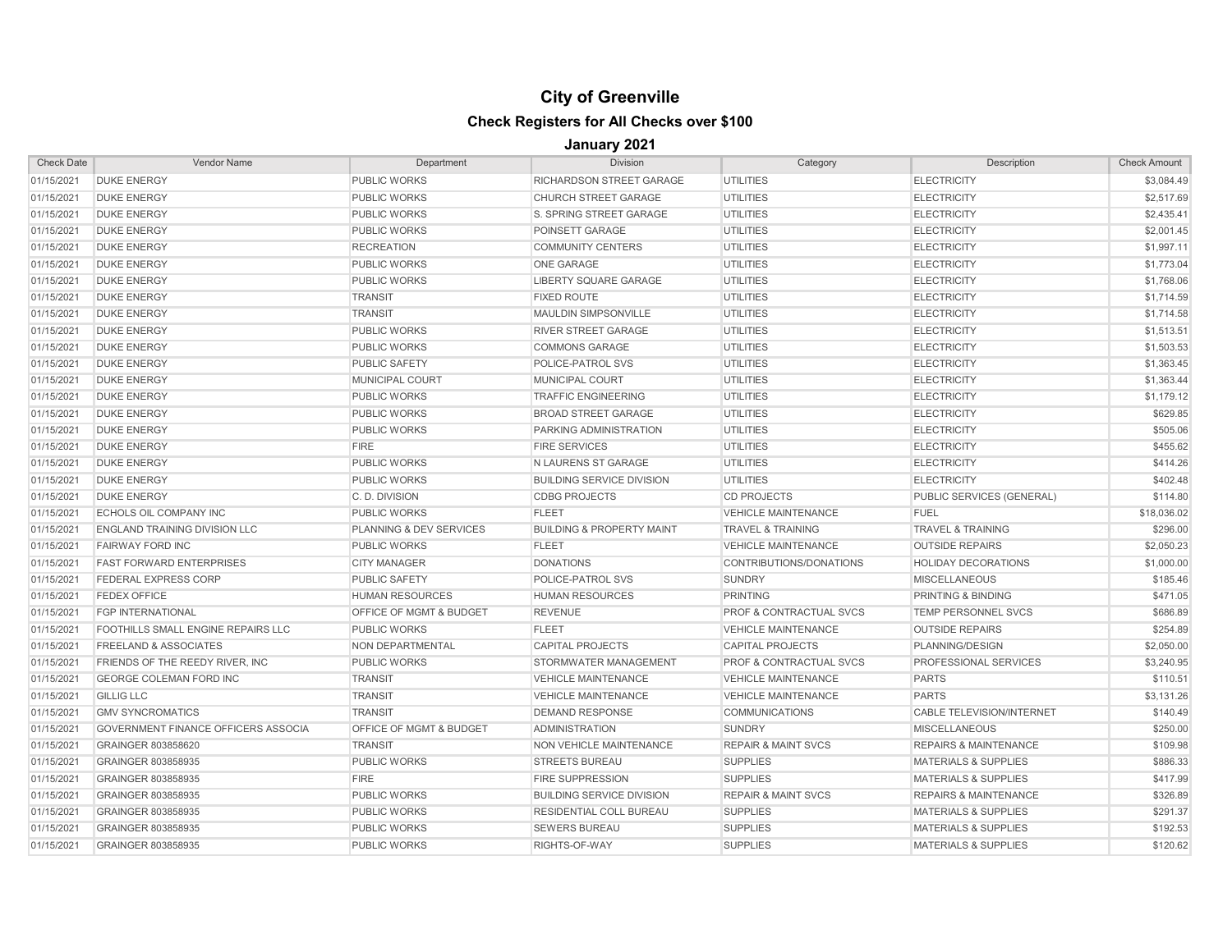| <b>Check Date</b> | Vendor Name                                | Department                         | <b>Division</b>                      | Category                           | Description                      | <b>Check Amount</b> |
|-------------------|--------------------------------------------|------------------------------------|--------------------------------------|------------------------------------|----------------------------------|---------------------|
| 01/15/2021        | <b>DUKE ENERGY</b>                         | <b>PUBLIC WORKS</b>                | RICHARDSON STREET GARAGE             | <b>UTILITIES</b>                   | <b>ELECTRICITY</b>               | \$3,084.49          |
| 01/15/2021        | <b>DUKE ENERGY</b>                         | <b>PUBLIC WORKS</b>                | <b>CHURCH STREET GARAGE</b>          | <b>UTILITIES</b>                   | <b>ELECTRICITY</b>               | \$2,517.69          |
| 01/15/2021        | <b>DUKE ENERGY</b>                         | <b>PUBLIC WORKS</b>                | S. SPRING STREET GARAGE              | <b>UTILITIES</b>                   | <b>ELECTRICITY</b>               | \$2,435.41          |
| 01/15/2021        | <b>DUKE ENERGY</b>                         | <b>PUBLIC WORKS</b>                | POINSETT GARAGE                      | UTILITIES                          | <b>ELECTRICITY</b>               | \$2,001.45          |
| 01/15/2021        | <b>DUKE ENERGY</b>                         | <b>RECREATION</b>                  | <b>COMMUNITY CENTERS</b>             | <b>UTILITIES</b>                   | <b>ELECTRICITY</b>               | \$1,997.11          |
| 01/15/2021        | <b>DUKE ENERGY</b>                         | <b>PUBLIC WORKS</b>                | <b>ONE GARAGE</b>                    | <b>UTILITIES</b>                   | <b>ELECTRICITY</b>               | \$1,773.04          |
| 01/15/2021        | <b>DUKE ENERGY</b>                         | <b>PUBLIC WORKS</b>                | <b>LIBERTY SQUARE GARAGE</b>         | <b>UTILITIES</b>                   | <b>ELECTRICITY</b>               | \$1,768.06          |
| 01/15/2021        | <b>DUKE ENERGY</b>                         | <b>TRANSIT</b>                     | <b>FIXED ROUTE</b>                   | <b>UTILITIES</b>                   | <b>ELECTRICITY</b>               | \$1,714.59          |
| 01/15/2021        | <b>DUKE ENERGY</b>                         | <b>TRANSIT</b>                     | MAULDIN SIMPSONVILLE                 | <b>UTILITIES</b>                   | <b>ELECTRICITY</b>               | \$1,714.58          |
| 01/15/2021        | <b>DUKE ENERGY</b>                         | <b>PUBLIC WORKS</b>                | <b>RIVER STREET GARAGE</b>           | <b>UTILITIES</b>                   | <b>ELECTRICITY</b>               | \$1,513.51          |
| 01/15/2021        | <b>DUKE ENERGY</b>                         | <b>PUBLIC WORKS</b>                | <b>COMMONS GARAGE</b>                | <b>UTILITIES</b>                   | <b>ELECTRICITY</b>               | \$1,503.53          |
| 01/15/2021        | <b>DUKE ENERGY</b>                         | <b>PUBLIC SAFETY</b>               | POLICE-PATROL SVS                    | <b>UTILITIES</b>                   | <b>ELECTRICITY</b>               | \$1,363.45          |
| 01/15/2021        | <b>DUKE ENERGY</b>                         | <b>MUNICIPAL COURT</b>             | <b>MUNICIPAL COURT</b>               | <b>UTILITIES</b>                   | <b>ELECTRICITY</b>               | \$1,363.44          |
| 01/15/2021        | <b>DUKE ENERGY</b>                         | <b>PUBLIC WORKS</b>                | <b>TRAFFIC ENGINEERING</b>           | <b>UTILITIES</b>                   | <b>ELECTRICITY</b>               | \$1,179.12          |
| 01/15/2021        | <b>DUKE ENERGY</b>                         | <b>PUBLIC WORKS</b>                | <b>BROAD STREET GARAGE</b>           | <b>UTILITIES</b>                   | <b>ELECTRICITY</b>               | \$629.85            |
| 01/15/2021        | <b>DUKE ENERGY</b>                         | <b>PUBLIC WORKS</b>                | PARKING ADMINISTRATION               | <b>UTILITIES</b>                   | <b>ELECTRICITY</b>               | \$505.06            |
| 01/15/2021        | <b>DUKE ENERGY</b>                         | <b>FIRE</b>                        | <b>FIRE SERVICES</b>                 | <b>UTILITIES</b>                   | <b>ELECTRICITY</b>               | \$455.62            |
| 01/15/2021        | <b>DUKE ENERGY</b>                         | <b>PUBLIC WORKS</b>                | N LAURENS ST GARAGE                  | <b>UTILITIES</b>                   | <b>ELECTRICITY</b>               | \$414.26            |
| 01/15/2021        | <b>DUKE ENERGY</b>                         | <b>PUBLIC WORKS</b>                | <b>BUILDING SERVICE DIVISION</b>     | <b>UTILITIES</b>                   | <b>ELECTRICITY</b>               | \$402.48            |
| 01/15/2021        | <b>DUKE ENERGY</b>                         | C.D. DIVISION                      | <b>CDBG PROJECTS</b>                 | <b>CD PROJECTS</b>                 | PUBLIC SERVICES (GENERAL)        | \$114.80            |
| 01/15/2021        | <b>ECHOLS OIL COMPANY INC</b>              | <b>PUBLIC WORKS</b>                | <b>FLEET</b>                         | <b>VEHICLE MAINTENANCE</b>         | <b>FUEL</b>                      | \$18,036.02         |
| 01/15/2021        | <b>ENGLAND TRAINING DIVISION LLC</b>       | <b>PLANNING &amp; DEV SERVICES</b> | <b>BUILDING &amp; PROPERTY MAINT</b> | <b>TRAVEL &amp; TRAINING</b>       | <b>TRAVEL &amp; TRAINING</b>     | \$296.00            |
| 01/15/2021        | <b>FAIRWAY FORD INC</b>                    | <b>PUBLIC WORKS</b>                | <b>FLEET</b>                         | <b>VEHICLE MAINTENANCE</b>         | <b>OUTSIDE REPAIRS</b>           | \$2,050.23          |
| 01/15/2021        | <b>FAST FORWARD ENTERPRISES</b>            | <b>CITY MANAGER</b>                | <b>DONATIONS</b>                     | CONTRIBUTIONS/DONATIONS            | <b>HOLIDAY DECORATIONS</b>       | \$1,000.00          |
| 01/15/2021        | <b>FEDERAL EXPRESS CORP</b>                | <b>PUBLIC SAFETY</b>               | POLICE-PATROL SVS                    | <b>SUNDRY</b>                      | <b>MISCELLANEOUS</b>             | \$185.46            |
| 01/15/2021        | <b>FEDEX OFFICE</b>                        | <b>HUMAN RESOURCES</b>             | <b>HUMAN RESOURCES</b>               | <b>PRINTING</b>                    | PRINTING & BINDING               | \$471.05            |
| 01/15/2021        | <b>FGP INTERNATIONAL</b>                   | <b>OFFICE OF MGMT &amp; BUDGET</b> | <b>REVENUE</b>                       | <b>PROF &amp; CONTRACTUAL SVCS</b> | <b>TEMP PERSONNEL SVCS</b>       | \$686.89            |
| 01/15/2021        | FOOTHILLS SMALL ENGINE REPAIRS LLC         | <b>PUBLIC WORKS</b>                | <b>FLEET</b>                         | <b>VEHICLE MAINTENANCE</b>         | <b>OUTSIDE REPAIRS</b>           | \$254.89            |
| 01/15/2021        | <b>FREELAND &amp; ASSOCIATES</b>           | NON DEPARTMENTAL                   | <b>CAPITAL PROJECTS</b>              | <b>CAPITAL PROJECTS</b>            | PLANNING/DESIGN                  | \$2,050.00          |
| 01/15/2021        | FRIENDS OF THE REEDY RIVER, INC.           | <b>PUBLIC WORKS</b>                | STORMWATER MANAGEMENT                | <b>PROF &amp; CONTRACTUAL SVCS</b> | PROFESSIONAL SERVICES            | \$3,240.95          |
| 01/15/2021        | <b>GEORGE COLEMAN FORD INC</b>             | <b>TRANSIT</b>                     | <b>VEHICLE MAINTENANCE</b>           | <b>VEHICLE MAINTENANCE</b>         | <b>PARTS</b>                     | \$110.51            |
| 01/15/2021        | <b>GILLIG LLC</b>                          | <b>TRANSIT</b>                     | <b>VEHICLE MAINTENANCE</b>           | <b>VEHICLE MAINTENANCE</b>         | <b>PARTS</b>                     | \$3,131.26          |
| 01/15/2021        | <b>GMV SYNCROMATICS</b>                    | <b>TRANSIT</b>                     | <b>DEMAND RESPONSE</b>               | <b>COMMUNICATIONS</b>              | <b>CABLE TELEVISION/INTERNET</b> | \$140.49            |
| 01/15/2021        | <b>GOVERNMENT FINANCE OFFICERS ASSOCIA</b> | OFFICE OF MGMT & BUDGET            | <b>ADMINISTRATION</b>                | <b>SUNDRY</b>                      | <b>MISCELLANEOUS</b>             | \$250.00            |
| 01/15/2021        | <b>GRAINGER 803858620</b>                  | <b>TRANSIT</b>                     | <b>NON VEHICLE MAINTENANCE</b>       | <b>REPAIR &amp; MAINT SVCS</b>     | <b>REPAIRS &amp; MAINTENANCE</b> | \$109.98            |
| 01/15/2021        | GRAINGER 803858935                         | <b>PUBLIC WORKS</b>                | <b>STREETS BUREAU</b>                | <b>SUPPLIES</b>                    | <b>MATERIALS &amp; SUPPLIES</b>  | \$886.33            |
| 01/15/2021        | GRAINGER 803858935                         | <b>FIRE</b>                        | <b>FIRE SUPPRESSION</b>              | <b>SUPPLIES</b>                    | <b>MATERIALS &amp; SUPPLIES</b>  | \$417.99            |
| 01/15/2021        | GRAINGER 803858935                         | <b>PUBLIC WORKS</b>                | <b>BUILDING SERVICE DIVISION</b>     | <b>REPAIR &amp; MAINT SVCS</b>     | <b>REPAIRS &amp; MAINTENANCE</b> | \$326.89            |
| 01/15/2021        | GRAINGER 803858935                         | <b>PUBLIC WORKS</b>                | RESIDENTIAL COLL BUREAU              | <b>SUPPLIES</b>                    | <b>MATERIALS &amp; SUPPLIES</b>  | \$291.37            |
| 01/15/2021        | <b>GRAINGER 803858935</b>                  | <b>PUBLIC WORKS</b>                | <b>SEWERS BUREAU</b>                 | <b>SUPPLIES</b>                    | <b>MATERIALS &amp; SUPPLIES</b>  | \$192.53            |
| 01/15/2021        | GRAINGER 803858935                         | <b>PUBLIC WORKS</b>                | RIGHTS-OF-WAY                        | <b>SUPPLIES</b>                    | <b>MATERIALS &amp; SUPPLIES</b>  | \$120.62            |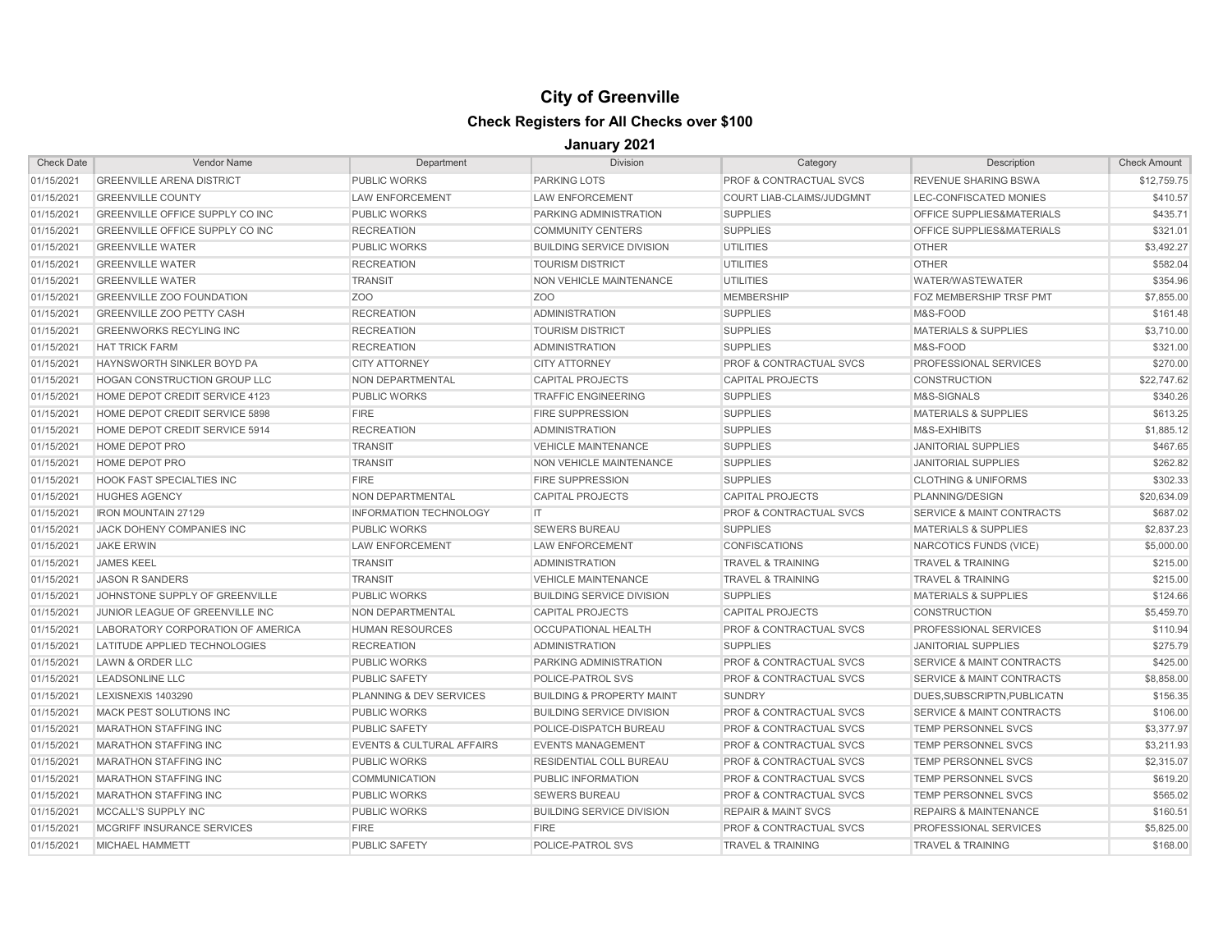| <b>Check Date</b> | <b>Vendor Name</b>                  | Department                           | <b>Division</b>                      | Category                           | Description                          | <b>Check Amount</b> |
|-------------------|-------------------------------------|--------------------------------------|--------------------------------------|------------------------------------|--------------------------------------|---------------------|
| 01/15/2021        | <b>GREENVILLE ARENA DISTRICT</b>    | <b>PUBLIC WORKS</b>                  | <b>PARKING LOTS</b>                  | <b>PROF &amp; CONTRACTUAL SVCS</b> | <b>REVENUE SHARING BSWA</b>          | \$12,759.75         |
| 01/15/2021        | <b>GREENVILLE COUNTY</b>            | <b>LAW ENFORCEMENT</b>               | <b>LAW ENFORCEMENT</b>               | COURT LIAB-CLAIMS/JUDGMNT          | LEC-CONFISCATED MONIES               | \$410.57            |
| 01/15/2021        | GREENVILLE OFFICE SUPPLY CO INC     | <b>PUBLIC WORKS</b>                  | PARKING ADMINISTRATION               | <b>SUPPLIES</b>                    | OFFICE SUPPLIES&MATERIALS            | \$435.71            |
| 01/15/2021        | GREENVILLE OFFICE SUPPLY CO INC     | <b>RECREATION</b>                    | <b>COMMUNITY CENTERS</b>             | <b>SUPPLIES</b>                    | OFFICE SUPPLIES&MATERIALS            | \$321.01            |
| 01/15/2021        | <b>GREENVILLE WATER</b>             | <b>PUBLIC WORKS</b>                  | <b>BUILDING SERVICE DIVISION</b>     | UTILITIES                          | <b>OTHER</b>                         | \$3,492.27          |
| 01/15/2021        | <b>GREENVILLE WATER</b>             | <b>RECREATION</b>                    | <b>TOURISM DISTRICT</b>              | <b>UTILITIES</b>                   | <b>OTHER</b>                         | \$582.04            |
| 01/15/2021        | <b>GREENVILLE WATER</b>             | <b>TRANSIT</b>                       | NON VEHICLE MAINTENANCE              | <b>UTILITIES</b>                   | WATER/WASTEWATER                     | \$354.96            |
| 01/15/2021        | <b>GREENVILLE ZOO FOUNDATION</b>    | Z <sub>O</sub> O                     | Z <sub>O</sub> O                     | <b>MEMBERSHIP</b>                  | FOZ MEMBERSHIP TRSF PMT              | \$7,855.00          |
| 01/15/2021        | <b>GREENVILLE ZOO PETTY CASH</b>    | <b>RECREATION</b>                    | <b>ADMINISTRATION</b>                | <b>SUPPLIES</b>                    | M&S-FOOD                             | \$161.48            |
| 01/15/2021        | <b>GREENWORKS RECYLING INC</b>      | <b>RECREATION</b>                    | <b>TOURISM DISTRICT</b>              | <b>SUPPLIES</b>                    | <b>MATERIALS &amp; SUPPLIES</b>      | \$3,710.00          |
| 01/15/2021        | <b>HAT TRICK FARM</b>               | <b>RECREATION</b>                    | <b>ADMINISTRATION</b>                | <b>SUPPLIES</b>                    | M&S-FOOD                             | \$321.00            |
| 01/15/2021        | HAYNSWORTH SINKLER BOYD PA          | <b>CITY ATTORNEY</b>                 | <b>CITY ATTORNEY</b>                 | <b>PROF &amp; CONTRACTUAL SVCS</b> | PROFESSIONAL SERVICES                | \$270.00            |
| 01/15/2021        | <b>HOGAN CONSTRUCTION GROUP LLC</b> | <b>NON DEPARTMENTAL</b>              | <b>CAPITAL PROJECTS</b>              | <b>CAPITAL PROJECTS</b>            | <b>CONSTRUCTION</b>                  | \$22,747.62         |
| 01/15/2021        | HOME DEPOT CREDIT SERVICE 4123      | <b>PUBLIC WORKS</b>                  | <b>TRAFFIC ENGINEERING</b>           | <b>SUPPLIES</b>                    | M&S-SIGNALS                          | \$340.26            |
| 01/15/2021        | HOME DEPOT CREDIT SERVICE 5898      | <b>FIRE</b>                          | <b>FIRE SUPPRESSION</b>              | <b>SUPPLIES</b>                    | <b>MATERIALS &amp; SUPPLIES</b>      | \$613.25            |
| 01/15/2021        | HOME DEPOT CREDIT SERVICE 5914      | <b>RECREATION</b>                    | <b>ADMINISTRATION</b>                | <b>SUPPLIES</b>                    | M&S-EXHIBITS                         | \$1,885.12          |
| 01/15/2021        | HOME DEPOT PRO                      | <b>TRANSIT</b>                       | <b>VEHICLE MAINTENANCE</b>           | <b>SUPPLIES</b>                    | <b>JANITORIAL SUPPLIES</b>           | \$467.65            |
| 01/15/2021        | HOME DEPOT PRO                      | <b>TRANSIT</b>                       | NON VEHICLE MAINTENANCE              | <b>SUPPLIES</b>                    | <b>JANITORIAL SUPPLIES</b>           | \$262.82            |
| 01/15/2021        | <b>HOOK FAST SPECIALTIES INC</b>    | <b>FIRE</b>                          | <b>FIRE SUPPRESSION</b>              | <b>SUPPLIES</b>                    | <b>CLOTHING &amp; UNIFORMS</b>       | \$302.33            |
| 01/15/2021        | <b>HUGHES AGENCY</b>                | NON DEPARTMENTAL                     | <b>CAPITAL PROJECTS</b>              | <b>CAPITAL PROJECTS</b>            | PLANNING/DESIGN                      | \$20.634.09         |
| 01/15/2021        | <b>IRON MOUNTAIN 27129</b>          | <b>INFORMATION TECHNOLOGY</b>        | IT.                                  | <b>PROF &amp; CONTRACTUAL SVCS</b> | <b>SERVICE &amp; MAINT CONTRACTS</b> | \$687.02            |
| 01/15/2021        | JACK DOHENY COMPANIES INC           | <b>PUBLIC WORKS</b>                  | <b>SEWERS BUREAU</b>                 | <b>SUPPLIES</b>                    | <b>MATERIALS &amp; SUPPLIES</b>      | \$2,837.23          |
| 01/15/2021        | <b>JAKE ERWIN</b>                   | <b>LAW ENFORCEMENT</b>               | <b>LAW ENFORCEMENT</b>               | <b>CONFISCATIONS</b>               | NARCOTICS FUNDS (VICE)               | \$5,000.00          |
| 01/15/2021        | <b>JAMES KEEL</b>                   | <b>TRANSIT</b>                       | <b>ADMINISTRATION</b>                | <b>TRAVEL &amp; TRAINING</b>       | <b>TRAVEL &amp; TRAINING</b>         | \$215.00            |
| 01/15/2021        | <b>JASON R SANDERS</b>              | <b>TRANSIT</b>                       | <b>VEHICLE MAINTENANCE</b>           | <b>TRAVEL &amp; TRAINING</b>       | <b>TRAVEL &amp; TRAINING</b>         | \$215.00            |
| 01/15/2021        | JOHNSTONE SUPPLY OF GREENVILLE      | <b>PUBLIC WORKS</b>                  | <b>BUILDING SERVICE DIVISION</b>     | <b>SUPPLIES</b>                    | <b>MATERIALS &amp; SUPPLIES</b>      | \$124.66            |
| 01/15/2021        | JUNIOR LEAGUE OF GREENVILLE INC     | NON DEPARTMENTAL                     | <b>CAPITAL PROJECTS</b>              | <b>CAPITAL PROJECTS</b>            | <b>CONSTRUCTION</b>                  | \$5,459.70          |
| 01/15/2021        | LABORATORY CORPORATION OF AMERICA   | <b>HUMAN RESOURCES</b>               | <b>OCCUPATIONAL HEALTH</b>           | <b>PROF &amp; CONTRACTUAL SVCS</b> | PROFESSIONAL SERVICES                | \$110.94            |
| 01/15/2021        | LATITUDE APPLIED TECHNOLOGIES       | <b>RECREATION</b>                    | <b>ADMINISTRATION</b>                | <b>SUPPLIES</b>                    | <b>JANITORIAL SUPPLIES</b>           | \$275.79            |
| 01/15/2021        | LAWN & ORDER LLC                    | <b>PUBLIC WORKS</b>                  | PARKING ADMINISTRATION               | <b>PROF &amp; CONTRACTUAL SVCS</b> | <b>SERVICE &amp; MAINT CONTRACTS</b> | \$425.00            |
| 01/15/2021        | <b>LEADSONLINE LLC</b>              | <b>PUBLIC SAFETY</b>                 | POLICE-PATROL SVS                    | <b>PROF &amp; CONTRACTUAL SVCS</b> | <b>SERVICE &amp; MAINT CONTRACTS</b> | \$8,858.00          |
| 01/15/2021        | LEXISNEXIS 1403290                  | PLANNING & DEV SERVICES              | <b>BUILDING &amp; PROPERTY MAINT</b> | <b>SUNDRY</b>                      | DUES, SUBSCRIPTN, PUBLICATN          | \$156.35            |
| 01/15/2021        | MACK PEST SOLUTIONS INC             | <b>PUBLIC WORKS</b>                  | <b>BUILDING SERVICE DIVISION</b>     | <b>PROF &amp; CONTRACTUAL SVCS</b> | <b>SERVICE &amp; MAINT CONTRACTS</b> | \$106.00            |
| 01/15/2021        | <b>MARATHON STAFFING INC</b>        | <b>PUBLIC SAFETY</b>                 | POLICE-DISPATCH BUREAU               | <b>PROF &amp; CONTRACTUAL SVCS</b> | TEMP PERSONNEL SVCS                  | \$3,377.97          |
| 01/15/2021        | <b>MARATHON STAFFING INC</b>        | <b>EVENTS &amp; CULTURAL AFFAIRS</b> | <b>EVENTS MANAGEMENT</b>             | <b>PROF &amp; CONTRACTUAL SVCS</b> | TEMP PERSONNEL SVCS                  | \$3,211.93          |
| 01/15/2021        | <b>MARATHON STAFFING INC</b>        | <b>PUBLIC WORKS</b>                  | RESIDENTIAL COLL BUREAU              | <b>PROF &amp; CONTRACTUAL SVCS</b> | TEMP PERSONNEL SVCS                  | \$2,315.07          |
| 01/15/2021        | <b>MARATHON STAFFING INC</b>        | <b>COMMUNICATION</b>                 | PUBLIC INFORMATION                   | <b>PROF &amp; CONTRACTUAL SVCS</b> | TEMP PERSONNEL SVCS                  | \$619.20            |
| 01/15/2021        | <b>MARATHON STAFFING INC</b>        | <b>PUBLIC WORKS</b>                  | <b>SEWERS BUREAU</b>                 | <b>PROF &amp; CONTRACTUAL SVCS</b> | <b>TEMP PERSONNEL SVCS</b>           | \$565.02            |
| 01/15/2021        | MCCALL'S SUPPLY INC                 | <b>PUBLIC WORKS</b>                  | <b>BUILDING SERVICE DIVISION</b>     | <b>REPAIR &amp; MAINT SVCS</b>     | <b>REPAIRS &amp; MAINTENANCE</b>     | \$160.51            |
| 01/15/2021        | MCGRIFF INSURANCE SERVICES          | <b>FIRE</b>                          | <b>FIRE</b>                          | <b>PROF &amp; CONTRACTUAL SVCS</b> | PROFESSIONAL SERVICES                | \$5,825.00          |
| 01/15/2021        | <b>MICHAEL HAMMETT</b>              | <b>PUBLIC SAFETY</b>                 | POLICE-PATROL SVS                    | <b>TRAVEL &amp; TRAINING</b>       | <b>TRAVEL &amp; TRAINING</b>         | \$168.00            |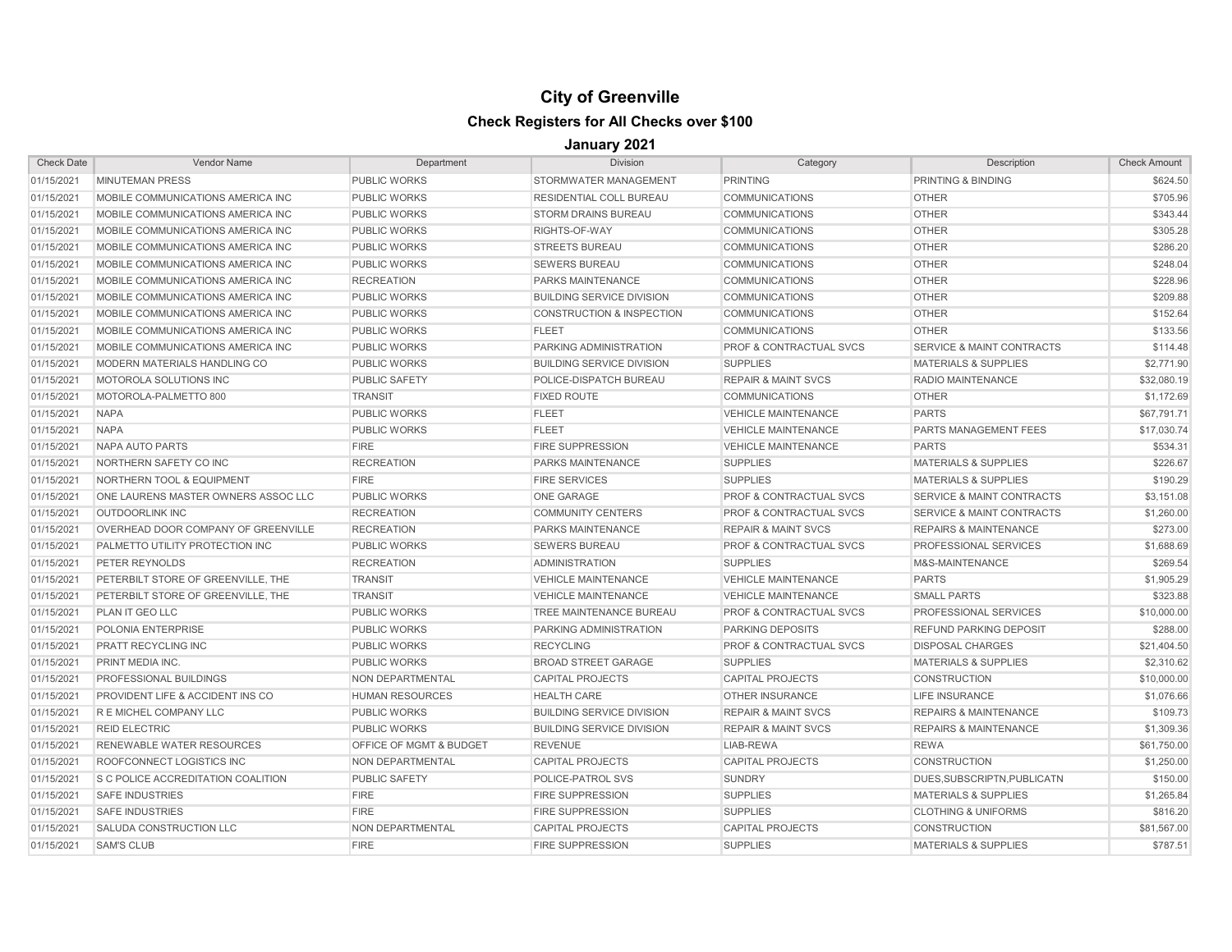| <b>Check Date</b> | <b>Vendor Name</b>                        | Department              | <b>Division</b>                      | Category                           | Description                          | <b>Check Amount</b> |
|-------------------|-------------------------------------------|-------------------------|--------------------------------------|------------------------------------|--------------------------------------|---------------------|
| 01/15/2021        | <b>MINUTEMAN PRESS</b>                    | <b>PUBLIC WORKS</b>     | STORMWATER MANAGEMENT                | <b>PRINTING</b>                    | PRINTING & BINDING                   | \$624.50            |
| 01/15/2021        | MOBILE COMMUNICATIONS AMERICA INC         | <b>PUBLIC WORKS</b>     | <b>RESIDENTIAL COLL BUREAU</b>       | <b>COMMUNICATIONS</b>              | <b>OTHER</b>                         | \$705.96            |
| 01/15/2021        | MOBILE COMMUNICATIONS AMERICA INC         | <b>PUBLIC WORKS</b>     | <b>STORM DRAINS BUREAU</b>           | <b>COMMUNICATIONS</b>              | <b>OTHER</b>                         | \$343.44            |
| 01/15/2021        | MOBILE COMMUNICATIONS AMERICA INC         | <b>PUBLIC WORKS</b>     | RIGHTS-OF-WAY                        | <b>COMMUNICATIONS</b>              | <b>OTHER</b>                         | \$305.28            |
| 01/15/2021        | MOBILE COMMUNICATIONS AMERICA INC         | <b>PUBLIC WORKS</b>     | <b>STREETS BUREAU</b>                | <b>COMMUNICATIONS</b>              | <b>OTHER</b>                         | \$286.20            |
| 01/15/2021        | MOBILE COMMUNICATIONS AMERICA INC         | <b>PUBLIC WORKS</b>     | <b>SEWERS BUREAU</b>                 | <b>COMMUNICATIONS</b>              | <b>OTHER</b>                         | \$248.04            |
| 01/15/2021        | MOBILE COMMUNICATIONS AMERICA INC         | <b>RECREATION</b>       | <b>PARKS MAINTENANCE</b>             | <b>COMMUNICATIONS</b>              | <b>OTHER</b>                         | \$228.96            |
| 01/15/2021        | MOBILE COMMUNICATIONS AMERICA INC         | <b>PUBLIC WORKS</b>     | <b>BUILDING SERVICE DIVISION</b>     | <b>COMMUNICATIONS</b>              | <b>OTHER</b>                         | \$209.88            |
| 01/15/2021        | MOBILE COMMUNICATIONS AMERICA INC         | <b>PUBLIC WORKS</b>     | <b>CONSTRUCTION &amp; INSPECTION</b> | <b>COMMUNICATIONS</b>              | <b>OTHER</b>                         | \$152.64            |
| 01/15/2021        | MOBILE COMMUNICATIONS AMERICA INC         | <b>PUBLIC WORKS</b>     | <b>FLEET</b>                         | <b>COMMUNICATIONS</b>              | <b>OTHER</b>                         | \$133.56            |
| 01/15/2021        | MOBILE COMMUNICATIONS AMERICA INC         | <b>PUBLIC WORKS</b>     | PARKING ADMINISTRATION               | <b>PROF &amp; CONTRACTUAL SVCS</b> | <b>SERVICE &amp; MAINT CONTRACTS</b> | \$114.48            |
| 01/15/2021        | MODERN MATERIALS HANDLING CO              | <b>PUBLIC WORKS</b>     | <b>BUILDING SERVICE DIVISION</b>     | <b>SUPPLIES</b>                    | <b>MATERIALS &amp; SUPPLIES</b>      | \$2,771.90          |
| 01/15/2021        | <b>MOTOROLA SOLUTIONS INC</b>             | <b>PUBLIC SAFETY</b>    | POLICE-DISPATCH BUREAU               | <b>REPAIR &amp; MAINT SVCS</b>     | RADIO MAINTENANCE                    | \$32,080.19         |
| 01/15/2021        | MOTOROLA-PALMETTO 800                     | <b>TRANSIT</b>          | <b>FIXED ROUTE</b>                   | <b>COMMUNICATIONS</b>              | <b>OTHER</b>                         | \$1,172.69          |
| 01/15/2021        | <b>NAPA</b>                               | <b>PUBLIC WORKS</b>     | <b>FLEET</b>                         | <b>VEHICLE MAINTENANCE</b>         | <b>PARTS</b>                         | \$67,791.71         |
| 01/15/2021        | <b>NAPA</b>                               | <b>PUBLIC WORKS</b>     | <b>FLEET</b>                         | <b>VEHICLE MAINTENANCE</b>         | <b>PARTS MANAGEMENT FEES</b>         | \$17,030.74         |
| 01/15/2021        | <b>NAPA AUTO PARTS</b>                    | <b>FIRE</b>             | <b>FIRE SUPPRESSION</b>              | <b>VEHICLE MAINTENANCE</b>         | <b>PARTS</b>                         | \$534.31            |
| 01/15/2021        | NORTHERN SAFETY CO INC                    | <b>RECREATION</b>       | PARKS MAINTENANCE                    | <b>SUPPLIES</b>                    | <b>MATERIALS &amp; SUPPLIES</b>      | \$226.67            |
| 01/15/2021        | <b>NORTHERN TOOL &amp; EQUIPMENT</b>      | <b>FIRE</b>             | <b>FIRE SERVICES</b>                 | <b>SUPPLIES</b>                    | <b>MATERIALS &amp; SUPPLIES</b>      | \$190.29            |
| 01/15/2021        | ONE LAURENS MASTER OWNERS ASSOC LLC       | <b>PUBLIC WORKS</b>     | <b>ONE GARAGE</b>                    | <b>PROF &amp; CONTRACTUAL SVCS</b> | <b>SERVICE &amp; MAINT CONTRACTS</b> | \$3,151.08          |
| 01/15/2021        | <b>OUTDOORLINK INC</b>                    | <b>RECREATION</b>       | <b>COMMUNITY CENTERS</b>             | <b>PROF &amp; CONTRACTUAL SVCS</b> | SERVICE & MAINT CONTRACTS            | \$1,260.00          |
| 01/15/2021        | OVERHEAD DOOR COMPANY OF GREENVILLE       | <b>RECREATION</b>       | PARKS MAINTENANCE                    | <b>REPAIR &amp; MAINT SVCS</b>     | <b>REPAIRS &amp; MAINTENANCE</b>     | \$273.00            |
| 01/15/2021        | PALMETTO UTILITY PROTECTION INC           | <b>PUBLIC WORKS</b>     | <b>SEWERS BUREAU</b>                 | <b>PROF &amp; CONTRACTUAL SVCS</b> | PROFESSIONAL SERVICES                | \$1,688.69          |
| 01/15/2021        | PETER REYNOLDS                            | <b>RECREATION</b>       | <b>ADMINISTRATION</b>                | <b>SUPPLIES</b>                    | M&S-MAINTENANCE                      | \$269.54            |
| 01/15/2021        | PETERBILT STORE OF GREENVILLE. THE        | <b>TRANSIT</b>          | <b>VEHICLE MAINTENANCE</b>           | <b>VEHICLE MAINTENANCE</b>         | <b>PARTS</b>                         | \$1,905.29          |
| 01/15/2021        | PETERBILT STORE OF GREENVILLE. THE        | <b>TRANSIT</b>          | <b>VEHICLE MAINTENANCE</b>           | <b>VEHICLE MAINTENANCE</b>         | <b>SMALL PARTS</b>                   | \$323.88            |
| 01/15/2021        | <b>PLAN IT GEO LLC</b>                    | <b>PUBLIC WORKS</b>     | TREE MAINTENANCE BUREAU              | <b>PROF &amp; CONTRACTUAL SVCS</b> | PROFESSIONAL SERVICES                | \$10,000.00         |
| 01/15/2021        | POLONIA ENTERPRISE                        | <b>PUBLIC WORKS</b>     | <b>PARKING ADMINISTRATION</b>        | <b>PARKING DEPOSITS</b>            | <b>REFUND PARKING DEPOSIT</b>        | \$288.00            |
| 01/15/2021        | PRATT RECYCLING INC                       | <b>PUBLIC WORKS</b>     | <b>RECYCLING</b>                     | <b>PROF &amp; CONTRACTUAL SVCS</b> | <b>DISPOSAL CHARGES</b>              | \$21,404.50         |
| 01/15/2021        | PRINT MEDIA INC.                          | <b>PUBLIC WORKS</b>     | <b>BROAD STREET GARAGE</b>           | <b>SUPPLIES</b>                    | <b>MATERIALS &amp; SUPPLIES</b>      | \$2,310.62          |
| 01/15/2021        | <b>PROFESSIONAL BUILDINGS</b>             | NON DEPARTMENTAL        | <b>CAPITAL PROJECTS</b>              | <b>CAPITAL PROJECTS</b>            | <b>CONSTRUCTION</b>                  | \$10,000.00         |
| 01/15/2021        | PROVIDENT LIFE & ACCIDENT INS CO          | <b>HUMAN RESOURCES</b>  | <b>HEALTH CARE</b>                   | <b>OTHER INSURANCE</b>             | <b>LIFE INSURANCE</b>                | \$1,076.66          |
| 01/15/2021        | R E MICHEL COMPANY LLC                    | <b>PUBLIC WORKS</b>     | <b>BUILDING SERVICE DIVISION</b>     | <b>REPAIR &amp; MAINT SVCS</b>     | <b>REPAIRS &amp; MAINTENANCE</b>     | \$109.73            |
| 01/15/2021        | <b>REID ELECTRIC</b>                      | <b>PUBLIC WORKS</b>     | <b>BUILDING SERVICE DIVISION</b>     | <b>REPAIR &amp; MAINT SVCS</b>     | <b>REPAIRS &amp; MAINTENANCE</b>     | \$1,309.36          |
| 01/15/2021        | <b>RENEWABLE WATER RESOURCES</b>          | OFFICE OF MGMT & BUDGET | <b>REVENUE</b>                       | LIAB-REWA                          | <b>REWA</b>                          | \$61,750.00         |
| 01/15/2021        | ROOFCONNECT LOGISTICS INC                 | NON DEPARTMENTAL        | <b>CAPITAL PROJECTS</b>              | <b>CAPITAL PROJECTS</b>            | <b>CONSTRUCTION</b>                  | \$1,250.00          |
| 01/15/2021        | <b>S C POLICE ACCREDITATION COALITION</b> | <b>PUBLIC SAFETY</b>    | POLICE-PATROL SVS                    | SUNDRY                             | DUES, SUBSCRIPTN, PUBLICATN          | \$150.00            |
| 01/15/2021        | <b>SAFE INDUSTRIES</b>                    | <b>FIRE</b>             | <b>FIRE SUPPRESSION</b>              | <b>SUPPLIES</b>                    | <b>MATERIALS &amp; SUPPLIES</b>      | \$1,265.84          |
| 01/15/2021        | <b>SAFE INDUSTRIES</b>                    | <b>FIRE</b>             | <b>FIRE SUPPRESSION</b>              | <b>SUPPLIES</b>                    | <b>CLOTHING &amp; UNIFORMS</b>       | \$816.20            |
| 01/15/2021        | SALUDA CONSTRUCTION LLC                   | <b>NON DEPARTMENTAL</b> | <b>CAPITAL PROJECTS</b>              | <b>CAPITAL PROJECTS</b>            | <b>CONSTRUCTION</b>                  | \$81,567.00         |
| 01/15/2021        | <b>SAM'S CLUB</b>                         | <b>FIRE</b>             | <b>FIRE SUPPRESSION</b>              | <b>SUPPLIES</b>                    | <b>MATERIALS &amp; SUPPLIES</b>      | \$787.51            |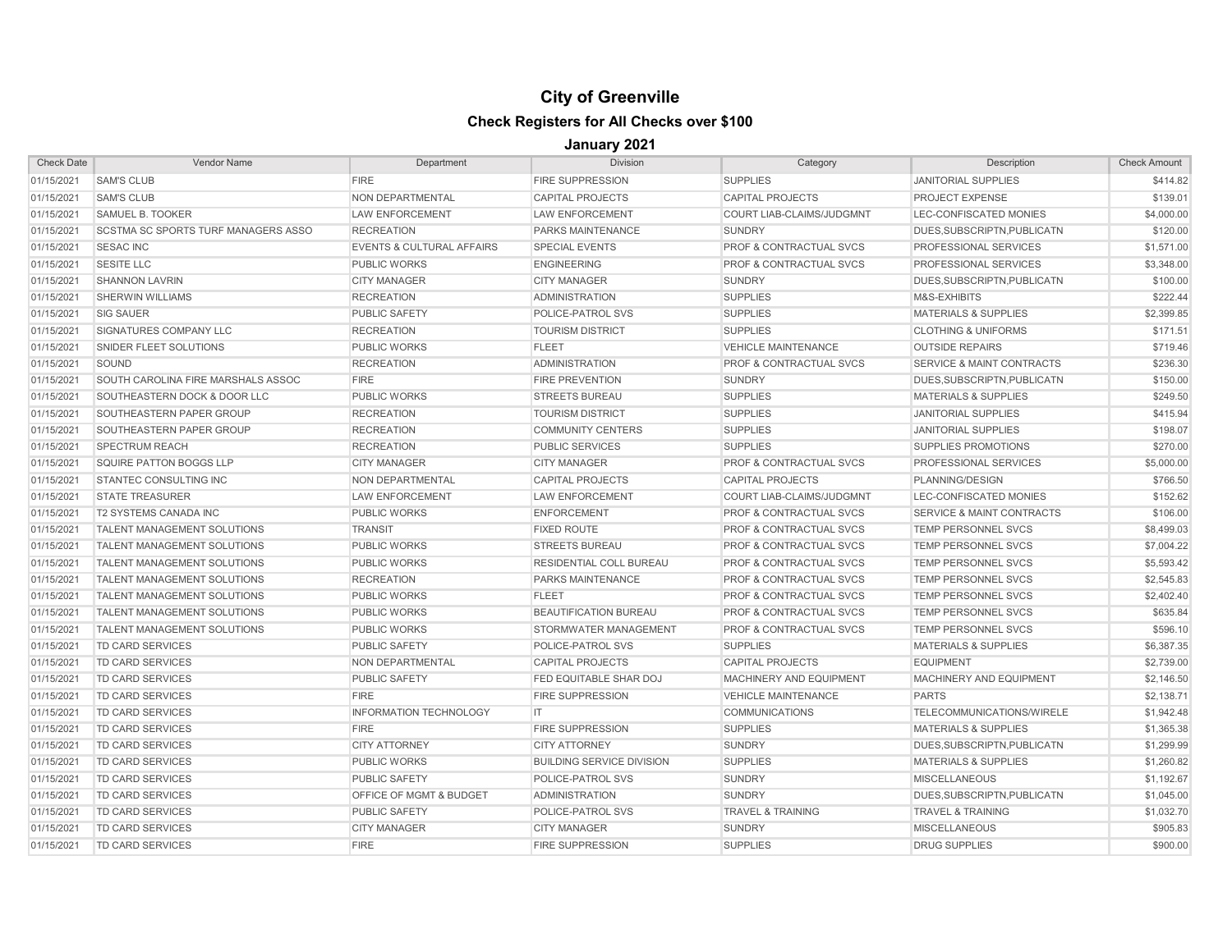| <b>Check Date</b> | <b>Vendor Name</b>                         | Department                           | <b>Division</b>                  | Category                           | Description                          | <b>Check Amount</b> |
|-------------------|--------------------------------------------|--------------------------------------|----------------------------------|------------------------------------|--------------------------------------|---------------------|
| 01/15/2021        | <b>SAM'S CLUB</b>                          | <b>FIRE</b>                          | <b>FIRE SUPPRESSION</b>          | <b>SUPPLIES</b>                    | <b>JANITORIAL SUPPLIES</b>           | \$414.82            |
| 01/15/2021        | <b>SAM'S CLUB</b>                          | NON DEPARTMENTAL                     | <b>CAPITAL PROJECTS</b>          | <b>CAPITAL PROJECTS</b>            | <b>PROJECT EXPENSE</b>               | \$139.01            |
| 01/15/2021        | <b>SAMUEL B. TOOKER</b>                    | <b>LAW ENFORCEMENT</b>               | <b>LAW ENFORCEMENT</b>           | <b>COURT LIAB-CLAIMS/JUDGMNT</b>   | LEC-CONFISCATED MONIES               | \$4,000.00          |
| 01/15/2021        | <b>SCSTMA SC SPORTS TURF MANAGERS ASSO</b> | <b>RECREATION</b>                    | PARKS MAINTENANCE                | <b>SUNDRY</b>                      | DUES, SUBSCRIPTN, PUBLICATN          | \$120.00            |
| 01/15/2021        | <b>SESAC INC</b>                           | <b>EVENTS &amp; CULTURAL AFFAIRS</b> | <b>SPECIAL EVENTS</b>            | PROF & CONTRACTUAL SVCS            | PROFESSIONAL SERVICES                | \$1,571.00          |
| 01/15/2021        | <b>SESITE LLC</b>                          | <b>PUBLIC WORKS</b>                  | <b>ENGINEERING</b>               | <b>PROF &amp; CONTRACTUAL SVCS</b> | PROFESSIONAL SERVICES                | \$3,348.00          |
| 01/15/2021        | <b>SHANNON LAVRIN</b>                      | <b>CITY MANAGER</b>                  | <b>CITY MANAGER</b>              | <b>SUNDRY</b>                      | DUES, SUBSCRIPTN, PUBLICATN          | \$100.00            |
| 01/15/2021        | <b>SHERWIN WILLIAMS</b>                    | <b>RECREATION</b>                    | <b>ADMINISTRATION</b>            | <b>SUPPLIES</b>                    | M&S-EXHIBITS                         | \$222.44            |
| 01/15/2021        | <b>SIG SAUER</b>                           | <b>PUBLIC SAFETY</b>                 | POLICE-PATROL SVS                | <b>SUPPLIES</b>                    | <b>MATERIALS &amp; SUPPLIES</b>      | \$2,399.85          |
| 01/15/2021        | SIGNATURES COMPANY LLC                     | <b>RECREATION</b>                    | <b>TOURISM DISTRICT</b>          | <b>SUPPLIES</b>                    | <b>CLOTHING &amp; UNIFORMS</b>       | \$171.51            |
| 01/15/2021        | SNIDER FLEET SOLUTIONS                     | <b>PUBLIC WORKS</b>                  | <b>FLEET</b>                     | <b>VEHICLE MAINTENANCE</b>         | <b>OUTSIDE REPAIRS</b>               | \$719.46            |
| 01/15/2021        | SOUND                                      | <b>RECREATION</b>                    | <b>ADMINISTRATION</b>            | <b>PROF &amp; CONTRACTUAL SVCS</b> | <b>SERVICE &amp; MAINT CONTRACTS</b> | \$236.30            |
| 01/15/2021        | SOUTH CAROLINA FIRE MARSHALS ASSOC         | <b>FIRE</b>                          | <b>FIRE PREVENTION</b>           | <b>SUNDRY</b>                      | DUES.SUBSCRIPTN.PUBLICATN            | \$150.00            |
| 01/15/2021        | SOUTHEASTERN DOCK & DOOR LLC               | <b>PUBLIC WORKS</b>                  | <b>STREETS BUREAU</b>            | <b>SUPPLIES</b>                    | <b>MATERIALS &amp; SUPPLIES</b>      | \$249.50            |
| 01/15/2021        | SOUTHEASTERN PAPER GROUP                   | <b>RECREATION</b>                    | <b>TOURISM DISTRICT</b>          | <b>SUPPLIES</b>                    | <b>JANITORIAL SUPPLIES</b>           | \$415.94            |
| 01/15/2021        | SOUTHEASTERN PAPER GROUP                   | <b>RECREATION</b>                    | <b>COMMUNITY CENTERS</b>         | <b>SUPPLIES</b>                    | <b>JANITORIAL SUPPLIES</b>           | \$198.07            |
| 01/15/2021        | <b>SPECTRUM REACH</b>                      | <b>RECREATION</b>                    | <b>PUBLIC SERVICES</b>           | <b>SUPPLIES</b>                    | <b>SUPPLIES PROMOTIONS</b>           | \$270.00            |
| 01/15/2021        | SQUIRE PATTON BOGGS LLP                    | <b>CITY MANAGER</b>                  | <b>CITY MANAGER</b>              | <b>PROF &amp; CONTRACTUAL SVCS</b> | PROFESSIONAL SERVICES                | \$5,000.00          |
| 01/15/2021        | <b>STANTEC CONSULTING INC</b>              | NON DEPARTMENTAL                     | <b>CAPITAL PROJECTS</b>          | <b>CAPITAL PROJECTS</b>            | PLANNING/DESIGN                      | \$766.50            |
| 01/15/2021        | <b>STATE TREASURER</b>                     | <b>LAW ENFORCEMENT</b>               | <b>LAW ENFORCEMENT</b>           | COURT LIAB-CLAIMS/JUDGMNT          | LEC-CONFISCATED MONIES               | \$152.62            |
| 01/15/2021        | <b>T2 SYSTEMS CANADA INC</b>               | <b>PUBLIC WORKS</b>                  | <b>ENFORCEMENT</b>               | <b>PROF &amp; CONTRACTUAL SVCS</b> | SERVICE & MAINT CONTRACTS            | \$106.00            |
| 01/15/2021        | <b>TALENT MANAGEMENT SOLUTIONS</b>         | <b>TRANSIT</b>                       | <b>FIXED ROUTE</b>               | <b>PROF &amp; CONTRACTUAL SVCS</b> | TEMP PERSONNEL SVCS                  | \$8,499.03          |
| 01/15/2021        | <b>TALENT MANAGEMENT SOLUTIONS</b>         | <b>PUBLIC WORKS</b>                  | <b>STREETS BUREAU</b>            | <b>PROF &amp; CONTRACTUAL SVCS</b> | TEMP PERSONNEL SVCS                  | \$7,004.22          |
| 01/15/2021        | <b>TALENT MANAGEMENT SOLUTIONS</b>         | <b>PUBLIC WORKS</b>                  | <b>RESIDENTIAL COLL BUREAU</b>   | <b>PROF &amp; CONTRACTUAL SVCS</b> | <b>TEMP PERSONNEL SVCS</b>           | \$5,593.42          |
| 01/15/2021        | TALENT MANAGEMENT SOLUTIONS                | <b>RECREATION</b>                    | <b>PARKS MAINTENANCE</b>         | <b>PROF &amp; CONTRACTUAL SVCS</b> | <b>TEMP PERSONNEL SVCS</b>           | \$2,545.83          |
| 01/15/2021        | <b>TALENT MANAGEMENT SOLUTIONS</b>         | <b>PUBLIC WORKS</b>                  | <b>FLEET</b>                     | <b>PROF &amp; CONTRACTUAL SVCS</b> | <b>TEMP PERSONNEL SVCS</b>           | \$2,402.40          |
| 01/15/2021        | <b>TALENT MANAGEMENT SOLUTIONS</b>         | <b>PUBLIC WORKS</b>                  | <b>BEAUTIFICATION BUREAU</b>     | <b>PROF &amp; CONTRACTUAL SVCS</b> | <b>TEMP PERSONNEL SVCS</b>           | \$635.84            |
| 01/15/2021        | <b>TALENT MANAGEMENT SOLUTIONS</b>         | <b>PUBLIC WORKS</b>                  | STORMWATER MANAGEMENT            | <b>PROF &amp; CONTRACTUAL SVCS</b> | TEMP PERSONNEL SVCS                  | \$596.10            |
| 01/15/2021        | TD CARD SERVICES                           | <b>PUBLIC SAFETY</b>                 | POLICE-PATROL SVS                | <b>SUPPLIES</b>                    | <b>MATERIALS &amp; SUPPLIES</b>      | \$6,387.35          |
| 01/15/2021        | <b>TD CARD SERVICES</b>                    | NON DEPARTMENTAL                     | <b>CAPITAL PROJECTS</b>          | <b>CAPITAL PROJECTS</b>            | <b>EQUIPMENT</b>                     | \$2,739.00          |
| 01/15/2021        | TD CARD SERVICES                           | <b>PUBLIC SAFETY</b>                 | FED EQUITABLE SHAR DOJ           | MACHINERY AND EQUIPMENT            | MACHINERY AND EQUIPMENT              | \$2,146.50          |
| 01/15/2021        | <b>TD CARD SERVICES</b>                    | <b>FIRE</b>                          | <b>FIRE SUPPRESSION</b>          | <b>VEHICLE MAINTENANCE</b>         | <b>PARTS</b>                         | \$2,138.71          |
| 01/15/2021        | <b>TD CARD SERVICES</b>                    | <b>INFORMATION TECHNOLOGY</b>        | IT                               | <b>COMMUNICATIONS</b>              | TELECOMMUNICATIONS/WIRELE            | \$1,942.48          |
| 01/15/2021        | TD CARD SERVICES                           | <b>FIRE</b>                          | <b>FIRE SUPPRESSION</b>          | <b>SUPPLIES</b>                    | <b>MATERIALS &amp; SUPPLIES</b>      | \$1,365.38          |
| 01/15/2021        | TD CARD SERVICES                           | <b>CITY ATTORNEY</b>                 | <b>CITY ATTORNEY</b>             | <b>SUNDRY</b>                      | DUES, SUBSCRIPTN, PUBLICATN          | \$1,299.99          |
| 01/15/2021        | TD CARD SERVICES                           | <b>PUBLIC WORKS</b>                  | <b>BUILDING SERVICE DIVISION</b> | <b>SUPPLIES</b>                    | <b>MATERIALS &amp; SUPPLIES</b>      | \$1,260.82          |
| 01/15/2021        | <b>TD CARD SERVICES</b>                    | <b>PUBLIC SAFETY</b>                 | POLICE-PATROL SVS                | <b>SUNDRY</b>                      | <b>MISCELLANEOUS</b>                 | \$1,192.67          |
| 01/15/2021        | TD CARD SERVICES                           | OFFICE OF MGMT & BUDGET              | <b>ADMINISTRATION</b>            | <b>SUNDRY</b>                      | DUES, SUBSCRIPTN, PUBLICATN          | \$1,045.00          |
| 01/15/2021        | TD CARD SERVICES                           | <b>PUBLIC SAFETY</b>                 | POLICE-PATROL SVS                | <b>TRAVEL &amp; TRAINING</b>       | <b>TRAVEL &amp; TRAINING</b>         | \$1,032.70          |
| 01/15/2021        | TD CARD SERVICES                           | <b>CITY MANAGER</b>                  | <b>CITY MANAGER</b>              | <b>SUNDRY</b>                      | <b>MISCELLANEOUS</b>                 | \$905.83            |
| 01/15/2021        | TD CARD SERVICES                           | <b>FIRE</b>                          | <b>FIRE SUPPRESSION</b>          | <b>SUPPLIES</b>                    | <b>DRUG SUPPLIES</b>                 | \$900.00            |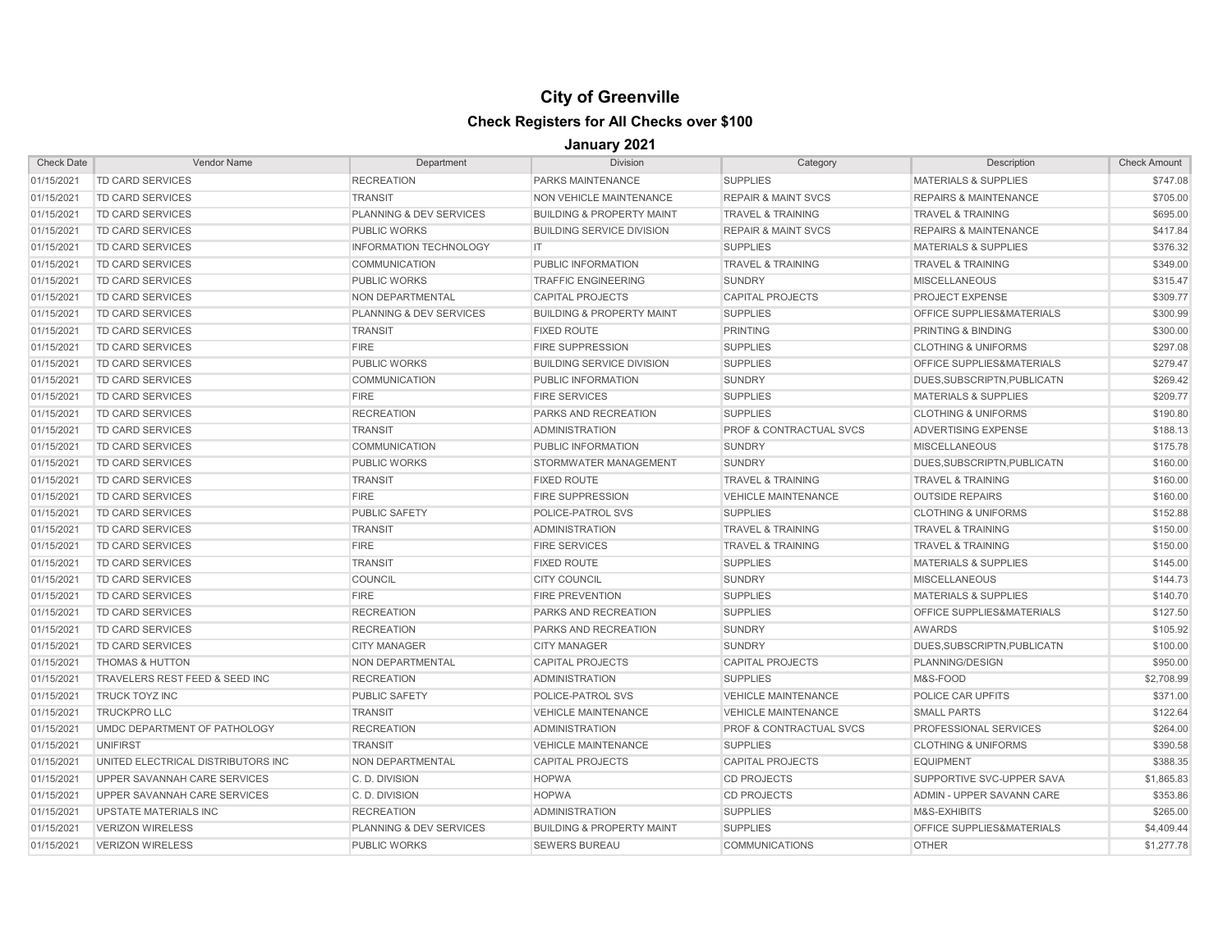| <b>Check Date</b> | <b>Vendor Name</b>                 | Department                         | <b>Division</b>                      | Category                           | Description                      | <b>Check Amount</b> |
|-------------------|------------------------------------|------------------------------------|--------------------------------------|------------------------------------|----------------------------------|---------------------|
| 01/15/2021        | <b>TD CARD SERVICES</b>            | <b>RECREATION</b>                  | PARKS MAINTENANCE                    | <b>SUPPLIES</b>                    | <b>MATERIALS &amp; SUPPLIES</b>  | \$747.08            |
| 01/15/2021        | <b>TD CARD SERVICES</b>            | <b>TRANSIT</b>                     | NON VEHICLE MAINTENANCE              | <b>REPAIR &amp; MAINT SVCS</b>     | <b>REPAIRS &amp; MAINTENANCE</b> | \$705.00            |
| 01/15/2021        | <b>TD CARD SERVICES</b>            | <b>PLANNING &amp; DEV SERVICES</b> | <b>BUILDING &amp; PROPERTY MAINT</b> | <b>TRAVEL &amp; TRAINING</b>       | <b>TRAVEL &amp; TRAINING</b>     | \$695.00            |
| 01/15/2021        | <b>TD CARD SERVICES</b>            | <b>PUBLIC WORKS</b>                | <b>BUILDING SERVICE DIVISION</b>     | <b>REPAIR &amp; MAINT SVCS</b>     | <b>REPAIRS &amp; MAINTENANCE</b> | \$417.84            |
| 01/15/2021        | <b>TD CARD SERVICES</b>            | <b>INFORMATION TECHNOLOGY</b>      | IT                                   | <b>SUPPLIES</b>                    | <b>MATERIALS &amp; SUPPLIES</b>  | \$376.32            |
| 01/15/2021        | <b>TD CARD SERVICES</b>            | <b>COMMUNICATION</b>               | PUBLIC INFORMATION                   | <b>TRAVEL &amp; TRAINING</b>       | <b>TRAVEL &amp; TRAINING</b>     | \$349.00            |
| 01/15/2021        | TD CARD SERVICES                   | <b>PUBLIC WORKS</b>                | <b>TRAFFIC ENGINEERING</b>           | SUNDRY                             | <b>MISCELLANEOUS</b>             | \$315.47            |
| 01/15/2021        | <b>TD CARD SERVICES</b>            | NON DEPARTMENTAL                   | <b>CAPITAL PROJECTS</b>              | <b>CAPITAL PROJECTS</b>            | PROJECT EXPENSE                  | \$309.77            |
| 01/15/2021        | <b>TD CARD SERVICES</b>            | <b>PLANNING &amp; DEV SERVICES</b> | <b>BUILDING &amp; PROPERTY MAINT</b> | <b>SUPPLIES</b>                    | OFFICE SUPPLIES&MATERIALS        | \$300.99            |
| 01/15/2021        | <b>TD CARD SERVICES</b>            | <b>TRANSIT</b>                     | <b>FIXED ROUTE</b>                   | <b>PRINTING</b>                    | PRINTING & BINDING               | \$300.00            |
| 01/15/2021        | <b>TD CARD SERVICES</b>            | <b>FIRE</b>                        | <b>FIRE SUPPRESSION</b>              | <b>SUPPLIES</b>                    | <b>CLOTHING &amp; UNIFORMS</b>   | \$297.08            |
| 01/15/2021        | <b>TD CARD SERVICES</b>            | <b>PUBLIC WORKS</b>                | <b>BUILDING SERVICE DIVISION</b>     | <b>SUPPLIES</b>                    | OFFICE SUPPLIES&MATERIALS        | \$279.47            |
| 01/15/2021        | <b>TD CARD SERVICES</b>            | <b>COMMUNICATION</b>               | PUBLIC INFORMATION                   | <b>SUNDRY</b>                      | DUES, SUBSCRIPTN, PUBLICATN      | \$269.42            |
| 01/15/2021        | <b>TD CARD SERVICES</b>            | <b>FIRE</b>                        | <b>FIRE SERVICES</b>                 | <b>SUPPLIES</b>                    | <b>MATERIALS &amp; SUPPLIES</b>  | \$209.77            |
| 01/15/2021        | TD CARD SERVICES                   | <b>RECREATION</b>                  | PARKS AND RECREATION                 | <b>SUPPLIES</b>                    | <b>CLOTHING &amp; UNIFORMS</b>   | \$190.80            |
| 01/15/2021        | TD CARD SERVICES                   | <b>TRANSIT</b>                     | <b>ADMINISTRATION</b>                | <b>PROF &amp; CONTRACTUAL SVCS</b> | <b>ADVERTISING EXPENSE</b>       | \$188.13            |
| 01/15/2021        | TD CARD SERVICES                   | <b>COMMUNICATION</b>               | PUBLIC INFORMATION                   | <b>SUNDRY</b>                      | <b>MISCELLANEOUS</b>             | \$175.78            |
| 01/15/2021        | <b>TD CARD SERVICES</b>            | <b>PUBLIC WORKS</b>                | STORMWATER MANAGEMENT                | <b>SUNDRY</b>                      | DUES, SUBSCRIPTN, PUBLICATN      | \$160.00            |
| 01/15/2021        | TD CARD SERVICES                   | <b>TRANSIT</b>                     | <b>FIXED ROUTE</b>                   | <b>TRAVEL &amp; TRAINING</b>       | <b>TRAVEL &amp; TRAINING</b>     | \$160.00            |
| 01/15/2021        | TD CARD SERVICES                   | <b>FIRE</b>                        | <b>FIRE SUPPRESSION</b>              | <b>VEHICLE MAINTENANCE</b>         | <b>OUTSIDE REPAIRS</b>           | \$160.00            |
| 01/15/2021        | <b>TD CARD SERVICES</b>            | <b>PUBLIC SAFETY</b>               | POLICE-PATROL SVS                    | <b>SUPPLIES</b>                    | <b>CLOTHING &amp; UNIFORMS</b>   | \$152.88            |
| 01/15/2021        | <b>TD CARD SERVICES</b>            | <b>TRANSIT</b>                     | <b>ADMINISTRATION</b>                | <b>TRAVEL &amp; TRAINING</b>       | <b>TRAVEL &amp; TRAINING</b>     | \$150.00            |
| 01/15/2021        | <b>TD CARD SERVICES</b>            | <b>FIRE</b>                        | <b>FIRE SERVICES</b>                 | <b>TRAVEL &amp; TRAINING</b>       | <b>TRAVEL &amp; TRAINING</b>     | \$150.00            |
| 01/15/2021        | <b>TD CARD SERVICES</b>            | <b>TRANSIT</b>                     | <b>FIXED ROUTE</b>                   | <b>SUPPLIES</b>                    | <b>MATERIALS &amp; SUPPLIES</b>  | \$145.00            |
| 01/15/2021        | <b>TD CARD SERVICES</b>            | COUNCIL                            | <b>CITY COUNCIL</b>                  | <b>SUNDRY</b>                      | <b>MISCELLANEOUS</b>             | \$144.73            |
| 01/15/2021        | <b>TD CARD SERVICES</b>            | <b>FIRE</b>                        | <b>FIRE PREVENTION</b>               | <b>SUPPLIES</b>                    | <b>MATERIALS &amp; SUPPLIES</b>  | \$140.70            |
| 01/15/2021        | <b>TD CARD SERVICES</b>            | <b>RECREATION</b>                  | PARKS AND RECREATION                 | <b>SUPPLIES</b>                    | OFFICE SUPPLIES&MATERIALS        | \$127.50            |
| 01/15/2021        | <b>TD CARD SERVICES</b>            | <b>RECREATION</b>                  | PARKS AND RECREATION                 | SUNDRY                             | <b>AWARDS</b>                    | \$105.92            |
| 01/15/2021        | <b>TD CARD SERVICES</b>            | <b>CITY MANAGER</b>                | <b>CITY MANAGER</b>                  | <b>SUNDRY</b>                      | DUES, SUBSCRIPTN, PUBLICATN      | \$100.00            |
| 01/15/2021        | <b>THOMAS &amp; HUTTON</b>         | NON DEPARTMENTAL                   | <b>CAPITAL PROJECTS</b>              | <b>CAPITAL PROJECTS</b>            | PLANNING/DESIGN                  | \$950.00            |
| 01/15/2021        | TRAVELERS REST FEED & SEED INC     | <b>RECREATION</b>                  | <b>ADMINISTRATION</b>                | <b>SUPPLIES</b>                    | M&S-FOOD                         | \$2,708.99          |
| 01/15/2021        | <b>TRUCK TOYZ INC</b>              | <b>PUBLIC SAFETY</b>               | <b>POLICE-PATROL SVS</b>             | <b>VEHICLE MAINTENANCE</b>         | POLICE CAR UPFITS                | \$371.00            |
| 01/15/2021        | <b>TRUCKPRO LLC</b>                | <b>TRANSIT</b>                     | <b>VEHICLE MAINTENANCE</b>           | <b>VEHICLE MAINTENANCE</b>         | <b>SMALL PARTS</b>               | \$122.64            |
| 01/15/2021        | UMDC DEPARTMENT OF PATHOLOGY       | <b>RECREATION</b>                  | <b>ADMINISTRATION</b>                | <b>PROF &amp; CONTRACTUAL SVCS</b> | PROFESSIONAL SERVICES            | \$264.00            |
| 01/15/2021        | <b>UNIFIRST</b>                    | <b>TRANSIT</b>                     | <b>VEHICLE MAINTENANCE</b>           | <b>SUPPLIES</b>                    | <b>CLOTHING &amp; UNIFORMS</b>   | \$390.58            |
| 01/15/2021        | UNITED ELECTRICAL DISTRIBUTORS INC | NON DEPARTMENTAL                   | <b>CAPITAL PROJECTS</b>              | <b>CAPITAL PROJECTS</b>            | <b>EQUIPMENT</b>                 | \$388.35            |
| 01/15/2021        | UPPER SAVANNAH CARE SERVICES       | C.D. DIVISION                      | <b>HOPWA</b>                         | <b>CD PROJECTS</b>                 | SUPPORTIVE SVC-UPPER SAVA        | \$1,865.83          |
| 01/15/2021        | UPPER SAVANNAH CARE SERVICES       | C.D. DIVISION                      | <b>HOPWA</b>                         | <b>CD PROJECTS</b>                 | ADMIN - UPPER SAVANN CARE        | \$353.86            |
| 01/15/2021        | UPSTATE MATERIALS INC              | <b>RECREATION</b>                  | <b>ADMINISTRATION</b>                | <b>SUPPLIES</b>                    | M&S-EXHIBITS                     | \$265.00            |
| 01/15/2021        | <b>VERIZON WIRELESS</b>            | PLANNING & DEV SERVICES            | <b>BUILDING &amp; PROPERTY MAINT</b> | <b>SUPPLIES</b>                    | OFFICE SUPPLIES&MATERIALS        | \$4,409.44          |
| 01/15/2021        | <b>VERIZON WIRELESS</b>            | <b>PUBLIC WORKS</b>                | <b>SEWERS BUREAU</b>                 | <b>COMMUNICATIONS</b>              | <b>OTHER</b>                     | \$1,277.78          |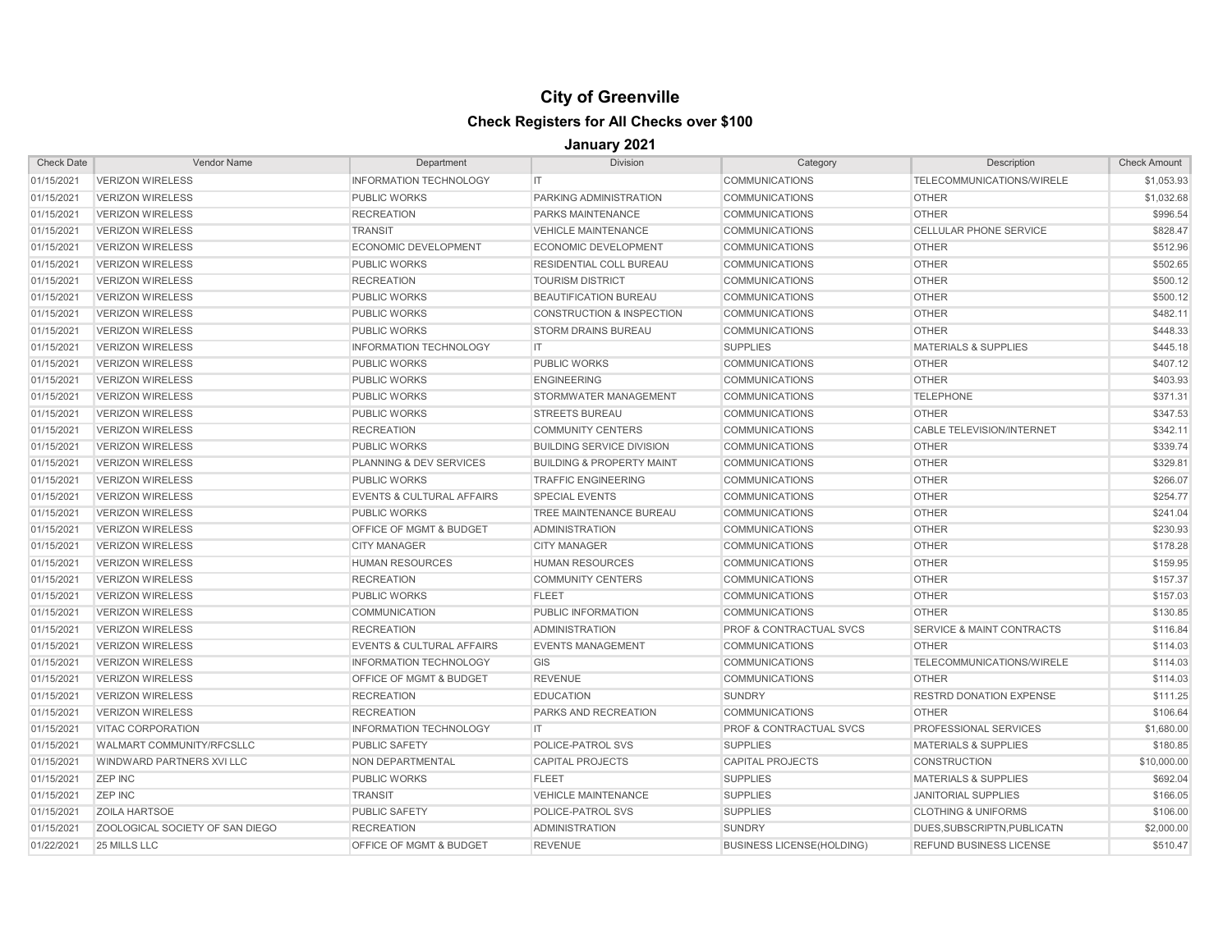| <b>Check Date</b> | Vendor Name                     | Department                           | <b>Division</b>                      | Category                           | Description                          | <b>Check Amount</b> |
|-------------------|---------------------------------|--------------------------------------|--------------------------------------|------------------------------------|--------------------------------------|---------------------|
| 01/15/2021        | <b>VERIZON WIRELESS</b>         | <b>INFORMATION TECHNOLOGY</b>        | IT.                                  | <b>COMMUNICATIONS</b>              | TELECOMMUNICATIONS/WIRELE            | \$1,053.93          |
| 01/15/2021        | <b>VERIZON WIRELESS</b>         | <b>PUBLIC WORKS</b>                  | PARKING ADMINISTRATION               | <b>COMMUNICATIONS</b>              | <b>OTHER</b>                         | \$1,032.68          |
| 01/15/2021        | <b>VERIZON WIRELESS</b>         | <b>RECREATION</b>                    | PARKS MAINTENANCE                    | <b>COMMUNICATIONS</b>              | <b>OTHER</b>                         | \$996.54            |
| 01/15/2021        | <b>VERIZON WIRELESS</b>         | <b>TRANSIT</b>                       | <b>VEHICLE MAINTENANCE</b>           | <b>COMMUNICATIONS</b>              | <b>CELLULAR PHONE SERVICE</b>        | \$828.47            |
| 01/15/2021        | <b>VERIZON WIRELESS</b>         | <b>ECONOMIC DEVELOPMENT</b>          | <b>ECONOMIC DEVELOPMENT</b>          | <b>COMMUNICATIONS</b>              | <b>OTHER</b>                         | \$512.96            |
| 01/15/2021        | <b>VERIZON WIRELESS</b>         | <b>PUBLIC WORKS</b>                  | RESIDENTIAL COLL BUREAU              | <b>COMMUNICATIONS</b>              | <b>OTHER</b>                         | \$502.65            |
| 01/15/2021        | <b>VERIZON WIRELESS</b>         | <b>RECREATION</b>                    | <b>TOURISM DISTRICT</b>              | <b>COMMUNICATIONS</b>              | <b>OTHER</b>                         | \$500.12            |
| 01/15/2021        | <b>VERIZON WIRELESS</b>         | <b>PUBLIC WORKS</b>                  | <b>BEAUTIFICATION BUREAU</b>         | <b>COMMUNICATIONS</b>              | <b>OTHER</b>                         | \$500.12            |
| 01/15/2021        | <b>VERIZON WIRELESS</b>         | <b>PUBLIC WORKS</b>                  | <b>CONSTRUCTION &amp; INSPECTION</b> | <b>COMMUNICATIONS</b>              | <b>OTHER</b>                         | \$482.11            |
| 01/15/2021        | <b>VERIZON WIRELESS</b>         | <b>PUBLIC WORKS</b>                  | <b>STORM DRAINS BUREAU</b>           | <b>COMMUNICATIONS</b>              | <b>OTHER</b>                         | \$448.33            |
| 01/15/2021        | <b>VERIZON WIRELESS</b>         | <b>INFORMATION TECHNOLOGY</b>        | IT.                                  | <b>SUPPLIES</b>                    | <b>MATERIALS &amp; SUPPLIES</b>      | \$445.18            |
| 01/15/2021        | <b>VERIZON WIRELESS</b>         | <b>PUBLIC WORKS</b>                  | <b>PUBLIC WORKS</b>                  | <b>COMMUNICATIONS</b>              | <b>OTHER</b>                         | \$407.12            |
| 01/15/2021        | <b>VERIZON WIRELESS</b>         | <b>PUBLIC WORKS</b>                  | <b>ENGINEERING</b>                   | <b>COMMUNICATIONS</b>              | <b>OTHER</b>                         | \$403.93            |
| 01/15/2021        | <b>VERIZON WIRELESS</b>         | <b>PUBLIC WORKS</b>                  | <b>STORMWATER MANAGEMENT</b>         | <b>COMMUNICATIONS</b>              | <b>TELEPHONE</b>                     | \$371.31            |
| 01/15/2021        | <b>VERIZON WIRELESS</b>         | <b>PUBLIC WORKS</b>                  | <b>STREETS BUREAU</b>                | <b>COMMUNICATIONS</b>              | <b>OTHER</b>                         | \$347.53            |
| 01/15/2021        | <b>VERIZON WIRELESS</b>         | <b>RECREATION</b>                    | <b>COMMUNITY CENTERS</b>             | <b>COMMUNICATIONS</b>              | <b>CABLE TELEVISION/INTERNET</b>     | \$342.11            |
| 01/15/2021        | <b>VERIZON WIRELESS</b>         | <b>PUBLIC WORKS</b>                  | <b>BUILDING SERVICE DIVISION</b>     | <b>COMMUNICATIONS</b>              | <b>OTHER</b>                         | \$339.74            |
| 01/15/2021        | <b>VERIZON WIRELESS</b>         | PLANNING & DEV SERVICES              | <b>BUILDING &amp; PROPERTY MAINT</b> | <b>COMMUNICATIONS</b>              | <b>OTHER</b>                         | \$329.81            |
| 01/15/2021        | <b>VERIZON WIRELESS</b>         | <b>PUBLIC WORKS</b>                  | <b>TRAFFIC ENGINEERING</b>           | <b>COMMUNICATIONS</b>              | <b>OTHER</b>                         | \$266.07            |
| 01/15/2021        | <b>VERIZON WIRELESS</b>         | <b>EVENTS &amp; CULTURAL AFFAIRS</b> | <b>SPECIAL EVENTS</b>                | <b>COMMUNICATIONS</b>              | <b>OTHER</b>                         | \$254.77            |
| 01/15/2021        | <b>VERIZON WIRELESS</b>         | <b>PUBLIC WORKS</b>                  | TREE MAINTENANCE BUREAU              | <b>COMMUNICATIONS</b>              | <b>OTHER</b>                         | \$241.04            |
| 01/15/2021        | <b>VERIZON WIRELESS</b>         | OFFICE OF MGMT & BUDGET              | <b>ADMINISTRATION</b>                | <b>COMMUNICATIONS</b>              | <b>OTHER</b>                         | \$230.93            |
| 01/15/2021        | <b>VERIZON WIRELESS</b>         | <b>CITY MANAGER</b>                  | <b>CITY MANAGER</b>                  | <b>COMMUNICATIONS</b>              | <b>OTHER</b>                         | \$178.28            |
| 01/15/2021        | <b>VERIZON WIRELESS</b>         | <b>HUMAN RESOURCES</b>               | <b>HUMAN RESOURCES</b>               | <b>COMMUNICATIONS</b>              | <b>OTHER</b>                         | \$159.95            |
| 01/15/2021        | <b>VERIZON WIRELESS</b>         | <b>RECREATION</b>                    | <b>COMMUNITY CENTERS</b>             | <b>COMMUNICATIONS</b>              | <b>OTHER</b>                         | \$157.37            |
| 01/15/2021        | <b>VERIZON WIRELESS</b>         | <b>PUBLIC WORKS</b>                  | <b>FLEET</b>                         | <b>COMMUNICATIONS</b>              | <b>OTHER</b>                         | \$157.03            |
| 01/15/2021        | <b>VERIZON WIRELESS</b>         | <b>COMMUNICATION</b>                 | PUBLIC INFORMATION                   | <b>COMMUNICATIONS</b>              | <b>OTHER</b>                         | \$130.85            |
| 01/15/2021        | <b>VERIZON WIRELESS</b>         | <b>RECREATION</b>                    | <b>ADMINISTRATION</b>                | PROF & CONTRACTUAL SVCS            | <b>SERVICE &amp; MAINT CONTRACTS</b> | \$116.84            |
| 01/15/2021        | <b>VERIZON WIRELESS</b>         | <b>EVENTS &amp; CULTURAL AFFAIRS</b> | <b>EVENTS MANAGEMENT</b>             | <b>COMMUNICATIONS</b>              | <b>OTHER</b>                         | \$114.03            |
| 01/15/2021        | <b>VERIZON WIRELESS</b>         | <b>INFORMATION TECHNOLOGY</b>        | GIS                                  | <b>COMMUNICATIONS</b>              | TELECOMMUNICATIONS/WIRELE            | \$114.03            |
| 01/15/2021        | <b>VERIZON WIRELESS</b>         | OFFICE OF MGMT & BUDGET              | <b>REVENUE</b>                       | <b>COMMUNICATIONS</b>              | <b>OTHER</b>                         | \$114.03            |
| 01/15/2021        | <b>VERIZON WIRELESS</b>         | <b>RECREATION</b>                    | <b>EDUCATION</b>                     | <b>SUNDRY</b>                      | <b>RESTRD DONATION EXPENSE</b>       | \$111.25            |
| 01/15/2021        | <b>VERIZON WIRELESS</b>         | <b>RECREATION</b>                    | PARKS AND RECREATION                 | <b>COMMUNICATIONS</b>              | <b>OTHER</b>                         | \$106.64            |
| 01/15/2021        | <b>VITAC CORPORATION</b>        | <b>INFORMATION TECHNOLOGY</b>        | IT.                                  | <b>PROF &amp; CONTRACTUAL SVCS</b> | PROFESSIONAL SERVICES                | \$1,680.00          |
| 01/15/2021        | WALMART COMMUNITY/RFCSLLC       | PUBLIC SAFETY                        | POLICE-PATROL SVS                    | <b>SUPPLIES</b>                    | <b>MATERIALS &amp; SUPPLIES</b>      | \$180.85            |
| 01/15/2021        | WINDWARD PARTNERS XVI LLC       | NON DEPARTMENTAL                     | <b>CAPITAL PROJECTS</b>              | <b>CAPITAL PROJECTS</b>            | <b>CONSTRUCTION</b>                  | \$10,000.00         |
| 01/15/2021        | <b>ZEP INC</b>                  | <b>PUBLIC WORKS</b>                  | <b>FLEET</b>                         | <b>SUPPLIES</b>                    | <b>MATERIALS &amp; SUPPLIES</b>      | \$692.04            |
| 01/15/2021        | <b>ZEP INC</b>                  | <b>TRANSIT</b>                       | <b>VEHICLE MAINTENANCE</b>           | <b>SUPPLIES</b>                    | <b>JANITORIAL SUPPLIES</b>           | \$166.05            |
| 01/15/2021        | <b>ZOILA HARTSOE</b>            | <b>PUBLIC SAFETY</b>                 | POLICE-PATROL SVS                    | <b>SUPPLIES</b>                    | <b>CLOTHING &amp; UNIFORMS</b>       | \$106.00            |
| 01/15/2021        | ZOOLOGICAL SOCIETY OF SAN DIEGO | <b>RECREATION</b>                    | <b>ADMINISTRATION</b>                | <b>SUNDRY</b>                      | DUES.SUBSCRIPTN.PUBLICATN            | \$2,000.00          |
| 01/22/2021        | 25 MILLS LLC                    | OFFICE OF MGMT & BUDGET              | <b>REVENUE</b>                       | <b>BUSINESS LICENSE(HOLDING)</b>   | <b>REFUND BUSINESS LICENSE</b>       | \$510.47            |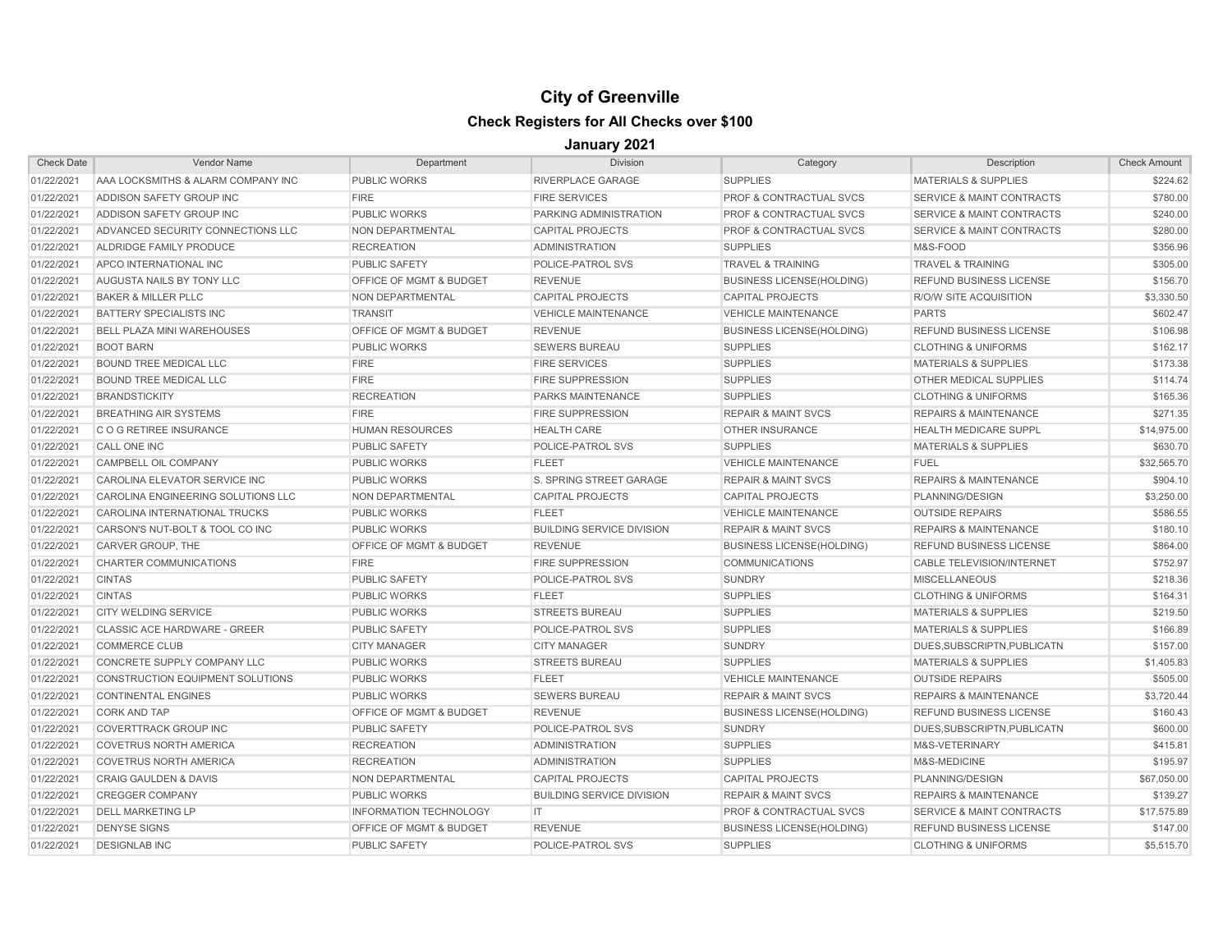| <b>Check Date</b> | <b>Vendor Name</b>                 | Department                         | <b>Division</b>                  | Category                           | Description                          | <b>Check Amount</b> |
|-------------------|------------------------------------|------------------------------------|----------------------------------|------------------------------------|--------------------------------------|---------------------|
| 01/22/2021        | AAA LOCKSMITHS & ALARM COMPANY INC | <b>PUBLIC WORKS</b>                | RIVERPLACE GARAGE                | <b>SUPPLIES</b>                    | <b>MATERIALS &amp; SUPPLIES</b>      | \$224.62            |
| 01/22/2021        | ADDISON SAFETY GROUP INC           | <b>FIRE</b>                        | <b>FIRE SERVICES</b>             | PROF & CONTRACTUAL SVCS            | SERVICE & MAINT CONTRACTS            | \$780.00            |
| 01/22/2021        | ADDISON SAFETY GROUP INC           | <b>PUBLIC WORKS</b>                | PARKING ADMINISTRATION           | PROF & CONTRACTUAL SVCS            | <b>SERVICE &amp; MAINT CONTRACTS</b> | \$240.00            |
| 01/22/2021        | ADVANCED SECURITY CONNECTIONS LLC  | NON DEPARTMENTAL                   | <b>CAPITAL PROJECTS</b>          | PROF & CONTRACTUAL SVCS            | SERVICE & MAINT CONTRACTS            | \$280.00            |
| 01/22/2021        | ALDRIDGE FAMILY PRODUCE            | <b>RECREATION</b>                  | <b>ADMINISTRATION</b>            | <b>SUPPLIES</b>                    | M&S-FOOD                             | \$356.96            |
| 01/22/2021        | APCO INTERNATIONAL INC             | <b>PUBLIC SAFETY</b>               | <b>POLICE-PATROL SVS</b>         | <b>TRAVEL &amp; TRAINING</b>       | <b>TRAVEL &amp; TRAINING</b>         | \$305.00            |
| 01/22/2021        | <b>AUGUSTA NAILS BY TONY LLC</b>   | OFFICE OF MGMT & BUDGET            | <b>REVENUE</b>                   | <b>BUSINESS LICENSE(HOLDING)</b>   | REFUND BUSINESS LICENSE              | \$156.70            |
| 01/22/2021        | <b>BAKER &amp; MILLER PLLC</b>     | NON DEPARTMENTAL                   | <b>CAPITAL PROJECTS</b>          | <b>CAPITAL PROJECTS</b>            | R/O/W SITE ACQUISITION               | \$3,330.50          |
| 01/22/2021        | <b>BATTERY SPECIALISTS INC</b>     | <b>TRANSIT</b>                     | <b>VEHICLE MAINTENANCE</b>       | <b>VEHICLE MAINTENANCE</b>         | <b>PARTS</b>                         | \$602.47            |
| 01/22/2021        | <b>BELL PLAZA MINI WAREHOUSES</b>  | OFFICE OF MGMT & BUDGET            | <b>REVENUE</b>                   | <b>BUSINESS LICENSE(HOLDING)</b>   | REFUND BUSINESS LICENSE              | \$106.98            |
| 01/22/2021        | <b>BOOT BARN</b>                   | <b>PUBLIC WORKS</b>                | <b>SEWERS BUREAU</b>             | <b>SUPPLIES</b>                    | <b>CLOTHING &amp; UNIFORMS</b>       | \$162.17            |
| 01/22/2021        | <b>BOUND TREE MEDICAL LLC</b>      | <b>FIRE</b>                        | <b>FIRE SERVICES</b>             | <b>SUPPLIES</b>                    | <b>MATERIALS &amp; SUPPLIES</b>      | \$173.38            |
| 01/22/2021        | <b>BOUND TREE MEDICAL LLC</b>      | <b>FIRE</b>                        | <b>FIRE SUPPRESSION</b>          | <b>SUPPLIES</b>                    | OTHER MEDICAL SUPPLIES               | \$114.74            |
| 01/22/2021        | <b>BRANDSTICKITY</b>               | <b>RECREATION</b>                  | <b>PARKS MAINTENANCE</b>         | <b>SUPPLIES</b>                    | <b>CLOTHING &amp; UNIFORMS</b>       | \$165.36            |
| 01/22/2021        | <b>BREATHING AIR SYSTEMS</b>       | <b>FIRE</b>                        | <b>FIRE SUPPRESSION</b>          | <b>REPAIR &amp; MAINT SVCS</b>     | <b>REPAIRS &amp; MAINTENANCE</b>     | \$271.35            |
| 01/22/2021        | <b>CO G RETIREE INSURANCE</b>      | <b>HUMAN RESOURCES</b>             | <b>HEALTH CARE</b>               | <b>OTHER INSURANCE</b>             | <b>HEALTH MEDICARE SUPPL</b>         | \$14,975.00         |
| 01/22/2021        | CALL ONE INC                       | <b>PUBLIC SAFETY</b>               | POLICE-PATROL SVS                | <b>SUPPLIES</b>                    | <b>MATERIALS &amp; SUPPLIES</b>      | \$630.70            |
| 01/22/2021        | CAMPBELL OIL COMPANY               | <b>PUBLIC WORKS</b>                | <b>FLEET</b>                     | <b>VEHICLE MAINTENANCE</b>         | <b>FUEL</b>                          | \$32,565.70         |
| 01/22/2021        | CAROLINA ELEVATOR SERVICE INC      | <b>PUBLIC WORKS</b>                | S. SPRING STREET GARAGE          | <b>REPAIR &amp; MAINT SVCS</b>     | <b>REPAIRS &amp; MAINTENANCE</b>     | \$904.10            |
| 01/22/2021        | CAROLINA ENGINEERING SOLUTIONS LLC | NON DEPARTMENTAL                   | <b>CAPITAL PROJECTS</b>          | <b>CAPITAL PROJECTS</b>            | PLANNING/DESIGN                      | \$3,250.00          |
| 01/22/2021        | CAROLINA INTERNATIONAL TRUCKS      | <b>PUBLIC WORKS</b>                | <b>FLEET</b>                     | <b>VEHICLE MAINTENANCE</b>         | <b>OUTSIDE REPAIRS</b>               | \$586.55            |
| 01/22/2021        | CARSON'S NUT-BOLT & TOOL CO INC    | <b>PUBLIC WORKS</b>                | <b>BUILDING SERVICE DIVISION</b> | <b>REPAIR &amp; MAINT SVCS</b>     | <b>REPAIRS &amp; MAINTENANCE</b>     | \$180.10            |
| 01/22/2021        | CARVER GROUP, THE                  | <b>OFFICE OF MGMT &amp; BUDGET</b> | <b>REVENUE</b>                   | <b>BUSINESS LICENSE(HOLDING)</b>   | <b>REFUND BUSINESS LICENSE</b>       | \$864.00            |
| 01/22/2021        | <b>CHARTER COMMUNICATIONS</b>      | <b>FIRE</b>                        | <b>FIRE SUPPRESSION</b>          | <b>COMMUNICATIONS</b>              | <b>CABLE TELEVISION/INTERNET</b>     | \$752.97            |
| 01/22/2021        | <b>CINTAS</b>                      | <b>PUBLIC SAFETY</b>               | <b>POLICE-PATROL SVS</b>         | <b>SUNDRY</b>                      | <b>MISCELLANEOUS</b>                 | \$218.36            |
| 01/22/2021        | <b>CINTAS</b>                      | <b>PUBLIC WORKS</b>                | <b>FLEET</b>                     | <b>SUPPLIES</b>                    | <b>CLOTHING &amp; UNIFORMS</b>       | \$164.31            |
| 01/22/2021        | <b>CITY WELDING SERVICE</b>        | <b>PUBLIC WORKS</b>                | <b>STREETS BUREAU</b>            | <b>SUPPLIES</b>                    | <b>MATERIALS &amp; SUPPLIES</b>      | \$219.50            |
| 01/22/2021        | CLASSIC ACE HARDWARE - GREER       | <b>PUBLIC SAFETY</b>               | POLICE-PATROL SVS                | <b>SUPPLIES</b>                    | <b>MATERIALS &amp; SUPPLIES</b>      | \$166.89            |
| 01/22/2021        | <b>COMMERCE CLUB</b>               | <b>CITY MANAGER</b>                | <b>CITY MANAGER</b>              | <b>SUNDRY</b>                      | DUES.SUBSCRIPTN.PUBLICATN            | \$157.00            |
| 01/22/2021        | CONCRETE SUPPLY COMPANY LLC        | <b>PUBLIC WORKS</b>                | <b>STREETS BUREAU</b>            | <b>SUPPLIES</b>                    | <b>MATERIALS &amp; SUPPLIES</b>      | \$1,405.83          |
| 01/22/2021        | CONSTRUCTION EQUIPMENT SOLUTIONS   | <b>PUBLIC WORKS</b>                | <b>FLEET</b>                     | <b>VEHICLE MAINTENANCE</b>         | <b>OUTSIDE REPAIRS</b>               | \$505.00            |
| 01/22/2021        | <b>CONTINENTAL ENGINES</b>         | <b>PUBLIC WORKS</b>                | <b>SEWERS BUREAU</b>             | <b>REPAIR &amp; MAINT SVCS</b>     | <b>REPAIRS &amp; MAINTENANCE</b>     | \$3,720.44          |
| 01/22/2021        | <b>CORK AND TAP</b>                | OFFICE OF MGMT & BUDGET            | <b>REVENUE</b>                   | <b>BUSINESS LICENSE(HOLDING)</b>   | <b>REFUND BUSINESS LICENSE</b>       | \$160.43            |
| 01/22/2021        | <b>COVERTTRACK GROUP INC</b>       | <b>PUBLIC SAFETY</b>               | POLICE-PATROL SVS                | <b>SUNDRY</b>                      | DUES, SUBSCRIPTN, PUBLICATN          | \$600.00            |
| 01/22/2021        | <b>COVETRUS NORTH AMERICA</b>      | <b>RECREATION</b>                  | <b>ADMINISTRATION</b>            | <b>SUPPLIES</b>                    | M&S-VETERINARY                       | \$415.81            |
| 01/22/2021        | <b>COVETRUS NORTH AMERICA</b>      | <b>RECREATION</b>                  | <b>ADMINISTRATION</b>            | <b>SUPPLIES</b>                    | M&S-MEDICINE                         | \$195.97            |
| 01/22/2021        | <b>CRAIG GAULDEN &amp; DAVIS</b>   | NON DEPARTMENTAL                   | <b>CAPITAL PROJECTS</b>          | <b>CAPITAL PROJECTS</b>            | PLANNING/DESIGN                      | \$67,050.00         |
| 01/22/2021        | <b>CREGGER COMPANY</b>             | <b>PUBLIC WORKS</b>                | <b>BUILDING SERVICE DIVISION</b> | <b>REPAIR &amp; MAINT SVCS</b>     | <b>REPAIRS &amp; MAINTENANCE</b>     | \$139.27            |
| 01/22/2021        | <b>DELL MARKETING LP</b>           | <b>INFORMATION TECHNOLOGY</b>      | IT.                              | <b>PROF &amp; CONTRACTUAL SVCS</b> | <b>SERVICE &amp; MAINT CONTRACTS</b> | \$17,575.89         |
| 01/22/2021        | <b>DENYSE SIGNS</b>                | <b>OFFICE OF MGMT &amp; BUDGET</b> | <b>REVENUE</b>                   | <b>BUSINESS LICENSE(HOLDING)</b>   | <b>REFUND BUSINESS LICENSE</b>       | \$147.00            |
| 01/22/2021        | <b>DESIGNLAB INC</b>               | <b>PUBLIC SAFETY</b>               | POLICE-PATROL SVS                | <b>SUPPLIES</b>                    | <b>CLOTHING &amp; UNIFORMS</b>       | \$5,515.70          |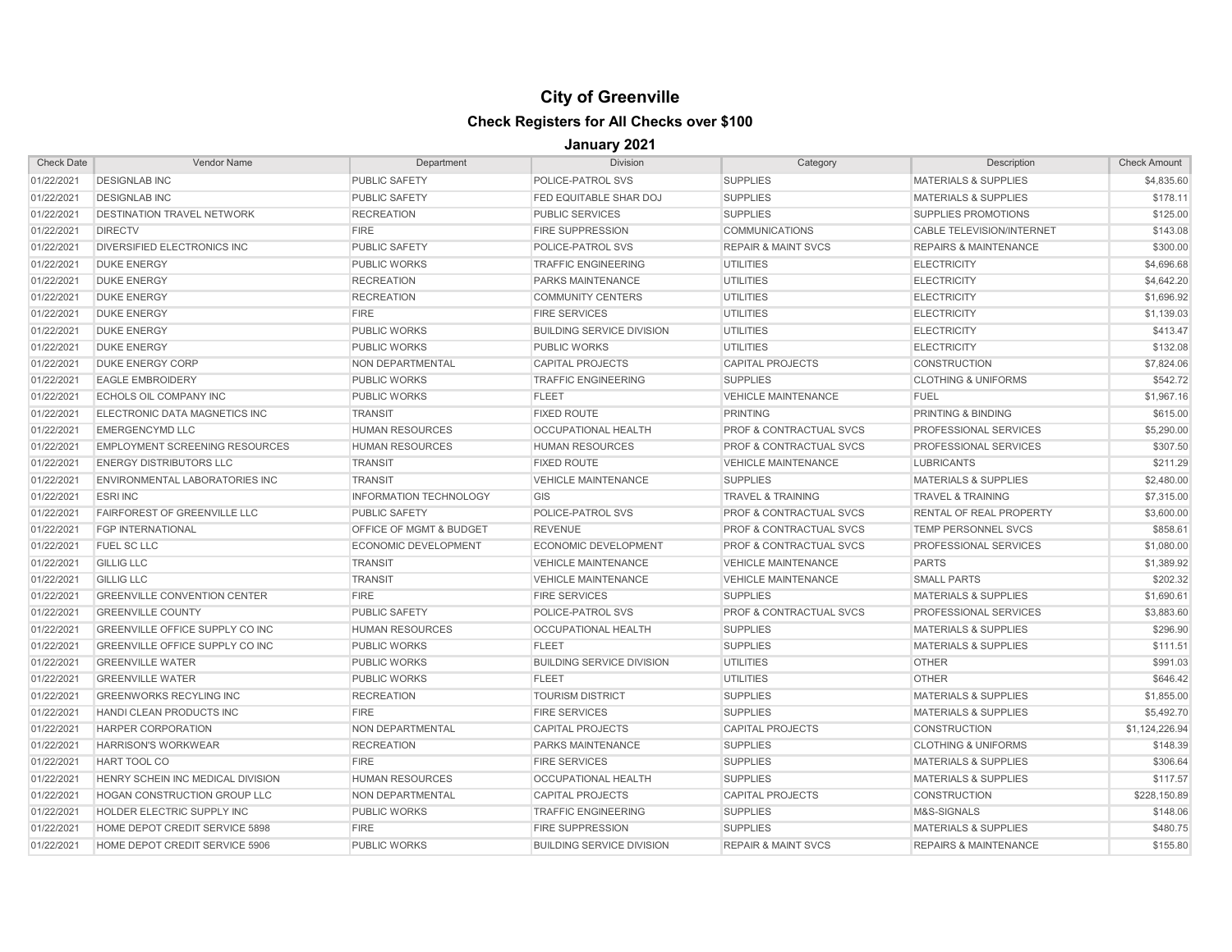| <b>Check Date</b> | <b>Vendor Name</b>                     | Department                         | <b>Division</b>                  | Category                           | Description                      | <b>Check Amount</b> |
|-------------------|----------------------------------------|------------------------------------|----------------------------------|------------------------------------|----------------------------------|---------------------|
| 01/22/2021        | <b>DESIGNLAB INC</b>                   | <b>PUBLIC SAFETY</b>               | POLICE-PATROL SVS                | <b>SUPPLIES</b>                    | <b>MATERIALS &amp; SUPPLIES</b>  | \$4,835.60          |
| 01/22/2021        | <b>DESIGNLAB INC</b>                   | <b>PUBLIC SAFETY</b>               | FED EQUITABLE SHAR DOJ           | <b>SUPPLIES</b>                    | <b>MATERIALS &amp; SUPPLIES</b>  | \$178.11            |
| 01/22/2021        | <b>DESTINATION TRAVEL NETWORK</b>      | <b>RECREATION</b>                  | <b>PUBLIC SERVICES</b>           | <b>SUPPLIES</b>                    | <b>SUPPLIES PROMOTIONS</b>       | \$125.00            |
| 01/22/2021        | <b>DIRECTV</b>                         | <b>FIRE</b>                        | <b>FIRE SUPPRESSION</b>          | <b>COMMUNICATIONS</b>              | <b>CABLE TELEVISION/INTERNET</b> | \$143.08            |
| 01/22/2021        | <b>DIVERSIFIED ELECTRONICS INC</b>     | <b>PUBLIC SAFETY</b>               | POLICE-PATROL SVS                | <b>REPAIR &amp; MAINT SVCS</b>     | <b>REPAIRS &amp; MAINTENANCE</b> | \$300.00            |
| 01/22/2021        | <b>DUKE ENERGY</b>                     | <b>PUBLIC WORKS</b>                | <b>TRAFFIC ENGINEERING</b>       | <b>UTILITIES</b>                   | <b>ELECTRICITY</b>               | \$4,696.68          |
| 01/22/2021        | <b>DUKE ENERGY</b>                     | <b>RECREATION</b>                  | PARKS MAINTENANCE                | <b>UTILITIES</b>                   | <b>ELECTRICITY</b>               | \$4,642.20          |
| 01/22/2021        | <b>DUKE ENERGY</b>                     | <b>RECREATION</b>                  | <b>COMMUNITY CENTERS</b>         | <b>UTILITIES</b>                   | <b>ELECTRICITY</b>               | \$1,696.92          |
| 01/22/2021        | <b>DUKE ENERGY</b>                     | <b>FIRE</b>                        | <b>FIRE SERVICES</b>             | <b>UTILITIES</b>                   | <b>ELECTRICITY</b>               | \$1,139.03          |
| 01/22/2021        | <b>DUKE ENERGY</b>                     | <b>PUBLIC WORKS</b>                | <b>BUILDING SERVICE DIVISION</b> | <b>UTILITIES</b>                   | <b>ELECTRICITY</b>               | \$413.47            |
| 01/22/2021        | <b>DUKE ENERGY</b>                     | <b>PUBLIC WORKS</b>                | <b>PUBLIC WORKS</b>              | UTILITIES                          | <b>ELECTRICITY</b>               | \$132.08            |
| 01/22/2021        | <b>DUKE ENERGY CORP</b>                | <b>NON DEPARTMENTAL</b>            | <b>CAPITAL PROJECTS</b>          | <b>CAPITAL PROJECTS</b>            | <b>CONSTRUCTION</b>              | \$7,824.06          |
| 01/22/2021        | <b>EAGLE EMBROIDERY</b>                | <b>PUBLIC WORKS</b>                | <b>TRAFFIC ENGINEERING</b>       | <b>SUPPLIES</b>                    | <b>CLOTHING &amp; UNIFORMS</b>   | \$542.72            |
| 01/22/2021        | <b>ECHOLS OIL COMPANY INC</b>          | <b>PUBLIC WORKS</b>                | <b>FLEET</b>                     | <b>VEHICLE MAINTENANCE</b>         | <b>FUEL</b>                      | \$1,967.16          |
| 01/22/2021        | ELECTRONIC DATA MAGNETICS INC          | <b>TRANSIT</b>                     | <b>FIXED ROUTE</b>               | <b>PRINTING</b>                    | PRINTING & BINDING               | \$615.00            |
| 01/22/2021        | <b>EMERGENCYMD LLC</b>                 | <b>HUMAN RESOURCES</b>             | <b>OCCUPATIONAL HEALTH</b>       | PROF & CONTRACTUAL SVCS            | PROFESSIONAL SERVICES            | \$5,290.00          |
| 01/22/2021        | <b>EMPLOYMENT SCREENING RESOURCES</b>  | <b>HUMAN RESOURCES</b>             | <b>HUMAN RESOURCES</b>           | <b>PROF &amp; CONTRACTUAL SVCS</b> | PROFESSIONAL SERVICES            | \$307.50            |
| 01/22/2021        | <b>ENERGY DISTRIBUTORS LLC</b>         | <b>TRANSIT</b>                     | <b>FIXED ROUTE</b>               | <b>VEHICLE MAINTENANCE</b>         | <b>LUBRICANTS</b>                | \$211.29            |
| 01/22/2021        | ENVIRONMENTAL LABORATORIES INC         | <b>TRANSIT</b>                     | <b>VEHICLE MAINTENANCE</b>       | <b>SUPPLIES</b>                    | <b>MATERIALS &amp; SUPPLIES</b>  | \$2,480.00          |
| 01/22/2021        | <b>ESRI INC</b>                        | <b>INFORMATION TECHNOLOGY</b>      | GIS                              | <b>TRAVEL &amp; TRAINING</b>       | <b>TRAVEL &amp; TRAINING</b>     | \$7,315.00          |
| 01/22/2021        | <b>FAIRFOREST OF GREENVILLE LLC</b>    | <b>PUBLIC SAFETY</b>               | POLICE-PATROL SVS                | PROF & CONTRACTUAL SVCS            | RENTAL OF REAL PROPERTY          | \$3,600.00          |
| 01/22/2021        | <b>FGP INTERNATIONAL</b>               | <b>OFFICE OF MGMT &amp; BUDGET</b> | <b>REVENUE</b>                   | <b>PROF &amp; CONTRACTUAL SVCS</b> | <b>TEMP PERSONNEL SVCS</b>       | \$858.61            |
| 01/22/2021        | <b>FUEL SC LLC</b>                     | <b>ECONOMIC DEVELOPMENT</b>        | <b>ECONOMIC DEVELOPMENT</b>      | PROF & CONTRACTUAL SVCS            | <b>PROFESSIONAL SERVICES</b>     | \$1,080.00          |
| 01/22/2021        | <b>GILLIG LLC</b>                      | <b>TRANSIT</b>                     | <b>VEHICLE MAINTENANCE</b>       | <b>VEHICLE MAINTENANCE</b>         | <b>PARTS</b>                     | \$1,389.92          |
| 01/22/2021        | <b>GILLIG LLC</b>                      | <b>TRANSIT</b>                     | <b>VEHICLE MAINTENANCE</b>       | <b>VEHICLE MAINTENANCE</b>         | <b>SMALL PARTS</b>               | \$202.32            |
| 01/22/2021        | <b>GREENVILLE CONVENTION CENTER</b>    | <b>FIRE</b>                        | <b>FIRE SERVICES</b>             | <b>SUPPLIES</b>                    | <b>MATERIALS &amp; SUPPLIES</b>  | \$1,690.61          |
| 01/22/2021        | <b>GREENVILLE COUNTY</b>               | <b>PUBLIC SAFETY</b>               | POLICE-PATROL SVS                | PROF & CONTRACTUAL SVCS            | PROFESSIONAL SERVICES            | \$3,883.60          |
| 01/22/2021        | GREENVILLE OFFICE SUPPLY CO INC        | <b>HUMAN RESOURCES</b>             | <b>OCCUPATIONAL HEALTH</b>       | <b>SUPPLIES</b>                    | <b>MATERIALS &amp; SUPPLIES</b>  | \$296.90            |
| 01/22/2021        | <b>GREENVILLE OFFICE SUPPLY CO INC</b> | <b>PUBLIC WORKS</b>                | <b>FLEET</b>                     | <b>SUPPLIES</b>                    | <b>MATERIALS &amp; SUPPLIES</b>  | \$111.51            |
| 01/22/2021        | <b>GREENVILLE WATER</b>                | <b>PUBLIC WORKS</b>                | <b>BUILDING SERVICE DIVISION</b> | <b>UTILITIES</b>                   | <b>OTHER</b>                     | \$991.03            |
| 01/22/2021        | <b>GREENVILLE WATER</b>                | <b>PUBLIC WORKS</b>                | <b>FLEET</b>                     | <b>UTILITIES</b>                   | <b>OTHER</b>                     | \$646.42            |
| 01/22/2021        | <b>GREENWORKS RECYLING INC</b>         | <b>RECREATION</b>                  | <b>TOURISM DISTRICT</b>          | <b>SUPPLIES</b>                    | <b>MATERIALS &amp; SUPPLIES</b>  | \$1,855.00          |
| 01/22/2021        | <b>HANDI CLEAN PRODUCTS INC</b>        | <b>FIRE</b>                        | <b>FIRE SERVICES</b>             | <b>SUPPLIES</b>                    | <b>MATERIALS &amp; SUPPLIES</b>  | \$5,492.70          |
| 01/22/2021        | <b>HARPER CORPORATION</b>              | NON DEPARTMENTAL                   | <b>CAPITAL PROJECTS</b>          | <b>CAPITAL PROJECTS</b>            | <b>CONSTRUCTION</b>              | \$1,124,226.94      |
| 01/22/2021        | <b>HARRISON'S WORKWEAR</b>             | <b>RECREATION</b>                  | PARKS MAINTENANCE                | <b>SUPPLIES</b>                    | <b>CLOTHING &amp; UNIFORMS</b>   | \$148.39            |
| 01/22/2021        | HART TOOL CO                           | <b>FIRE</b>                        | <b>FIRE SERVICES</b>             | <b>SUPPLIES</b>                    | <b>MATERIALS &amp; SUPPLIES</b>  | \$306.64            |
| 01/22/2021        | HENRY SCHEIN INC MEDICAL DIVISION      | <b>HUMAN RESOURCES</b>             | <b>OCCUPATIONAL HEALTH</b>       | <b>SUPPLIES</b>                    | <b>MATERIALS &amp; SUPPLIES</b>  | \$117.57            |
| 01/22/2021        | <b>HOGAN CONSTRUCTION GROUP LLC</b>    | <b>NON DEPARTMENTAL</b>            | <b>CAPITAL PROJECTS</b>          | <b>CAPITAL PROJECTS</b>            | <b>CONSTRUCTION</b>              | \$228,150.89        |
| 01/22/2021        | <b>HOLDER ELECTRIC SUPPLY INC</b>      | <b>PUBLIC WORKS</b>                | <b>TRAFFIC ENGINEERING</b>       | <b>SUPPLIES</b>                    | M&S-SIGNALS                      | \$148.06            |
| 01/22/2021        | HOME DEPOT CREDIT SERVICE 5898         | <b>FIRE</b>                        | <b>FIRE SUPPRESSION</b>          | <b>SUPPLIES</b>                    | <b>MATERIALS &amp; SUPPLIES</b>  | \$480.75            |
| 01/22/2021        | HOME DEPOT CREDIT SERVICE 5906         | <b>PUBLIC WORKS</b>                | <b>BUILDING SERVICE DIVISION</b> | <b>REPAIR &amp; MAINT SVCS</b>     | <b>REPAIRS &amp; MAINTENANCE</b> | \$155.80            |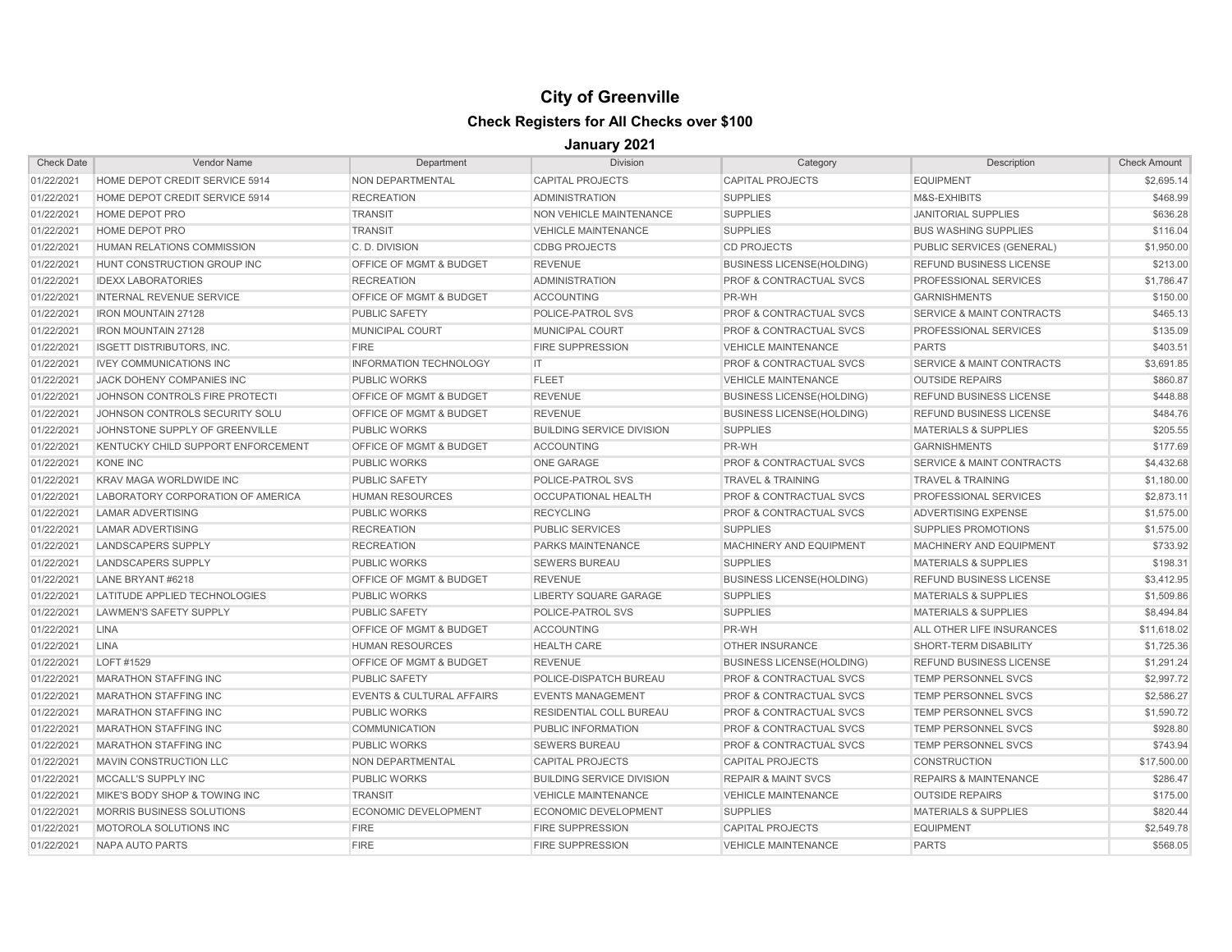| <b>Check Date</b> | <b>Vendor Name</b>                 | Department                           | <b>Division</b>                  | Category                           | Description                          | <b>Check Amount</b> |
|-------------------|------------------------------------|--------------------------------------|----------------------------------|------------------------------------|--------------------------------------|---------------------|
| 01/22/2021        | HOME DEPOT CREDIT SERVICE 5914     | NON DEPARTMENTAL                     | <b>CAPITAL PROJECTS</b>          | <b>CAPITAL PROJECTS</b>            | <b>EQUIPMENT</b>                     | \$2,695.14          |
| 01/22/2021        | HOME DEPOT CREDIT SERVICE 5914     | <b>RECREATION</b>                    | <b>ADMINISTRATION</b>            | <b>SUPPLIES</b>                    | M&S-EXHIBITS                         | \$468.99            |
| 01/22/2021        | HOME DEPOT PRO                     | <b>TRANSIT</b>                       | NON VEHICLE MAINTENANCE          | <b>SUPPLIES</b>                    | <b>JANITORIAL SUPPLIES</b>           | \$636.28            |
| 01/22/2021        | <b>HOME DEPOT PRO</b>              | <b>TRANSIT</b>                       | <b>VEHICLE MAINTENANCE</b>       | <b>SUPPLIES</b>                    | <b>BUS WASHING SUPPLIES</b>          | \$116.04            |
| 01/22/2021        | HUMAN RELATIONS COMMISSION         | C.D. DIVISION                        | <b>CDBG PROJECTS</b>             | <b>CD PROJECTS</b>                 | PUBLIC SERVICES (GENERAL)            | \$1,950.00          |
| 01/22/2021        | HUNT CONSTRUCTION GROUP INC        | <b>OFFICE OF MGMT &amp; BUDGET</b>   | <b>REVENUE</b>                   | <b>BUSINESS LICENSE(HOLDING)</b>   | <b>REFUND BUSINESS LICENSE</b>       | \$213.00            |
| 01/22/2021        | <b>IDEXX LABORATORIES</b>          | <b>RECREATION</b>                    | <b>ADMINISTRATION</b>            | PROF & CONTRACTUAL SVCS            | <b>PROFESSIONAL SERVICES</b>         | \$1,786.47          |
| 01/22/2021        | <b>INTERNAL REVENUE SERVICE</b>    | OFFICE OF MGMT & BUDGET              | <b>ACCOUNTING</b>                | PR-WH                              | <b>GARNISHMENTS</b>                  | \$150.00            |
| 01/22/2021        | <b>IRON MOUNTAIN 27128</b>         | <b>PUBLIC SAFETY</b>                 | POLICE-PATROL SVS                | PROF & CONTRACTUAL SVCS            | <b>SERVICE &amp; MAINT CONTRACTS</b> | \$465.13            |
| 01/22/2021        | <b>IRON MOUNTAIN 27128</b>         | MUNICIPAL COURT                      | MUNICIPAL COURT                  | PROF & CONTRACTUAL SVCS            | PROFESSIONAL SERVICES                | \$135.09            |
| 01/22/2021        | <b>ISGETT DISTRIBUTORS, INC.</b>   | <b>FIRE</b>                          | <b>FIRE SUPPRESSION</b>          | <b>VEHICLE MAINTENANCE</b>         | <b>PARTS</b>                         | \$403.51            |
| 01/22/2021        | <b>IVEY COMMUNICATIONS INC</b>     | <b>INFORMATION TECHNOLOGY</b>        | IT.                              | PROF & CONTRACTUAL SVCS            | <b>SERVICE &amp; MAINT CONTRACTS</b> | \$3,691.85          |
| 01/22/2021        | JACK DOHENY COMPANIES INC          | <b>PUBLIC WORKS</b>                  | <b>FLEET</b>                     | <b>VEHICLE MAINTENANCE</b>         | <b>OUTSIDE REPAIRS</b>               | \$860.87            |
| 01/22/2021        | JOHNSON CONTROLS FIRE PROTECTI     | <b>OFFICE OF MGMT &amp; BUDGET</b>   | <b>REVENUE</b>                   | <b>BUSINESS LICENSE(HOLDING)</b>   | <b>REFUND BUSINESS LICENSE</b>       | \$448.88            |
| 01/22/2021        | JOHNSON CONTROLS SECURITY SOLU     | <b>OFFICE OF MGMT &amp; BUDGET</b>   | <b>REVENUE</b>                   | <b>BUSINESS LICENSE(HOLDING)</b>   | <b>REFUND BUSINESS LICENSE</b>       | \$484.76            |
| 01/22/2021        | JOHNSTONE SUPPLY OF GREENVILLE     | <b>PUBLIC WORKS</b>                  | <b>BUILDING SERVICE DIVISION</b> | <b>SUPPLIES</b>                    | <b>MATERIALS &amp; SUPPLIES</b>      | \$205.55            |
| 01/22/2021        | KENTUCKY CHILD SUPPORT ENFORCEMENT | <b>OFFICE OF MGMT &amp; BUDGET</b>   | <b>ACCOUNTING</b>                | PR-WH                              | <b>GARNISHMENTS</b>                  | \$177.69            |
| 01/22/2021        | <b>KONE INC</b>                    | <b>PUBLIC WORKS</b>                  | <b>ONE GARAGE</b>                | <b>PROF &amp; CONTRACTUAL SVCS</b> | <b>SERVICE &amp; MAINT CONTRACTS</b> | \$4,432.68          |
| 01/22/2021        | <b>KRAV MAGA WORLDWIDE INC</b>     | <b>PUBLIC SAFETY</b>                 | POLICE-PATROL SVS                | <b>TRAVEL &amp; TRAINING</b>       | <b>TRAVEL &amp; TRAINING</b>         | \$1,180.00          |
| 01/22/2021        | LABORATORY CORPORATION OF AMERICA  | <b>HUMAN RESOURCES</b>               | <b>OCCUPATIONAL HEALTH</b>       | <b>PROF &amp; CONTRACTUAL SVCS</b> | PROFESSIONAL SERVICES                | \$2,873.11          |
| 01/22/2021        | <b>LAMAR ADVERTISING</b>           | <b>PUBLIC WORKS</b>                  | <b>RECYCLING</b>                 | PROF & CONTRACTUAL SVCS            | ADVERTISING EXPENSE                  | \$1,575.00          |
| 01/22/2021        | <b>LAMAR ADVERTISING</b>           | <b>RECREATION</b>                    | <b>PUBLIC SERVICES</b>           | <b>SUPPLIES</b>                    | SUPPLIES PROMOTIONS                  | \$1,575.00          |
| 01/22/2021        | LANDSCAPERS SUPPLY                 | <b>RECREATION</b>                    | PARKS MAINTENANCE                | MACHINERY AND EQUIPMENT            | MACHINERY AND EQUIPMENT              | \$733.92            |
| 01/22/2021        | <b>LANDSCAPERS SUPPLY</b>          | <b>PUBLIC WORKS</b>                  | <b>SEWERS BUREAU</b>             | <b>SUPPLIES</b>                    | <b>MATERIALS &amp; SUPPLIES</b>      | \$198.31            |
| 01/22/2021        | LANE BRYANT #6218                  | <b>OFFICE OF MGMT &amp; BUDGET</b>   | <b>REVENUE</b>                   | <b>BUSINESS LICENSE(HOLDING)</b>   | <b>REFUND BUSINESS LICENSE</b>       | \$3,412.95          |
| 01/22/2021        | LATITUDE APPLIED TECHNOLOGIES      | <b>PUBLIC WORKS</b>                  | LIBERTY SQUARE GARAGE            | <b>SUPPLIES</b>                    | <b>MATERIALS &amp; SUPPLIES</b>      | \$1,509.86          |
| 01/22/2021        | LAWMEN'S SAFETY SUPPLY             | <b>PUBLIC SAFETY</b>                 | POLICE-PATROL SVS                | <b>SUPPLIES</b>                    | <b>MATERIALS &amp; SUPPLIES</b>      | \$8,494.84          |
| 01/22/2021        | <b>LINA</b>                        | <b>OFFICE OF MGMT &amp; BUDGET</b>   | <b>ACCOUNTING</b>                | PR-WH                              | ALL OTHER LIFE INSURANCES            | \$11,618.02         |
| 01/22/2021        | <b>LINA</b>                        | <b>HUMAN RESOURCES</b>               | <b>HEALTH CARE</b>               | <b>OTHER INSURANCE</b>             | SHORT-TERM DISABILITY                | \$1,725.36          |
| 01/22/2021        | LOFT #1529                         | <b>OFFICE OF MGMT &amp; BUDGET</b>   | <b>REVENUE</b>                   | <b>BUSINESS LICENSE(HOLDING)</b>   | REFUND BUSINESS LICENSE              | \$1,291.24          |
| 01/22/2021        | <b>MARATHON STAFFING INC</b>       | <b>PUBLIC SAFETY</b>                 | POLICE-DISPATCH BUREAU           | PROF & CONTRACTUAL SVCS            | <b>TEMP PERSONNEL SVCS</b>           | \$2,997.72          |
| 01/22/2021        | <b>MARATHON STAFFING INC</b>       | <b>EVENTS &amp; CULTURAL AFFAIRS</b> | <b>EVENTS MANAGEMENT</b>         | <b>PROF &amp; CONTRACTUAL SVCS</b> | <b>TEMP PERSONNEL SVCS</b>           | \$2,586.27          |
| 01/22/2021        | <b>MARATHON STAFFING INC</b>       | <b>PUBLIC WORKS</b>                  | <b>RESIDENTIAL COLL BUREAU</b>   | <b>PROF &amp; CONTRACTUAL SVCS</b> | <b>TEMP PERSONNEL SVCS</b>           | \$1,590.72          |
| 01/22/2021        | <b>MARATHON STAFFING INC</b>       | <b>COMMUNICATION</b>                 | PUBLIC INFORMATION               | <b>PROF &amp; CONTRACTUAL SVCS</b> | <b>TEMP PERSONNEL SVCS</b>           | \$928.80            |
| 01/22/2021        | <b>MARATHON STAFFING INC</b>       | <b>PUBLIC WORKS</b>                  | <b>SEWERS BUREAU</b>             | <b>PROF &amp; CONTRACTUAL SVCS</b> | <b>TEMP PERSONNEL SVCS</b>           | \$743.94            |
| 01/22/2021        | MAVIN CONSTRUCTION LLC             | NON DEPARTMENTAL                     | <b>CAPITAL PROJECTS</b>          | <b>CAPITAL PROJECTS</b>            | <b>CONSTRUCTION</b>                  | \$17,500.00         |
| 01/22/2021        | MCCALL'S SUPPLY INC                | <b>PUBLIC WORKS</b>                  | <b>BUILDING SERVICE DIVISION</b> | <b>REPAIR &amp; MAINT SVCS</b>     | <b>REPAIRS &amp; MAINTENANCE</b>     | \$286.47            |
| 01/22/2021        | MIKE'S BODY SHOP & TOWING INC      | <b>TRANSIT</b>                       | <b>VEHICLE MAINTENANCE</b>       | <b>VEHICLE MAINTENANCE</b>         | <b>OUTSIDE REPAIRS</b>               | \$175.00            |
| 01/22/2021        | MORRIS BUSINESS SOLUTIONS          | <b>ECONOMIC DEVELOPMENT</b>          | <b>ECONOMIC DEVELOPMENT</b>      | <b>SUPPLIES</b>                    | <b>MATERIALS &amp; SUPPLIES</b>      | \$820.44            |
| 01/22/2021        | MOTOROLA SOLUTIONS INC             | <b>FIRE</b>                          | <b>FIRE SUPPRESSION</b>          | <b>CAPITAL PROJECTS</b>            | <b>EQUIPMENT</b>                     | \$2,549.78          |
| 01/22/2021        | NAPA AUTO PARTS                    | <b>FIRE</b>                          | <b>FIRE SUPPRESSION</b>          | <b>VEHICLE MAINTENANCE</b>         | <b>PARTS</b>                         | \$568.05            |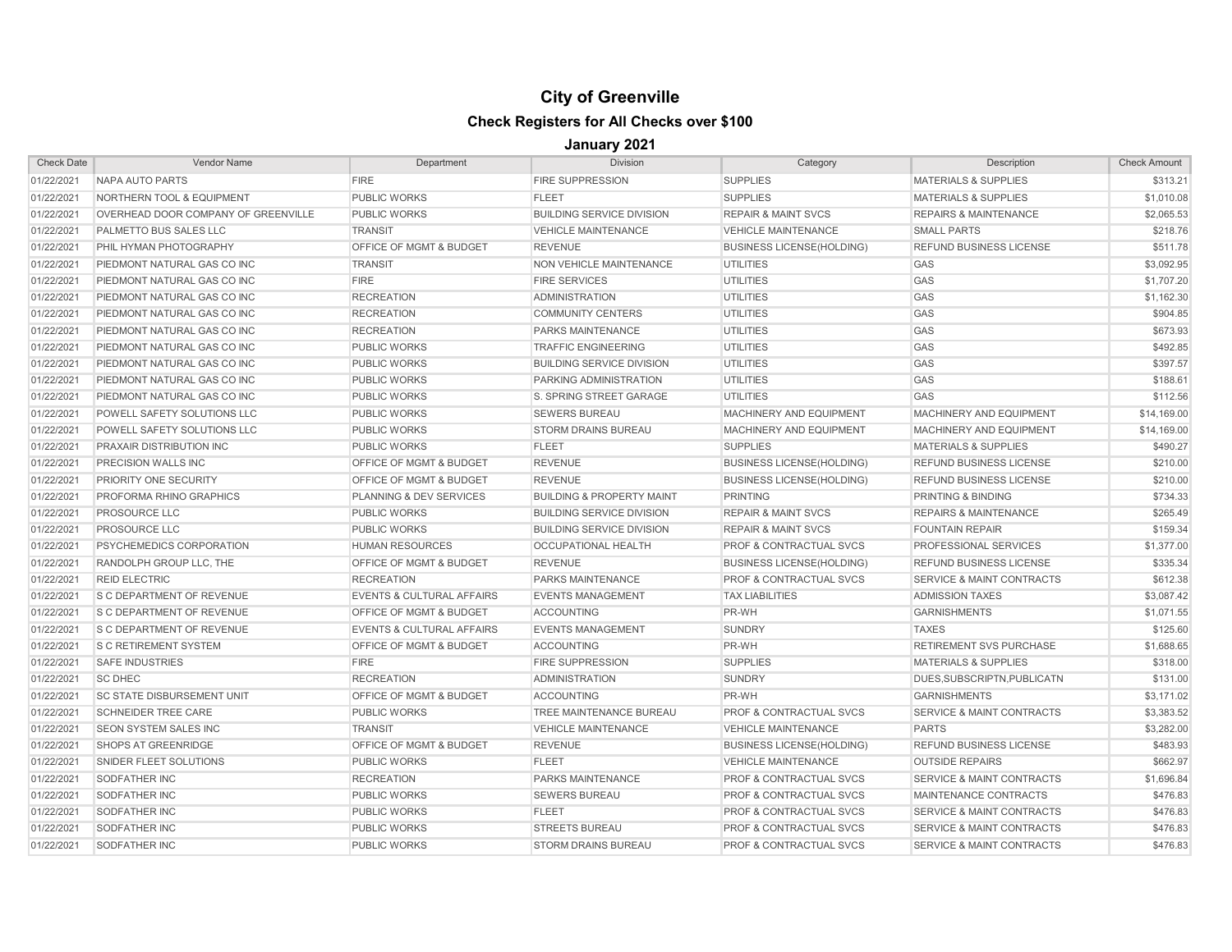| <b>Check Date</b> | <b>Vendor Name</b>                   | Department                           | <b>Division</b>                      | Category                           | Description                          | <b>Check Amount</b> |
|-------------------|--------------------------------------|--------------------------------------|--------------------------------------|------------------------------------|--------------------------------------|---------------------|
| 01/22/2021        | NAPA AUTO PARTS                      | <b>FIRE</b>                          | <b>FIRE SUPPRESSION</b>              | <b>SUPPLIES</b>                    | <b>MATERIALS &amp; SUPPLIES</b>      | \$313.21            |
| 01/22/2021        | <b>NORTHERN TOOL &amp; EQUIPMENT</b> | <b>PUBLIC WORKS</b>                  | <b>FLEET</b>                         | <b>SUPPLIES</b>                    | <b>MATERIALS &amp; SUPPLIES</b>      | \$1,010.08          |
| 01/22/2021        | OVERHEAD DOOR COMPANY OF GREENVILLE  | <b>PUBLIC WORKS</b>                  | <b>BUILDING SERVICE DIVISION</b>     | <b>REPAIR &amp; MAINT SVCS</b>     | <b>REPAIRS &amp; MAINTENANCE</b>     | \$2,065.53          |
| 01/22/2021        | <b>PALMETTO BUS SALES LLC</b>        | <b>TRANSIT</b>                       | <b>VEHICLE MAINTENANCE</b>           | <b>VEHICLE MAINTENANCE</b>         | <b>SMALL PARTS</b>                   | \$218.76            |
| 01/22/2021        | PHIL HYMAN PHOTOGRAPHY               | OFFICE OF MGMT & BUDGET              | <b>REVENUE</b>                       | <b>BUSINESS LICENSE(HOLDING)</b>   | REFUND BUSINESS LICENSE              | \$511.78            |
| 01/22/2021        | PIEDMONT NATURAL GAS CO INC          | <b>TRANSIT</b>                       | NON VEHICLE MAINTENANCE              | <b>UTILITIES</b>                   | GAS                                  | \$3,092.95          |
| 01/22/2021        | PIEDMONT NATURAL GAS CO INC          | <b>FIRE</b>                          | <b>FIRE SERVICES</b>                 | <b>UTILITIES</b>                   | GAS                                  | \$1,707.20          |
| 01/22/2021        | PIEDMONT NATURAL GAS CO INC          | <b>RECREATION</b>                    | <b>ADMINISTRATION</b>                | <b>UTILITIES</b>                   | GAS                                  | \$1,162.30          |
| 01/22/2021        | PIEDMONT NATURAL GAS CO INC          | <b>RECREATION</b>                    | <b>COMMUNITY CENTERS</b>             | <b>UTILITIES</b>                   | GAS                                  | \$904.85            |
| 01/22/2021        | PIEDMONT NATURAL GAS CO INC          | <b>RECREATION</b>                    | PARKS MAINTENANCE                    | <b>UTILITIES</b>                   | GAS                                  | \$673.93            |
| 01/22/2021        | <b>PIEDMONT NATURAL GAS CO INC</b>   | <b>PUBLIC WORKS</b>                  | <b>TRAFFIC ENGINEERING</b>           | <b>UTILITIES</b>                   | GAS                                  | \$492.85            |
| 01/22/2021        | PIEDMONT NATURAL GAS CO INC          | <b>PUBLIC WORKS</b>                  | <b>BUILDING SERVICE DIVISION</b>     | <b>UTILITIES</b>                   | GAS                                  | \$397.57            |
| 01/22/2021        | <b>PIEDMONT NATURAL GAS CO INC</b>   | <b>PUBLIC WORKS</b>                  | PARKING ADMINISTRATION               | UTILITIES                          | GAS                                  | \$188.61            |
| 01/22/2021        | PIEDMONT NATURAL GAS CO INC          | <b>PUBLIC WORKS</b>                  | S. SPRING STREET GARAGE              | <b>UTILITIES</b>                   | GAS                                  | \$112.56            |
| 01/22/2021        | <b>POWELL SAFETY SOLUTIONS LLC</b>   | <b>PUBLIC WORKS</b>                  | <b>SEWERS BUREAU</b>                 | MACHINERY AND EQUIPMENT            | MACHINERY AND EQUIPMENT              | \$14,169.00         |
| 01/22/2021        | <b>POWELL SAFETY SOLUTIONS LLC</b>   | <b>PUBLIC WORKS</b>                  | <b>STORM DRAINS BUREAU</b>           | MACHINERY AND EQUIPMENT            | MACHINERY AND EQUIPMENT              | \$14,169.00         |
| 01/22/2021        | <b>PRAXAIR DISTRIBUTION INC</b>      | <b>PUBLIC WORKS</b>                  | <b>FLEET</b>                         | <b>SUPPLIES</b>                    | <b>MATERIALS &amp; SUPPLIES</b>      | \$490.27            |
| 01/22/2021        | <b>PRECISION WALLS INC</b>           | <b>OFFICE OF MGMT &amp; BUDGET</b>   | <b>REVENUE</b>                       | <b>BUSINESS LICENSE(HOLDING)</b>   | <b>REFUND BUSINESS LICENSE</b>       | \$210.00            |
| 01/22/2021        | <b>PRIORITY ONE SECURITY</b>         | <b>OFFICE OF MGMT &amp; BUDGET</b>   | <b>REVENUE</b>                       | <b>BUSINESS LICENSE(HOLDING)</b>   | <b>REFUND BUSINESS LICENSE</b>       | \$210.00            |
| 01/22/2021        | <b>PROFORMA RHINO GRAPHICS</b>       | PLANNING & DEV SERVICES              | <b>BUILDING &amp; PROPERTY MAINT</b> | <b>PRINTING</b>                    | <b>PRINTING &amp; BINDING</b>        | \$734.33            |
| 01/22/2021        | <b>PROSOURCE LLC</b>                 | <b>PUBLIC WORKS</b>                  | <b>BUILDING SERVICE DIVISION</b>     | <b>REPAIR &amp; MAINT SVCS</b>     | <b>REPAIRS &amp; MAINTENANCE</b>     | \$265.49            |
| 01/22/2021        | <b>PROSOURCE LLC</b>                 | <b>PUBLIC WORKS</b>                  | <b>BUILDING SERVICE DIVISION</b>     | <b>REPAIR &amp; MAINT SVCS</b>     | <b>FOUNTAIN REPAIR</b>               | \$159.34            |
| 01/22/2021        | <b>PSYCHEMEDICS CORPORATION</b>      | <b>HUMAN RESOURCES</b>               | <b>OCCUPATIONAL HEALTH</b>           | <b>PROF &amp; CONTRACTUAL SVCS</b> | PROFESSIONAL SERVICES                | \$1,377.00          |
| 01/22/2021        | RANDOLPH GROUP LLC, THE              | OFFICE OF MGMT & BUDGET              | <b>REVENUE</b>                       | <b>BUSINESS LICENSE(HOLDING)</b>   | REFUND BUSINESS LICENSE              | \$335.34            |
| 01/22/2021        | <b>REID ELECTRIC</b>                 | <b>RECREATION</b>                    | <b>PARKS MAINTENANCE</b>             | <b>PROF &amp; CONTRACTUAL SVCS</b> | <b>SERVICE &amp; MAINT CONTRACTS</b> | \$612.38            |
| 01/22/2021        | <b>S C DEPARTMENT OF REVENUE</b>     | <b>EVENTS &amp; CULTURAL AFFAIRS</b> | <b>EVENTS MANAGEMENT</b>             | <b>TAX LIABILITIES</b>             | <b>ADMISSION TAXES</b>               | \$3,087.42          |
| 01/22/2021        | <b>S C DEPARTMENT OF REVENUE</b>     | OFFICE OF MGMT & BUDGET              | <b>ACCOUNTING</b>                    | PR-WH                              | <b>GARNISHMENTS</b>                  | \$1,071.55          |
| 01/22/2021        | <b>S C DEPARTMENT OF REVENUE</b>     | <b>EVENTS &amp; CULTURAL AFFAIRS</b> | <b>EVENTS MANAGEMENT</b>             | <b>SUNDRY</b>                      | <b>TAXES</b>                         | \$125.60            |
| 01/22/2021        | <b>S C RETIREMENT SYSTEM</b>         | OFFICE OF MGMT & BUDGET              | <b>ACCOUNTING</b>                    | PR-WH                              | <b>RETIREMENT SVS PURCHASE</b>       | \$1,688.65          |
| 01/22/2021        | <b>SAFE INDUSTRIES</b>               | <b>FIRE</b>                          | <b>FIRE SUPPRESSION</b>              | <b>SUPPLIES</b>                    | <b>MATERIALS &amp; SUPPLIES</b>      | \$318.00            |
| 01/22/2021        | <b>SC DHEC</b>                       | <b>RECREATION</b>                    | <b>ADMINISTRATION</b>                | <b>SUNDRY</b>                      | DUES.SUBSCRIPTN.PUBLICATN            | \$131.00            |
| 01/22/2021        | <b>SC STATE DISBURSEMENT UNIT</b>    | OFFICE OF MGMT & BUDGET              | <b>ACCOUNTING</b>                    | PR-WH                              | <b>GARNISHMENTS</b>                  | \$3,171.02          |
| 01/22/2021        | <b>SCHNEIDER TREE CARE</b>           | <b>PUBLIC WORKS</b>                  | TREE MAINTENANCE BUREAU              | <b>PROF &amp; CONTRACTUAL SVCS</b> | <b>SERVICE &amp; MAINT CONTRACTS</b> | \$3,383.52          |
| 01/22/2021        | <b>SEON SYSTEM SALES INC</b>         | <b>TRANSIT</b>                       | <b>VEHICLE MAINTENANCE</b>           | <b>VEHICLE MAINTENANCE</b>         | <b>PARTS</b>                         | \$3,282.00          |
| 01/22/2021        | SHOPS AT GREENRIDGE                  | <b>OFFICE OF MGMT &amp; BUDGET</b>   | <b>REVENUE</b>                       | <b>BUSINESS LICENSE(HOLDING)</b>   | REFUND BUSINESS LICENSE              | \$483.93            |
| 01/22/2021        | SNIDER FLEET SOLUTIONS               | <b>PUBLIC WORKS</b>                  | <b>FLEET</b>                         | <b>VEHICLE MAINTENANCE</b>         | <b>OUTSIDE REPAIRS</b>               | \$662.97            |
| 01/22/2021        | <b>SODFATHER INC</b>                 | <b>RECREATION</b>                    | PARKS MAINTENANCE                    | PROF & CONTRACTUAL SVCS            | <b>SERVICE &amp; MAINT CONTRACTS</b> | \$1,696.84          |
| 01/22/2021        | <b>SODFATHER INC</b>                 | <b>PUBLIC WORKS</b>                  | <b>SEWERS BUREAU</b>                 | <b>PROF &amp; CONTRACTUAL SVCS</b> | MAINTENANCE CONTRACTS                | \$476.83            |
| 01/22/2021        | <b>SODFATHER INC</b>                 | <b>PUBLIC WORKS</b>                  | <b>FLEET</b>                         | <b>PROF &amp; CONTRACTUAL SVCS</b> | <b>SERVICE &amp; MAINT CONTRACTS</b> | \$476.83            |
| 01/22/2021        | <b>SODFATHER INC</b>                 | <b>PUBLIC WORKS</b>                  | <b>STREETS BUREAU</b>                | <b>PROF &amp; CONTRACTUAL SVCS</b> | <b>SERVICE &amp; MAINT CONTRACTS</b> | \$476.83            |
| 01/22/2021        | <b>SODFATHER INC</b>                 | <b>PUBLIC WORKS</b>                  | <b>STORM DRAINS BUREAU</b>           | <b>PROF &amp; CONTRACTUAL SVCS</b> | SERVICE & MAINT CONTRACTS            | \$476.83            |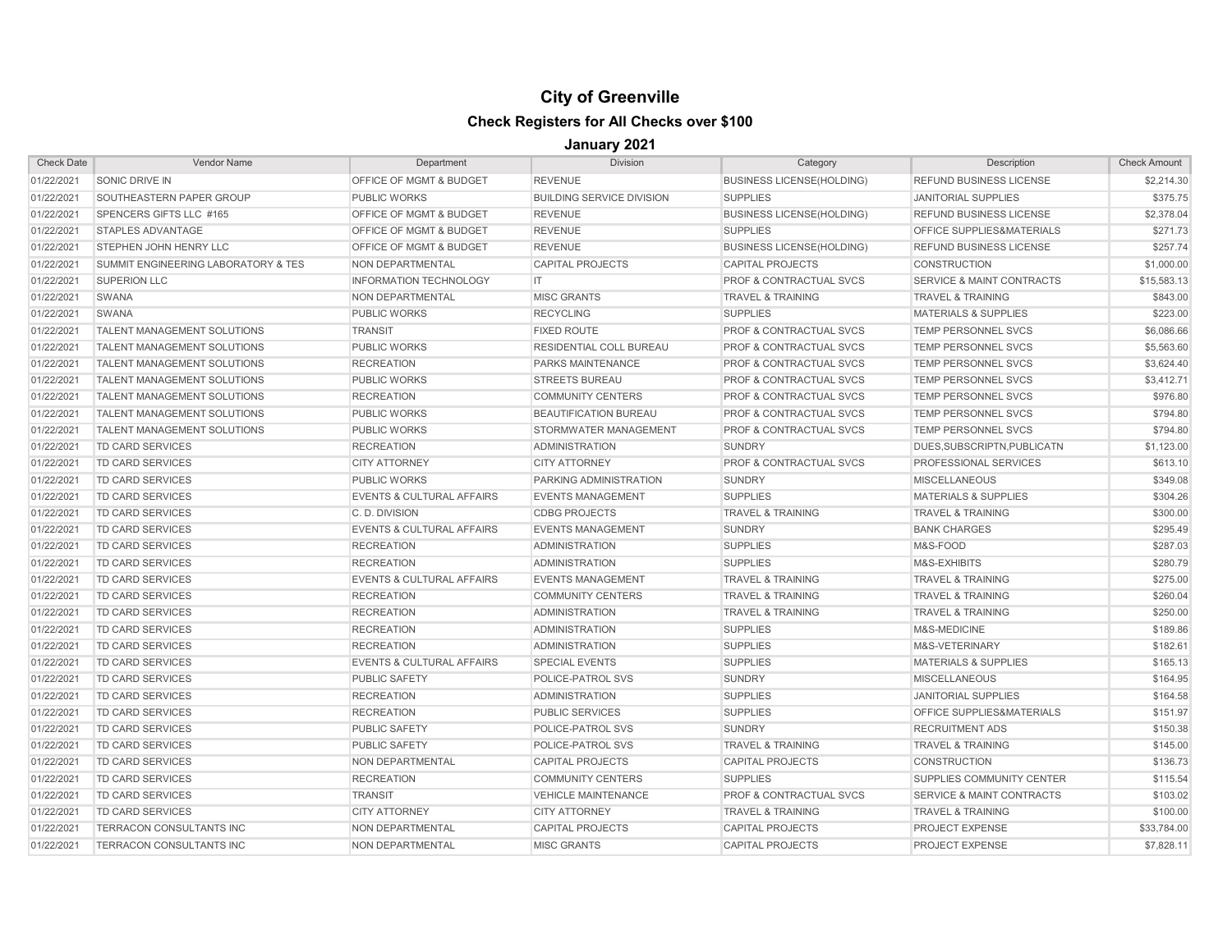| <b>Check Date</b> | <b>Vendor Name</b>                  | Department                           | <b>Division</b>                  | Category                           | Description                          | <b>Check Amount</b> |
|-------------------|-------------------------------------|--------------------------------------|----------------------------------|------------------------------------|--------------------------------------|---------------------|
| 01/22/2021        | <b>SONIC DRIVE IN</b>               | OFFICE OF MGMT & BUDGET              | <b>REVENUE</b>                   | <b>BUSINESS LICENSE(HOLDING)</b>   | REFUND BUSINESS LICENSE              | \$2,214.30          |
| 01/22/2021        | SOUTHEASTERN PAPER GROUP            | <b>PUBLIC WORKS</b>                  | <b>BUILDING SERVICE DIVISION</b> | <b>SUPPLIES</b>                    | <b>JANITORIAL SUPPLIES</b>           | \$375.75            |
| 01/22/2021        | SPENCERS GIFTS LLC #165             | OFFICE OF MGMT & BUDGET              | <b>REVENUE</b>                   | <b>BUSINESS LICENSE(HOLDING)</b>   | REFUND BUSINESS LICENSE              | \$2,378.04          |
| 01/22/2021        | <b>STAPLES ADVANTAGE</b>            | OFFICE OF MGMT & BUDGET              | <b>REVENUE</b>                   | <b>SUPPLIES</b>                    | OFFICE SUPPLIES&MATERIALS            | \$271.73            |
| 01/22/2021        | STEPHEN JOHN HENRY LLC              | OFFICE OF MGMT & BUDGET              | <b>REVENUE</b>                   | <b>BUSINESS LICENSE(HOLDING)</b>   | REFUND BUSINESS LICENSE              | \$257.74            |
| 01/22/2021        | SUMMIT ENGINEERING LABORATORY & TES | NON DEPARTMENTAL                     | <b>CAPITAL PROJECTS</b>          | <b>CAPITAL PROJECTS</b>            | <b>CONSTRUCTION</b>                  | \$1,000.00          |
| 01/22/2021        | <b>SUPERION LLC</b>                 | <b>INFORMATION TECHNOLOGY</b>        | IT                               | PROF & CONTRACTUAL SVCS            | <b>SERVICE &amp; MAINT CONTRACTS</b> | \$15,583.13         |
| 01/22/2021        | <b>SWANA</b>                        | <b>NON DEPARTMENTAL</b>              | <b>MISC GRANTS</b>               | <b>TRAVEL &amp; TRAINING</b>       | <b>TRAVEL &amp; TRAINING</b>         | \$843.00            |
| 01/22/2021        | <b>SWANA</b>                        | <b>PUBLIC WORKS</b>                  | <b>RECYCLING</b>                 | <b>SUPPLIES</b>                    | <b>MATERIALS &amp; SUPPLIES</b>      | \$223.00            |
| 01/22/2021        | <b>TALENT MANAGEMENT SOLUTIONS</b>  | <b>TRANSIT</b>                       | <b>FIXED ROUTE</b>               | PROF & CONTRACTUAL SVCS            | TEMP PERSONNEL SVCS                  | \$6,086.66          |
| 01/22/2021        | <b>TALENT MANAGEMENT SOLUTIONS</b>  | <b>PUBLIC WORKS</b>                  | RESIDENTIAL COLL BUREAU          | PROF & CONTRACTUAL SVCS            | <b>TEMP PERSONNEL SVCS</b>           | \$5,563.60          |
| 01/22/2021        | <b>TALENT MANAGEMENT SOLUTIONS</b>  | <b>RECREATION</b>                    | <b>PARKS MAINTENANCE</b>         | PROF & CONTRACTUAL SVCS            | TEMP PERSONNEL SVCS                  | \$3,624.40          |
| 01/22/2021        | <b>TALENT MANAGEMENT SOLUTIONS</b>  | <b>PUBLIC WORKS</b>                  | <b>STREETS BUREAU</b>            | <b>PROF &amp; CONTRACTUAL SVCS</b> | <b>TEMP PERSONNEL SVCS</b>           | \$3,412.71          |
| 01/22/2021        | <b>TALENT MANAGEMENT SOLUTIONS</b>  | <b>RECREATION</b>                    | <b>COMMUNITY CENTERS</b>         | <b>PROF &amp; CONTRACTUAL SVCS</b> | TEMP PERSONNEL SVCS                  | \$976.80            |
| 01/22/2021        | <b>TALENT MANAGEMENT SOLUTIONS</b>  | <b>PUBLIC WORKS</b>                  | <b>BEAUTIFICATION BUREAU</b>     | <b>PROF &amp; CONTRACTUAL SVCS</b> | <b>TEMP PERSONNEL SVCS</b>           | \$794.80            |
| 01/22/2021        | <b>TALENT MANAGEMENT SOLUTIONS</b>  | <b>PUBLIC WORKS</b>                  | STORMWATER MANAGEMENT            | <b>PROF &amp; CONTRACTUAL SVCS</b> | TEMP PERSONNEL SVCS                  | \$794.80            |
| 01/22/2021        | <b>TD CARD SERVICES</b>             | <b>RECREATION</b>                    | <b>ADMINISTRATION</b>            | <b>SUNDRY</b>                      | DUES, SUBSCRIPTN, PUBLICATN          | \$1,123.00          |
| 01/22/2021        | <b>TD CARD SERVICES</b>             | <b>CITY ATTORNEY</b>                 | <b>CITY ATTORNEY</b>             | PROF & CONTRACTUAL SVCS            | PROFESSIONAL SERVICES                | \$613.10            |
| 01/22/2021        | TD CARD SERVICES                    | <b>PUBLIC WORKS</b>                  | PARKING ADMINISTRATION           | <b>SUNDRY</b>                      | <b>MISCELLANEOUS</b>                 | \$349.08            |
| 01/22/2021        | TD CARD SERVICES                    | <b>EVENTS &amp; CULTURAL AFFAIRS</b> | <b>EVENTS MANAGEMENT</b>         | <b>SUPPLIES</b>                    | <b>MATERIALS &amp; SUPPLIES</b>      | \$304.26            |
| 01/22/2021        | <b>TD CARD SERVICES</b>             | C.D. DIVISION                        | <b>CDBG PROJECTS</b>             | <b>TRAVEL &amp; TRAINING</b>       | <b>TRAVEL &amp; TRAINING</b>         | \$300.00            |
| 01/22/2021        | <b>TD CARD SERVICES</b>             | <b>EVENTS &amp; CULTURAL AFFAIRS</b> | <b>EVENTS MANAGEMENT</b>         | <b>SUNDRY</b>                      | <b>BANK CHARGES</b>                  | \$295.49            |
| 01/22/2021        | <b>TD CARD SERVICES</b>             | <b>RECREATION</b>                    | <b>ADMINISTRATION</b>            | <b>SUPPLIES</b>                    | M&S-FOOD                             | \$287.03            |
| 01/22/2021        | <b>TD CARD SERVICES</b>             | <b>RECREATION</b>                    | <b>ADMINISTRATION</b>            | <b>SUPPLIES</b>                    | M&S-EXHIBITS                         | \$280.79            |
| 01/22/2021        | <b>TD CARD SERVICES</b>             | <b>EVENTS &amp; CULTURAL AFFAIRS</b> | <b>EVENTS MANAGEMENT</b>         | <b>TRAVEL &amp; TRAINING</b>       | <b>TRAVEL &amp; TRAINING</b>         | \$275.00            |
| 01/22/2021        | <b>TD CARD SERVICES</b>             | <b>RECREATION</b>                    | <b>COMMUNITY CENTERS</b>         | <b>TRAVEL &amp; TRAINING</b>       | <b>TRAVEL &amp; TRAINING</b>         | \$260.04            |
| 01/22/2021        | <b>TD CARD SERVICES</b>             | <b>RECREATION</b>                    | <b>ADMINISTRATION</b>            | <b>TRAVEL &amp; TRAINING</b>       | <b>TRAVEL &amp; TRAINING</b>         | \$250.00            |
| 01/22/2021        | <b>TD CARD SERVICES</b>             | <b>RECREATION</b>                    | <b>ADMINISTRATION</b>            | <b>SUPPLIES</b>                    | M&S-MEDICINE                         | \$189.86            |
| 01/22/2021        | <b>TD CARD SERVICES</b>             | <b>RECREATION</b>                    | <b>ADMINISTRATION</b>            | <b>SUPPLIES</b>                    | M&S-VETERINARY                       | \$182.61            |
| 01/22/2021        | <b>TD CARD SERVICES</b>             | <b>EVENTS &amp; CULTURAL AFFAIRS</b> | <b>SPECIAL EVENTS</b>            | <b>SUPPLIES</b>                    | <b>MATERIALS &amp; SUPPLIES</b>      | \$165.13            |
| 01/22/2021        | <b>TD CARD SERVICES</b>             | <b>PUBLIC SAFETY</b>                 | POLICE-PATROL SVS                | <b>SUNDRY</b>                      | <b>MISCELLANEOUS</b>                 | \$164.95            |
| 01/22/2021        | <b>TD CARD SERVICES</b>             | <b>RECREATION</b>                    | <b>ADMINISTRATION</b>            | <b>SUPPLIES</b>                    | <b>JANITORIAL SUPPLIES</b>           | \$164.58            |
| 01/22/2021        | <b>TD CARD SERVICES</b>             | <b>RECREATION</b>                    | <b>PUBLIC SERVICES</b>           | <b>SUPPLIES</b>                    | OFFICE SUPPLIES&MATERIALS            | \$151.97            |
| 01/22/2021        | <b>TD CARD SERVICES</b>             | <b>PUBLIC SAFETY</b>                 | POLICE-PATROL SVS                | <b>SUNDRY</b>                      | <b>RECRUITMENT ADS</b>               | \$150.38            |
| 01/22/2021        | TD CARD SERVICES                    | <b>PUBLIC SAFETY</b>                 | POLICE-PATROL SVS                | <b>TRAVEL &amp; TRAINING</b>       | <b>TRAVEL &amp; TRAINING</b>         | \$145.00            |
| 01/22/2021        | <b>TD CARD SERVICES</b>             | <b>NON DEPARTMENTAL</b>              | <b>CAPITAL PROJECTS</b>          | <b>CAPITAL PROJECTS</b>            | <b>CONSTRUCTION</b>                  | \$136.73            |
| 01/22/2021        | <b>TD CARD SERVICES</b>             | <b>RECREATION</b>                    | <b>COMMUNITY CENTERS</b>         | <b>SUPPLIES</b>                    | SUPPLIES COMMUNITY CENTER            | \$115.54            |
| 01/22/2021        | TD CARD SERVICES                    | <b>TRANSIT</b>                       | <b>VEHICLE MAINTENANCE</b>       | <b>PROF &amp; CONTRACTUAL SVCS</b> | <b>SERVICE &amp; MAINT CONTRACTS</b> | \$103.02            |
| 01/22/2021        | TD CARD SERVICES                    | <b>CITY ATTORNEY</b>                 | <b>CITY ATTORNEY</b>             | <b>TRAVEL &amp; TRAINING</b>       | <b>TRAVEL &amp; TRAINING</b>         | \$100.00            |
| 01/22/2021        | <b>TERRACON CONSULTANTS INC</b>     | <b>NON DEPARTMENTAL</b>              | <b>CAPITAL PROJECTS</b>          | <b>CAPITAL PROJECTS</b>            | <b>PROJECT EXPENSE</b>               | \$33,784.00         |
| 01/22/2021        | <b>TERRACON CONSULTANTS INC</b>     | <b>NON DEPARTMENTAL</b>              | <b>MISC GRANTS</b>               | <b>CAPITAL PROJECTS</b>            | <b>PROJECT EXPENSE</b>               | \$7,828.11          |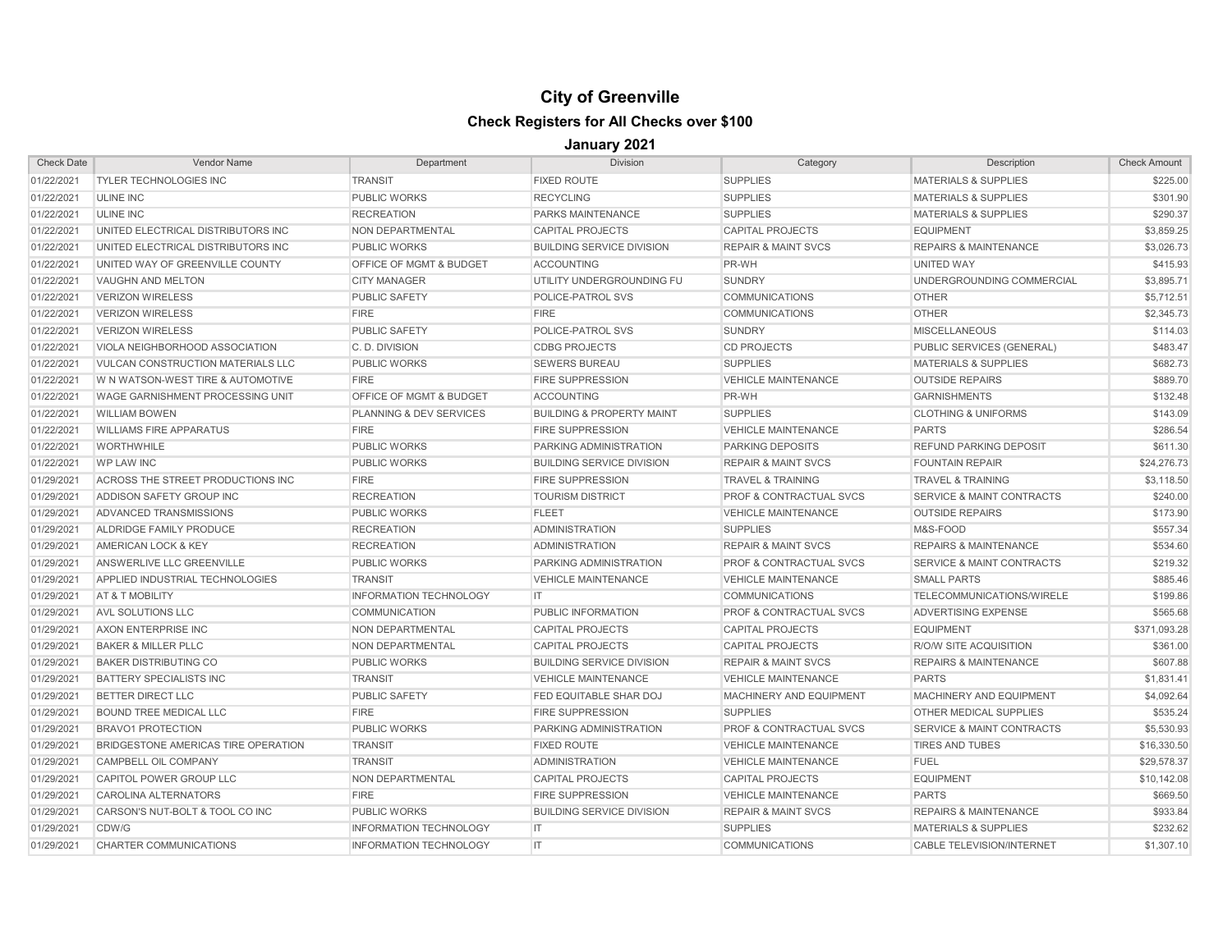| <b>Check Date</b> | <b>Vendor Name</b>                       | Department                         | Division                             | Category                           | Description                          | <b>Check Amount</b> |
|-------------------|------------------------------------------|------------------------------------|--------------------------------------|------------------------------------|--------------------------------------|---------------------|
| 01/22/2021        | <b>TYLER TECHNOLOGIES INC</b>            | <b>TRANSIT</b>                     | <b>FIXED ROUTE</b>                   | <b>SUPPLIES</b>                    | <b>MATERIALS &amp; SUPPLIES</b>      | \$225.00            |
| 01/22/2021        | <b>ULINE INC</b>                         | <b>PUBLIC WORKS</b>                | <b>RECYCLING</b>                     | <b>SUPPLIES</b>                    | <b>MATERIALS &amp; SUPPLIES</b>      | \$301.90            |
| 01/22/2021        | <b>ULINE INC</b>                         | <b>RECREATION</b>                  | PARKS MAINTENANCE                    | <b>SUPPLIES</b>                    | <b>MATERIALS &amp; SUPPLIES</b>      | \$290.37            |
| 01/22/2021        | UNITED ELECTRICAL DISTRIBUTORS INC       | NON DEPARTMENTAL                   | <b>CAPITAL PROJECTS</b>              | <b>CAPITAL PROJECTS</b>            | <b>EQUIPMENT</b>                     | \$3,859.25          |
| 01/22/2021        | UNITED ELECTRICAL DISTRIBUTORS INC       | <b>PUBLIC WORKS</b>                | <b>BUILDING SERVICE DIVISION</b>     | <b>REPAIR &amp; MAINT SVCS</b>     | <b>REPAIRS &amp; MAINTENANCE</b>     | \$3,026.73          |
| 01/22/2021        | UNITED WAY OF GREENVILLE COUNTY          | <b>OFFICE OF MGMT &amp; BUDGET</b> | <b>ACCOUNTING</b>                    | PR-WH                              | UNITED WAY                           | \$415.93            |
| 01/22/2021        | VAUGHN AND MELTON                        | <b>CITY MANAGER</b>                | UTILITY UNDERGROUNDING FU            | <b>SUNDRY</b>                      | UNDERGROUNDING COMMERCIAL            | \$3,895.71          |
| 01/22/2021        | <b>VERIZON WIRELESS</b>                  | <b>PUBLIC SAFETY</b>               | POLICE-PATROL SVS                    | <b>COMMUNICATIONS</b>              | <b>OTHER</b>                         | \$5,712.51          |
| 01/22/2021        | <b>VERIZON WIRELESS</b>                  | <b>FIRE</b>                        | <b>FIRE</b>                          | <b>COMMUNICATIONS</b>              | <b>OTHER</b>                         | \$2,345.73          |
| 01/22/2021        | <b>VERIZON WIRELESS</b>                  | <b>PUBLIC SAFETY</b>               | POLICE-PATROL SVS                    | <b>SUNDRY</b>                      | <b>MISCELLANEOUS</b>                 | \$114.03            |
| 01/22/2021        | VIOLA NEIGHBORHOOD ASSOCIATION           | C.D. DIVISION                      | <b>CDBG PROJECTS</b>                 | <b>CD PROJECTS</b>                 | PUBLIC SERVICES (GENERAL)            | \$483.47            |
| 01/22/2021        | <b>VULCAN CONSTRUCTION MATERIALS LLC</b> | <b>PUBLIC WORKS</b>                | <b>SEWERS BUREAU</b>                 | <b>SUPPLIES</b>                    | <b>MATERIALS &amp; SUPPLIES</b>      | \$682.73            |
| 01/22/2021        | W N WATSON-WEST TIRE & AUTOMOTIVE        | <b>FIRE</b>                        | <b>FIRE SUPPRESSION</b>              | <b>VEHICLE MAINTENANCE</b>         | <b>OUTSIDE REPAIRS</b>               | \$889.70            |
| 01/22/2021        | <b>WAGE GARNISHMENT PROCESSING UNIT</b>  | OFFICE OF MGMT & BUDGET            | <b>ACCOUNTING</b>                    | PR-WH                              | <b>GARNISHMENTS</b>                  | \$132.48            |
| 01/22/2021        | <b>WILLIAM BOWEN</b>                     | <b>PLANNING &amp; DEV SERVICES</b> | <b>BUILDING &amp; PROPERTY MAINT</b> | <b>SUPPLIES</b>                    | <b>CLOTHING &amp; UNIFORMS</b>       | \$143.09            |
| 01/22/2021        | <b>WILLIAMS FIRE APPARATUS</b>           | <b>FIRE</b>                        | <b>FIRE SUPPRESSION</b>              | <b>VEHICLE MAINTENANCE</b>         | <b>PARTS</b>                         | \$286.54            |
| 01/22/2021        | <b>WORTHWHILE</b>                        | <b>PUBLIC WORKS</b>                | PARKING ADMINISTRATION               | <b>PARKING DEPOSITS</b>            | <b>REFUND PARKING DEPOSIT</b>        | \$611.30            |
| 01/22/2021        | <b>WP LAW INC</b>                        | <b>PUBLIC WORKS</b>                | <b>BUILDING SERVICE DIVISION</b>     | <b>REPAIR &amp; MAINT SVCS</b>     | <b>FOUNTAIN REPAIR</b>               | \$24,276.73         |
| 01/29/2021        | ACROSS THE STREET PRODUCTIONS INC        | <b>FIRE</b>                        | <b>FIRE SUPPRESSION</b>              | <b>TRAVEL &amp; TRAINING</b>       | <b>TRAVEL &amp; TRAINING</b>         | \$3,118.50          |
| 01/29/2021        | ADDISON SAFETY GROUP INC                 | <b>RECREATION</b>                  | <b>TOURISM DISTRICT</b>              | <b>PROF &amp; CONTRACTUAL SVCS</b> | <b>SERVICE &amp; MAINT CONTRACTS</b> | \$240.00            |
| 01/29/2021        | ADVANCED TRANSMISSIONS                   | <b>PUBLIC WORKS</b>                | <b>FLEET</b>                         | <b>VEHICLE MAINTENANCE</b>         | <b>OUTSIDE REPAIRS</b>               | \$173.90            |
| 01/29/2021        | ALDRIDGE FAMILY PRODUCE                  | <b>RECREATION</b>                  | <b>ADMINISTRATION</b>                | <b>SUPPLIES</b>                    | M&S-FOOD                             | \$557.34            |
| 01/29/2021        | AMERICAN LOCK & KEY                      | <b>RECREATION</b>                  | <b>ADMINISTRATION</b>                | <b>REPAIR &amp; MAINT SVCS</b>     | <b>REPAIRS &amp; MAINTENANCE</b>     | \$534.60            |
| 01/29/2021        | ANSWERLIVE LLC GREENVILLE                | <b>PUBLIC WORKS</b>                | PARKING ADMINISTRATION               | <b>PROF &amp; CONTRACTUAL SVCS</b> | <b>SERVICE &amp; MAINT CONTRACTS</b> | \$219.32            |
| 01/29/2021        | APPLIED INDUSTRIAL TECHNOLOGIES          | <b>TRANSIT</b>                     | <b>VEHICLE MAINTENANCE</b>           | <b>VEHICLE MAINTENANCE</b>         | <b>SMALL PARTS</b>                   | \$885.46            |
| 01/29/2021        | AT & T MOBILITY                          | <b>INFORMATION TECHNOLOGY</b>      | IT.                                  | <b>COMMUNICATIONS</b>              | TELECOMMUNICATIONS/WIRELE            | \$199.86            |
| 01/29/2021        | <b>AVL SOLUTIONS LLC</b>                 | <b>COMMUNICATION</b>               | PUBLIC INFORMATION                   | PROF & CONTRACTUAL SVCS            | ADVERTISING EXPENSE                  | \$565.68            |
| 01/29/2021        | AXON ENTERPRISE INC                      | NON DEPARTMENTAL                   | <b>CAPITAL PROJECTS</b>              | <b>CAPITAL PROJECTS</b>            | <b>EQUIPMENT</b>                     | \$371,093.28        |
| 01/29/2021        | <b>BAKER &amp; MILLER PLLC</b>           | NON DEPARTMENTAL                   | <b>CAPITAL PROJECTS</b>              | <b>CAPITAL PROJECTS</b>            | <b>R/O/W SITE ACQUISITION</b>        | \$361.00            |
| 01/29/2021        | <b>BAKER DISTRIBUTING CO</b>             | <b>PUBLIC WORKS</b>                | <b>BUILDING SERVICE DIVISION</b>     | <b>REPAIR &amp; MAINT SVCS</b>     | <b>REPAIRS &amp; MAINTENANCE</b>     | \$607.88            |
| 01/29/2021        | <b>BATTERY SPECIALISTS INC</b>           | <b>TRANSIT</b>                     | <b>VEHICLE MAINTENANCE</b>           | <b>VEHICLE MAINTENANCE</b>         | <b>PARTS</b>                         | \$1,831.41          |
| 01/29/2021        | <b>BETTER DIRECT LLC</b>                 | <b>PUBLIC SAFETY</b>               | FED EQUITABLE SHAR DOJ               | MACHINERY AND EQUIPMENT            | MACHINERY AND EQUIPMENT              | \$4,092.64          |
| 01/29/2021        | <b>BOUND TREE MEDICAL LLC</b>            | <b>FIRE</b>                        | <b>FIRE SUPPRESSION</b>              | <b>SUPPLIES</b>                    | OTHER MEDICAL SUPPLIES               | \$535.24            |
| 01/29/2021        | <b>BRAVO1 PROTECTION</b>                 | <b>PUBLIC WORKS</b>                | PARKING ADMINISTRATION               | <b>PROF &amp; CONTRACTUAL SVCS</b> | <b>SERVICE &amp; MAINT CONTRACTS</b> | \$5,530.93          |
| 01/29/2021        | BRIDGESTONE AMERICAS TIRE OPERATION      | <b>TRANSIT</b>                     | <b>FIXED ROUTE</b>                   | <b>VEHICLE MAINTENANCE</b>         | <b>TIRES AND TUBES</b>               | \$16,330.50         |
| 01/29/2021        | CAMPBELL OIL COMPANY                     | <b>TRANSIT</b>                     | <b>ADMINISTRATION</b>                | <b>VEHICLE MAINTENANCE</b>         | <b>FUEL</b>                          | \$29,578.37         |
| 01/29/2021        | CAPITOL POWER GROUP LLC                  | NON DEPARTMENTAL                   | <b>CAPITAL PROJECTS</b>              | <b>CAPITAL PROJECTS</b>            | <b>EQUIPMENT</b>                     | \$10,142.08         |
| 01/29/2021        | <b>CAROLINA ALTERNATORS</b>              | <b>FIRE</b>                        | <b>FIRE SUPPRESSION</b>              | <b>VEHICLE MAINTENANCE</b>         | <b>PARTS</b>                         | \$669.50            |
| 01/29/2021        | CARSON'S NUT-BOLT & TOOL CO INC          | <b>PUBLIC WORKS</b>                | <b>BUILDING SERVICE DIVISION</b>     | <b>REPAIR &amp; MAINT SVCS</b>     | <b>REPAIRS &amp; MAINTENANCE</b>     | \$933.84            |
| 01/29/2021        | CDW/G                                    | <b>INFORMATION TECHNOLOGY</b>      | IT.                                  | <b>SUPPLIES</b>                    | <b>MATERIALS &amp; SUPPLIES</b>      | \$232.62            |
| 01/29/2021        | <b>CHARTER COMMUNICATIONS</b>            | <b>INFORMATION TECHNOLOGY</b>      | IT.                                  | <b>COMMUNICATIONS</b>              | <b>CABLE TELEVISION/INTERNET</b>     | \$1,307.10          |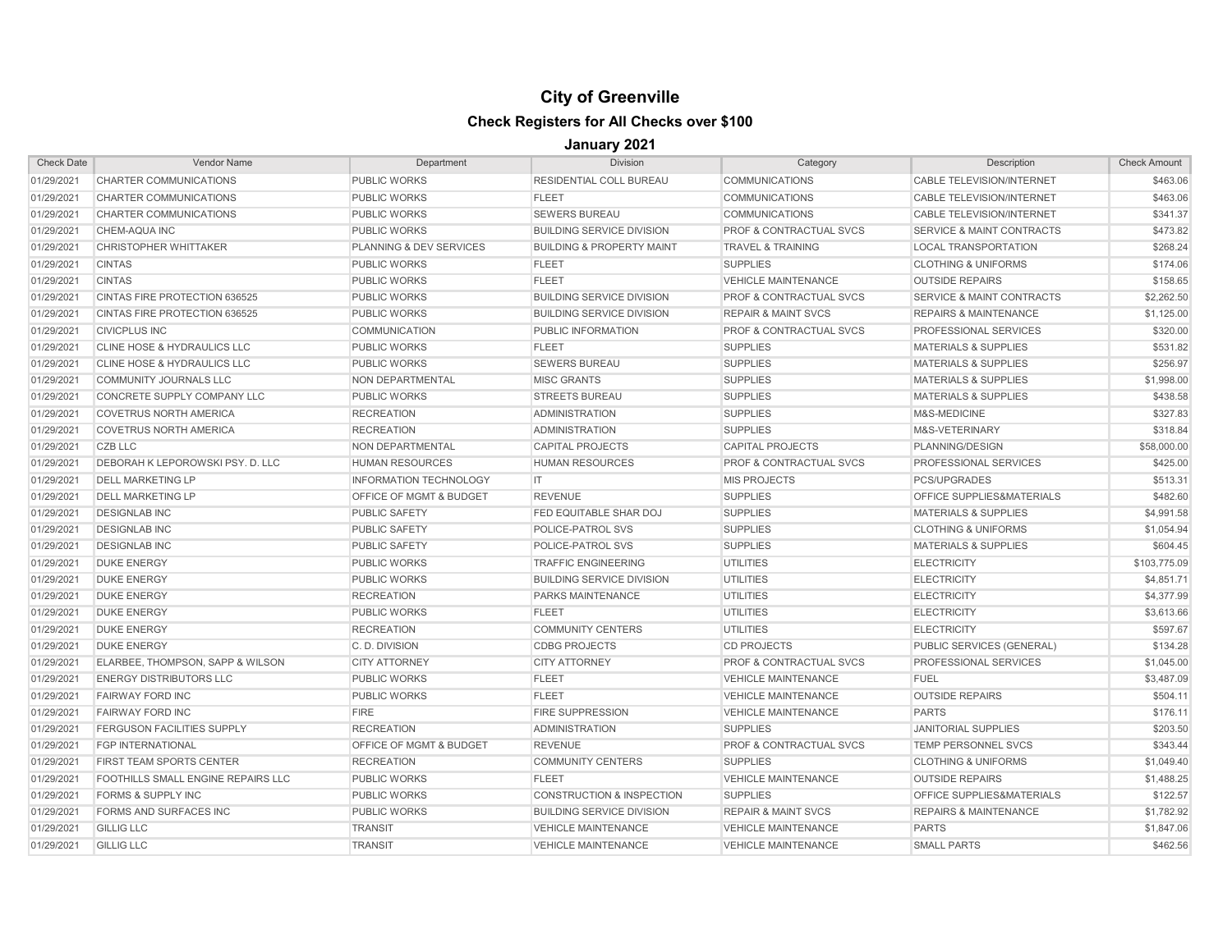| <b>Check Date</b> | <b>Vendor Name</b>                          | Department                         | <b>Division</b>                      | Category                           | Description                          | <b>Check Amount</b> |
|-------------------|---------------------------------------------|------------------------------------|--------------------------------------|------------------------------------|--------------------------------------|---------------------|
| 01/29/2021        | CHARTER COMMUNICATIONS                      | <b>PUBLIC WORKS</b>                | <b>RESIDENTIAL COLL BUREAU</b>       | <b>COMMUNICATIONS</b>              | CABLE TELEVISION/INTERNET            | \$463.06            |
| 01/29/2021        | CHARTER COMMUNICATIONS                      | <b>PUBLIC WORKS</b>                | <b>FLEET</b>                         | <b>COMMUNICATIONS</b>              | CABLE TELEVISION/INTERNET            | \$463.06            |
| 01/29/2021        | CHARTER COMMUNICATIONS                      | <b>PUBLIC WORKS</b>                | <b>SEWERS BUREAU</b>                 | <b>COMMUNICATIONS</b>              | <b>CABLE TELEVISION/INTERNET</b>     | \$341.37            |
| 01/29/2021        | CHEM-AQUA INC                               | <b>PUBLIC WORKS</b>                | <b>BUILDING SERVICE DIVISION</b>     | <b>PROF &amp; CONTRACTUAL SVCS</b> | <b>SERVICE &amp; MAINT CONTRACTS</b> | \$473.82            |
| 01/29/2021        | <b>CHRISTOPHER WHITTAKER</b>                | <b>PLANNING &amp; DEV SERVICES</b> | <b>BUILDING &amp; PROPERTY MAINT</b> | <b>TRAVEL &amp; TRAINING</b>       | <b>LOCAL TRANSPORTATION</b>          | \$268.24            |
| 01/29/2021        | <b>CINTAS</b>                               | <b>PUBLIC WORKS</b>                | <b>FLEET</b>                         | <b>SUPPLIES</b>                    | <b>CLOTHING &amp; UNIFORMS</b>       | \$174.06            |
| 01/29/2021        | <b>CINTAS</b>                               | <b>PUBLIC WORKS</b>                | <b>FLEET</b>                         | <b>VEHICLE MAINTENANCE</b>         | <b>OUTSIDE REPAIRS</b>               | \$158.65            |
| 01/29/2021        | <b>CINTAS FIRE PROTECTION 636525</b>        | <b>PUBLIC WORKS</b>                | <b>BUILDING SERVICE DIVISION</b>     | <b>PROF &amp; CONTRACTUAL SVCS</b> | <b>SERVICE &amp; MAINT CONTRACTS</b> | \$2,262.50          |
| 01/29/2021        | CINTAS FIRE PROTECTION 636525               | <b>PUBLIC WORKS</b>                | <b>BUILDING SERVICE DIVISION</b>     | <b>REPAIR &amp; MAINT SVCS</b>     | <b>REPAIRS &amp; MAINTENANCE</b>     | \$1,125.00          |
| 01/29/2021        | <b>CIVICPLUS INC</b>                        | <b>COMMUNICATION</b>               | PUBLIC INFORMATION                   | <b>PROF &amp; CONTRACTUAL SVCS</b> | <b>PROFESSIONAL SERVICES</b>         | \$320.00            |
| 01/29/2021        | <b>CLINE HOSE &amp; HYDRAULICS LLC</b>      | <b>PUBLIC WORKS</b>                | <b>FLEET</b>                         | <b>SUPPLIES</b>                    | <b>MATERIALS &amp; SUPPLIES</b>      | \$531.82            |
| 01/29/2021        | <b>CLINE HOSE &amp; HYDRAULICS LLC</b>      | <b>PUBLIC WORKS</b>                | <b>SEWERS BUREAU</b>                 | <b>SUPPLIES</b>                    | <b>MATERIALS &amp; SUPPLIES</b>      | \$256.97            |
| 01/29/2021        | <b>COMMUNITY JOURNALS LLC</b>               | <b>NON DEPARTMENTAL</b>            | <b>MISC GRANTS</b>                   | <b>SUPPLIES</b>                    | <b>MATERIALS &amp; SUPPLIES</b>      | \$1,998.00          |
| 01/29/2021        | CONCRETE SUPPLY COMPANY LLC                 | <b>PUBLIC WORKS</b>                | <b>STREETS BUREAU</b>                | <b>SUPPLIES</b>                    | <b>MATERIALS &amp; SUPPLIES</b>      | \$438.58            |
| 01/29/2021        | <b>COVETRUS NORTH AMERICA</b>               | <b>RECREATION</b>                  | <b>ADMINISTRATION</b>                | <b>SUPPLIES</b>                    | M&S-MEDICINE                         | \$327.83            |
| 01/29/2021        | <b>COVETRUS NORTH AMERICA</b>               | <b>RECREATION</b>                  | <b>ADMINISTRATION</b>                | <b>SUPPLIES</b>                    | M&S-VETERINARY                       | \$318.84            |
| 01/29/2021        | CZB LLC                                     | NON DEPARTMENTAL                   | <b>CAPITAL PROJECTS</b>              | <b>CAPITAL PROJECTS</b>            | PLANNING/DESIGN                      | \$58,000.00         |
| 01/29/2021        | DEBORAH K LEPOROWSKI PSY. D. LLC            | <b>HUMAN RESOURCES</b>             | <b>HUMAN RESOURCES</b>               | <b>PROF &amp; CONTRACTUAL SVCS</b> | PROFESSIONAL SERVICES                | \$425.00            |
| 01/29/2021        | <b>DELL MARKETING LP</b>                    | <b>INFORMATION TECHNOLOGY</b>      | IT.                                  | <b>MIS PROJECTS</b>                | <b>PCS/UPGRADES</b>                  | \$513.31            |
| 01/29/2021        | <b>DELL MARKETING LP</b>                    | OFFICE OF MGMT & BUDGET            | <b>REVENUE</b>                       | <b>SUPPLIES</b>                    | OFFICE SUPPLIES&MATERIALS            | \$482.60            |
| 01/29/2021        | <b>DESIGNLAB INC</b>                        | <b>PUBLIC SAFETY</b>               | <b>FED EQUITABLE SHAR DOJ</b>        | <b>SUPPLIES</b>                    | <b>MATERIALS &amp; SUPPLIES</b>      | \$4,991.58          |
| 01/29/2021        | <b>DESIGNLAB INC</b>                        | <b>PUBLIC SAFETY</b>               | POLICE-PATROL SVS                    | <b>SUPPLIES</b>                    | <b>CLOTHING &amp; UNIFORMS</b>       | \$1,054.94          |
| 01/29/2021        | <b>DESIGNLAB INC</b>                        | <b>PUBLIC SAFETY</b>               | POLICE-PATROL SVS                    | <b>SUPPLIES</b>                    | <b>MATERIALS &amp; SUPPLIES</b>      | \$604.45            |
| 01/29/2021        | <b>DUKE ENERGY</b>                          | <b>PUBLIC WORKS</b>                | <b>TRAFFIC ENGINEERING</b>           | <b>UTILITIES</b>                   | <b>ELECTRICITY</b>                   | \$103,775.09        |
| 01/29/2021        | <b>DUKE ENERGY</b>                          | <b>PUBLIC WORKS</b>                | <b>BUILDING SERVICE DIVISION</b>     | UTILITIES                          | <b>ELECTRICITY</b>                   | \$4.851.71          |
| 01/29/2021        | <b>DUKE ENERGY</b>                          | <b>RECREATION</b>                  | PARKS MAINTENANCE                    | <b>UTILITIES</b>                   | <b>ELECTRICITY</b>                   | \$4,377.99          |
| 01/29/2021        | <b>DUKE ENERGY</b>                          | <b>PUBLIC WORKS</b>                | <b>FLEET</b>                         | UTILITIES                          | <b>ELECTRICITY</b>                   | \$3,613.66          |
| 01/29/2021        | <b>DUKE ENERGY</b>                          | <b>RECREATION</b>                  | <b>COMMUNITY CENTERS</b>             | <b>UTILITIES</b>                   | <b>ELECTRICITY</b>                   | \$597.67            |
| 01/29/2021        | <b>DUKE ENERGY</b>                          | C.D. DIVISION                      | <b>CDBG PROJECTS</b>                 | <b>CD PROJECTS</b>                 | PUBLIC SERVICES (GENERAL)            | \$134.28            |
| 01/29/2021        | <b>ELARBEE, THOMPSON, SAPP &amp; WILSON</b> | <b>CITY ATTORNEY</b>               | <b>CITY ATTORNEY</b>                 | PROF & CONTRACTUAL SVCS            | PROFESSIONAL SERVICES                | \$1,045.00          |
| 01/29/2021        | <b>ENERGY DISTRIBUTORS LLC</b>              | <b>PUBLIC WORKS</b>                | <b>FLEET</b>                         | <b>VEHICLE MAINTENANCE</b>         | <b>FUEL</b>                          | \$3,487.09          |
| 01/29/2021        | <b>FAIRWAY FORD INC</b>                     | <b>PUBLIC WORKS</b>                | <b>FLEET</b>                         | <b>VEHICLE MAINTENANCE</b>         | <b>OUTSIDE REPAIRS</b>               | \$504.11            |
| 01/29/2021        | <b>FAIRWAY FORD INC</b>                     | <b>FIRE</b>                        | <b>FIRE SUPPRESSION</b>              | <b>VEHICLE MAINTENANCE</b>         | <b>PARTS</b>                         | \$176.11            |
| 01/29/2021        | <b>FERGUSON FACILITIES SUPPLY</b>           | <b>RECREATION</b>                  | <b>ADMINISTRATION</b>                | <b>SUPPLIES</b>                    | <b>JANITORIAL SUPPLIES</b>           | \$203.50            |
| 01/29/2021        | <b>FGP INTERNATIONAL</b>                    | <b>OFFICE OF MGMT &amp; BUDGET</b> | <b>REVENUE</b>                       | <b>PROF &amp; CONTRACTUAL SVCS</b> | <b>TEMP PERSONNEL SVCS</b>           | \$343.44            |
| 01/29/2021        | <b>FIRST TEAM SPORTS CENTER</b>             | <b>RECREATION</b>                  | <b>COMMUNITY CENTERS</b>             | <b>SUPPLIES</b>                    | <b>CLOTHING &amp; UNIFORMS</b>       | \$1,049.40          |
| 01/29/2021        | <b>FOOTHILLS SMALL ENGINE REPAIRS LLC</b>   | <b>PUBLIC WORKS</b>                | <b>FLEET</b>                         | <b>VEHICLE MAINTENANCE</b>         | <b>OUTSIDE REPAIRS</b>               | \$1,488.25          |
| 01/29/2021        | <b>FORMS &amp; SUPPLY INC</b>               | <b>PUBLIC WORKS</b>                | <b>CONSTRUCTION &amp; INSPECTION</b> | <b>SUPPLIES</b>                    | <b>OFFICE SUPPLIES&amp;MATERIALS</b> | \$122.57            |
| 01/29/2021        | <b>FORMS AND SURFACES INC</b>               | <b>PUBLIC WORKS</b>                | <b>BUILDING SERVICE DIVISION</b>     | <b>REPAIR &amp; MAINT SVCS</b>     | <b>REPAIRS &amp; MAINTENANCE</b>     | \$1,782.92          |
| 01/29/2021        | <b>GILLIG LLC</b>                           | <b>TRANSIT</b>                     | <b>VEHICLE MAINTENANCE</b>           | <b>VEHICLE MAINTENANCE</b>         | <b>PARTS</b>                         | \$1,847.06          |
| 01/29/2021        | <b>GILLIG LLC</b>                           | <b>TRANSIT</b>                     | <b>VEHICLE MAINTENANCE</b>           | <b>VEHICLE MAINTENANCE</b>         | <b>SMALL PARTS</b>                   | \$462.56            |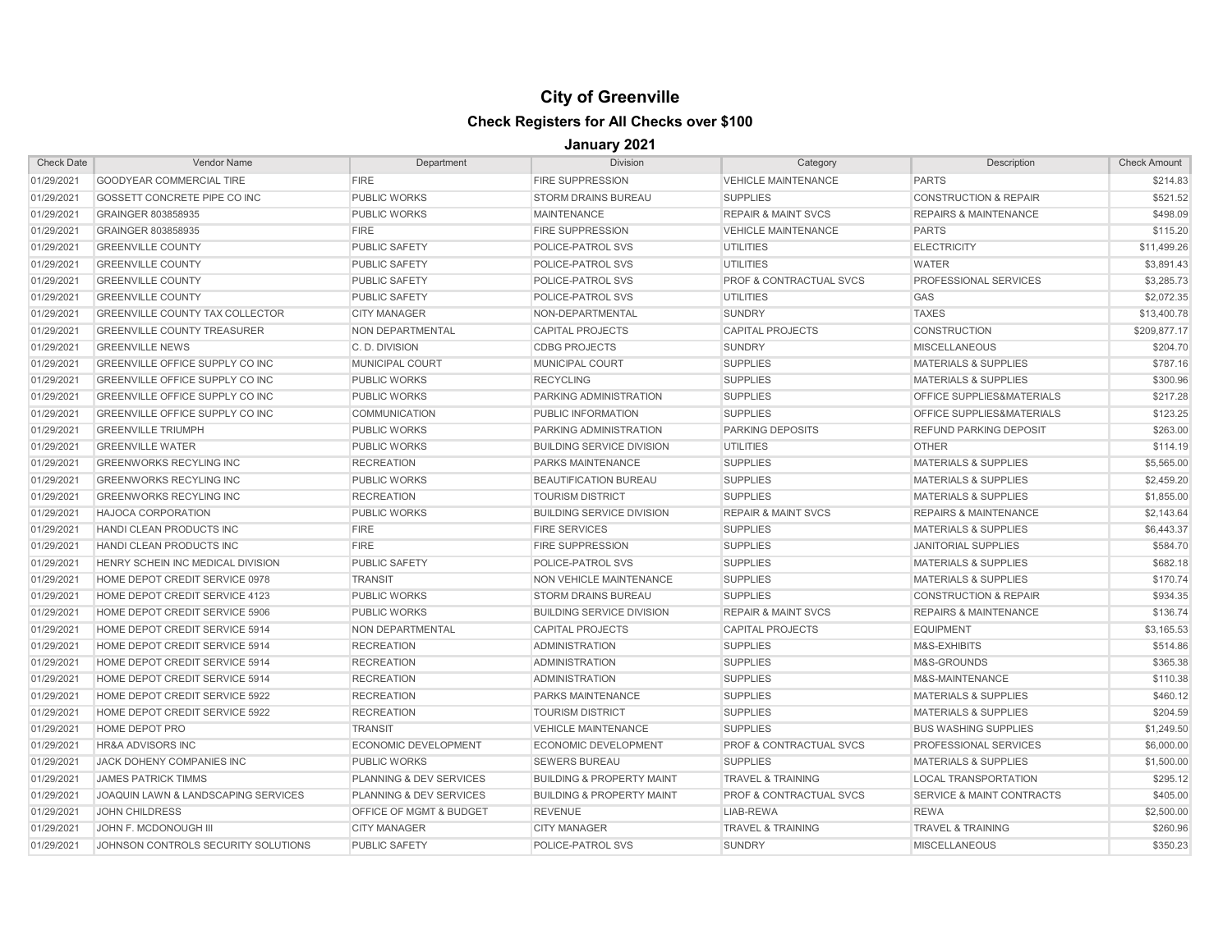| <b>Check Date</b> | Vendor Name                            | Department                         | <b>Division</b>                      | Category                           | Description                          | <b>Check Amount</b> |
|-------------------|----------------------------------------|------------------------------------|--------------------------------------|------------------------------------|--------------------------------------|---------------------|
| 01/29/2021        | <b>GOODYEAR COMMERCIAL TIRE</b>        | <b>FIRE</b>                        | <b>FIRE SUPPRESSION</b>              | <b>VEHICLE MAINTENANCE</b>         | <b>PARTS</b>                         | \$214.83            |
| 01/29/2021        | GOSSETT CONCRETE PIPE CO INC           | <b>PUBLIC WORKS</b>                | <b>STORM DRAINS BUREAU</b>           | <b>SUPPLIES</b>                    | <b>CONSTRUCTION &amp; REPAIR</b>     | \$521.52            |
| 01/29/2021        | GRAINGER 803858935                     | <b>PUBLIC WORKS</b>                | <b>MAINTENANCE</b>                   | <b>REPAIR &amp; MAINT SVCS</b>     | <b>REPAIRS &amp; MAINTENANCE</b>     | \$498.09            |
| 01/29/2021        | GRAINGER 803858935                     | <b>FIRE</b>                        | <b>FIRE SUPPRESSION</b>              | <b>VEHICLE MAINTENANCE</b>         | <b>PARTS</b>                         | \$115.20            |
| 01/29/2021        | <b>GREENVILLE COUNTY</b>               | <b>PUBLIC SAFETY</b>               | POLICE-PATROL SVS                    | <b>UTILITIES</b>                   | <b>ELECTRICITY</b>                   | \$11,499.26         |
| 01/29/2021        | <b>GREENVILLE COUNTY</b>               | <b>PUBLIC SAFETY</b>               | POLICE-PATROL SVS                    | <b>UTILITIES</b>                   | <b>WATER</b>                         | \$3,891.43          |
| 01/29/2021        | <b>GREENVILLE COUNTY</b>               | <b>PUBLIC SAFETY</b>               | POLICE-PATROL SVS                    | <b>PROF &amp; CONTRACTUAL SVCS</b> | <b>PROFESSIONAL SERVICES</b>         | \$3,285.73          |
| 01/29/2021        | <b>GREENVILLE COUNTY</b>               | <b>PUBLIC SAFETY</b>               | POLICE-PATROL SVS                    | <b>UTILITIES</b>                   | <b>GAS</b>                           | \$2,072.35          |
| 01/29/2021        | <b>GREENVILLE COUNTY TAX COLLECTOR</b> | <b>CITY MANAGER</b>                | NON-DEPARTMENTAL                     | <b>SUNDRY</b>                      | <b>TAXES</b>                         | \$13,400.78         |
| 01/29/2021        | <b>GREENVILLE COUNTY TREASURER</b>     | NON DEPARTMENTAL                   | <b>CAPITAL PROJECTS</b>              | <b>CAPITAL PROJECTS</b>            | <b>CONSTRUCTION</b>                  | \$209.877.17        |
| 01/29/2021        | <b>GREENVILLE NEWS</b>                 | C.D. DIVISION                      | <b>CDBG PROJECTS</b>                 | <b>SUNDRY</b>                      | <b>MISCELLANEOUS</b>                 | \$204.70            |
| 01/29/2021        | <b>GREENVILLE OFFICE SUPPLY CO INC</b> | <b>MUNICIPAL COURT</b>             | <b>MUNICIPAL COURT</b>               | <b>SUPPLIES</b>                    | <b>MATERIALS &amp; SUPPLIES</b>      | \$787.16            |
| 01/29/2021        | <b>GREENVILLE OFFICE SUPPLY CO INC</b> | <b>PUBLIC WORKS</b>                | <b>RECYCLING</b>                     | <b>SUPPLIES</b>                    | <b>MATERIALS &amp; SUPPLIES</b>      | \$300.96            |
| 01/29/2021        | GREENVILLE OFFICE SUPPLY CO INC        | <b>PUBLIC WORKS</b>                | PARKING ADMINISTRATION               | <b>SUPPLIES</b>                    | OFFICE SUPPLIES&MATERIALS            | \$217.28            |
| 01/29/2021        | GREENVILLE OFFICE SUPPLY CO INC        | <b>COMMUNICATION</b>               | PUBLIC INFORMATION                   | <b>SUPPLIES</b>                    | OFFICE SUPPLIES&MATERIALS            | \$123.25            |
| 01/29/2021        | <b>GREENVILLE TRIUMPH</b>              | <b>PUBLIC WORKS</b>                | PARKING ADMINISTRATION               | <b>PARKING DEPOSITS</b>            | <b>REFUND PARKING DEPOSIT</b>        | \$263.00            |
| 01/29/2021        | <b>GREENVILLE WATER</b>                | <b>PUBLIC WORKS</b>                | <b>BUILDING SERVICE DIVISION</b>     | <b>UTILITIES</b>                   | <b>OTHER</b>                         | \$114.19            |
| 01/29/2021        | <b>GREENWORKS RECYLING INC</b>         | <b>RECREATION</b>                  | PARKS MAINTENANCE                    | <b>SUPPLIES</b>                    | <b>MATERIALS &amp; SUPPLIES</b>      | \$5,565.00          |
| 01/29/2021        | <b>GREENWORKS RECYLING INC</b>         | <b>PUBLIC WORKS</b>                | <b>BEAUTIFICATION BUREAU</b>         | <b>SUPPLIES</b>                    | <b>MATERIALS &amp; SUPPLIES</b>      | \$2,459.20          |
| 01/29/2021        | <b>GREENWORKS RECYLING INC</b>         | <b>RECREATION</b>                  | <b>TOURISM DISTRICT</b>              | <b>SUPPLIES</b>                    | <b>MATERIALS &amp; SUPPLIES</b>      | \$1,855.00          |
| 01/29/2021        | <b>HAJOCA CORPORATION</b>              | <b>PUBLIC WORKS</b>                | <b>BUILDING SERVICE DIVISION</b>     | <b>REPAIR &amp; MAINT SVCS</b>     | <b>REPAIRS &amp; MAINTENANCE</b>     | \$2,143.64          |
| 01/29/2021        | HANDI CLEAN PRODUCTS INC               | <b>FIRE</b>                        | <b>FIRE SERVICES</b>                 | <b>SUPPLIES</b>                    | <b>MATERIALS &amp; SUPPLIES</b>      | \$6,443.37          |
| 01/29/2021        | <b>HANDI CLEAN PRODUCTS INC</b>        | <b>FIRE</b>                        | <b>FIRE SUPPRESSION</b>              | <b>SUPPLIES</b>                    | <b>JANITORIAL SUPPLIES</b>           | \$584.70            |
| 01/29/2021        | HENRY SCHEIN INC MEDICAL DIVISION      | <b>PUBLIC SAFETY</b>               | POLICE-PATROL SVS                    | <b>SUPPLIES</b>                    | <b>MATERIALS &amp; SUPPLIES</b>      | \$682.18            |
| 01/29/2021        | HOME DEPOT CREDIT SERVICE 0978         | <b>TRANSIT</b>                     | NON VEHICLE MAINTENANCE              | <b>SUPPLIES</b>                    | <b>MATERIALS &amp; SUPPLIES</b>      | \$170.74            |
| 01/29/2021        | HOME DEPOT CREDIT SERVICE 4123         | <b>PUBLIC WORKS</b>                | <b>STORM DRAINS BUREAU</b>           | <b>SUPPLIES</b>                    | <b>CONSTRUCTION &amp; REPAIR</b>     | \$934.35            |
| 01/29/2021        | HOME DEPOT CREDIT SERVICE 5906         | <b>PUBLIC WORKS</b>                | <b>BUILDING SERVICE DIVISION</b>     | <b>REPAIR &amp; MAINT SVCS</b>     | <b>REPAIRS &amp; MAINTENANCE</b>     | \$136.74            |
| 01/29/2021        | HOME DEPOT CREDIT SERVICE 5914         | NON DEPARTMENTAL                   | <b>CAPITAL PROJECTS</b>              | <b>CAPITAL PROJECTS</b>            | <b>EQUIPMENT</b>                     | \$3,165.53          |
| 01/29/2021        | HOME DEPOT CREDIT SERVICE 5914         | <b>RECREATION</b>                  | <b>ADMINISTRATION</b>                | <b>SUPPLIES</b>                    | M&S-EXHIBITS                         | \$514.86            |
| 01/29/2021        | <b>HOME DEPOT CREDIT SERVICE 5914</b>  | <b>RECREATION</b>                  | <b>ADMINISTRATION</b>                | <b>SUPPLIES</b>                    | M&S-GROUNDS                          | \$365.38            |
| 01/29/2021        | HOME DEPOT CREDIT SERVICE 5914         | <b>RECREATION</b>                  | <b>ADMINISTRATION</b>                | <b>SUPPLIES</b>                    | M&S-MAINTENANCE                      | \$110.38            |
| 01/29/2021        | HOME DEPOT CREDIT SERVICE 5922         | <b>RECREATION</b>                  | PARKS MAINTENANCE                    | <b>SUPPLIES</b>                    | <b>MATERIALS &amp; SUPPLIES</b>      | \$460.12            |
| 01/29/2021        | <b>HOME DEPOT CREDIT SERVICE 5922</b>  | <b>RECREATION</b>                  | <b>TOURISM DISTRICT</b>              | <b>SUPPLIES</b>                    | <b>MATERIALS &amp; SUPPLIES</b>      | \$204.59            |
| 01/29/2021        | <b>HOME DEPOT PRO</b>                  | <b>TRANSIT</b>                     | <b>VEHICLE MAINTENANCE</b>           | <b>SUPPLIES</b>                    | <b>BUS WASHING SUPPLIES</b>          | \$1,249.50          |
| 01/29/2021        | <b>HR&amp;A ADVISORS INC</b>           | <b>ECONOMIC DEVELOPMENT</b>        | <b>ECONOMIC DEVELOPMENT</b>          | PROF & CONTRACTUAL SVCS            | PROFESSIONAL SERVICES                | \$6,000.00          |
| 01/29/2021        | JACK DOHENY COMPANIES INC              | <b>PUBLIC WORKS</b>                | <b>SEWERS BUREAU</b>                 | <b>SUPPLIES</b>                    | <b>MATERIALS &amp; SUPPLIES</b>      | \$1,500.00          |
| 01/29/2021        | <b>JAMES PATRICK TIMMS</b>             | PLANNING & DEV SERVICES            | <b>BUILDING &amp; PROPERTY MAINT</b> | <b>TRAVEL &amp; TRAINING</b>       | <b>LOCAL TRANSPORTATION</b>          | \$295.12            |
| 01/29/2021        | JOAQUIN LAWN & LANDSCAPING SERVICES    | <b>PLANNING &amp; DEV SERVICES</b> | <b>BUILDING &amp; PROPERTY MAINT</b> | <b>PROF &amp; CONTRACTUAL SVCS</b> | <b>SERVICE &amp; MAINT CONTRACTS</b> | \$405.00            |
| 01/29/2021        | <b>JOHN CHILDRESS</b>                  | <b>OFFICE OF MGMT &amp; BUDGET</b> | <b>REVENUE</b>                       | LIAB-REWA                          | <b>REWA</b>                          | \$2,500.00          |
| 01/29/2021        | JOHN F. MCDONOUGH III                  | <b>CITY MANAGER</b>                | <b>CITY MANAGER</b>                  | <b>TRAVEL &amp; TRAINING</b>       | <b>TRAVEL &amp; TRAINING</b>         | \$260.96            |
| 01/29/2021        | JOHNSON CONTROLS SECURITY SOLUTIONS    | <b>PUBLIC SAFETY</b>               | POLICE-PATROL SVS                    | <b>SUNDRY</b>                      | <b>MISCELLANEOUS</b>                 | \$350.23            |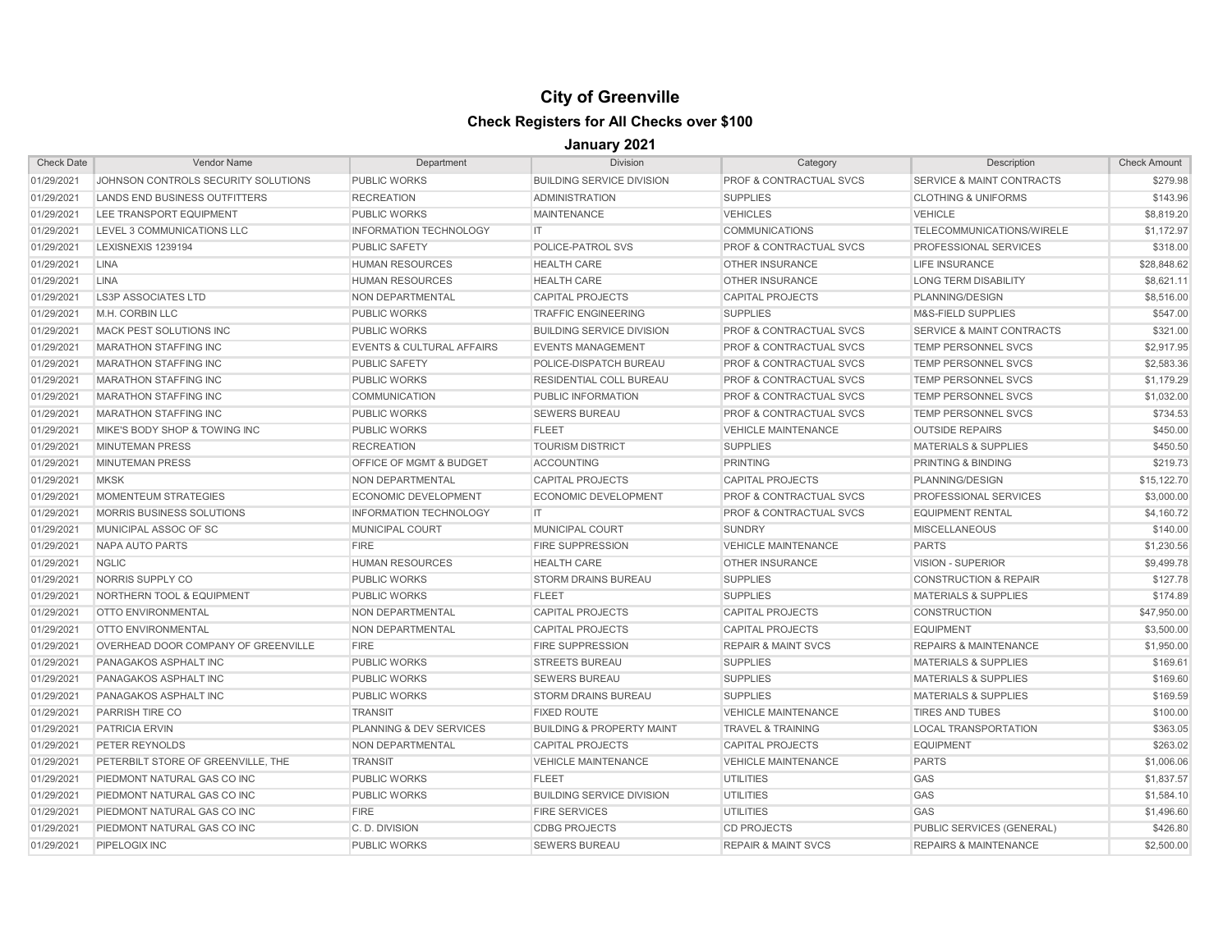| <b>Check Date</b> | <b>Vendor Name</b>                   | Department                           | <b>Division</b>                      | Category                           | Description                          | <b>Check Amount</b> |
|-------------------|--------------------------------------|--------------------------------------|--------------------------------------|------------------------------------|--------------------------------------|---------------------|
| 01/29/2021        | JOHNSON CONTROLS SECURITY SOLUTIONS  | <b>PUBLIC WORKS</b>                  | <b>BUILDING SERVICE DIVISION</b>     | <b>PROF &amp; CONTRACTUAL SVCS</b> | <b>SERVICE &amp; MAINT CONTRACTS</b> | \$279.98            |
| 01/29/2021        | LANDS END BUSINESS OUTFITTERS        | <b>RECREATION</b>                    | <b>ADMINISTRATION</b>                | <b>SUPPLIES</b>                    | <b>CLOTHING &amp; UNIFORMS</b>       | \$143.96            |
| 01/29/2021        | LEE TRANSPORT EQUIPMENT              | <b>PUBLIC WORKS</b>                  | <b>MAINTENANCE</b>                   | <b>VEHICLES</b>                    | <b>VEHICLE</b>                       | \$8,819.20          |
| 01/29/2021        | LEVEL 3 COMMUNICATIONS LLC           | <b>INFORMATION TECHNOLOGY</b>        | IT.                                  | <b>COMMUNICATIONS</b>              | TELECOMMUNICATIONS/WIRELE            | \$1,172.97          |
| 01/29/2021        | LEXISNEXIS 1239194                   | <b>PUBLIC SAFETY</b>                 | <b>POLICE-PATROL SVS</b>             | <b>PROF &amp; CONTRACTUAL SVCS</b> | <b>PROFESSIONAL SERVICES</b>         | \$318.00            |
| 01/29/2021        | <b>LINA</b>                          | <b>HUMAN RESOURCES</b>               | <b>HEALTH CARE</b>                   | <b>OTHER INSURANCE</b>             | <b>LIFE INSURANCE</b>                | \$28,848.62         |
| 01/29/2021        | <b>LINA</b>                          | <b>HUMAN RESOURCES</b>               | <b>HEALTH CARE</b>                   | <b>OTHER INSURANCE</b>             | <b>LONG TERM DISABILITY</b>          | \$8,621.11          |
| 01/29/2021        | <b>LS3P ASSOCIATES LTD</b>           | NON DEPARTMENTAL                     | <b>CAPITAL PROJECTS</b>              | <b>CAPITAL PROJECTS</b>            | PLANNING/DESIGN                      | \$8,516.00          |
| 01/29/2021        | M.H. CORBIN LLC                      | <b>PUBLIC WORKS</b>                  | <b>TRAFFIC ENGINEERING</b>           | <b>SUPPLIES</b>                    | M&S-FIELD SUPPLIES                   | \$547.00            |
| 01/29/2021        | MACK PEST SOLUTIONS INC              | <b>PUBLIC WORKS</b>                  | <b>BUILDING SERVICE DIVISION</b>     | <b>PROF &amp; CONTRACTUAL SVCS</b> | <b>SERVICE &amp; MAINT CONTRACTS</b> | \$321.00            |
| 01/29/2021        | <b>MARATHON STAFFING INC</b>         | <b>EVENTS &amp; CULTURAL AFFAIRS</b> | <b>EVENTS MANAGEMENT</b>             | PROF & CONTRACTUAL SVCS            | <b>TEMP PERSONNEL SVCS</b>           | \$2,917.95          |
| 01/29/2021        | <b>MARATHON STAFFING INC</b>         | <b>PUBLIC SAFETY</b>                 | POLICE-DISPATCH BUREAU               | PROF & CONTRACTUAL SVCS            | TEMP PERSONNEL SVCS                  | \$2,583.36          |
| 01/29/2021        | <b>MARATHON STAFFING INC</b>         | <b>PUBLIC WORKS</b>                  | <b>RESIDENTIAL COLL BUREAU</b>       | <b>PROF &amp; CONTRACTUAL SVCS</b> | <b>TEMP PERSONNEL SVCS</b>           | \$1,179.29          |
| 01/29/2021        | <b>MARATHON STAFFING INC</b>         | <b>COMMUNICATION</b>                 | PUBLIC INFORMATION                   | <b>PROF &amp; CONTRACTUAL SVCS</b> | <b>TEMP PERSONNEL SVCS</b>           | \$1,032.00          |
| 01/29/2021        | <b>MARATHON STAFFING INC</b>         | <b>PUBLIC WORKS</b>                  | <b>SEWERS BUREAU</b>                 | <b>PROF &amp; CONTRACTUAL SVCS</b> | <b>TEMP PERSONNEL SVCS</b>           | \$734.53            |
| 01/29/2021        | MIKE'S BODY SHOP & TOWING INC        | <b>PUBLIC WORKS</b>                  | <b>FLEET</b>                         | <b>VEHICLE MAINTENANCE</b>         | <b>OUTSIDE REPAIRS</b>               | \$450.00            |
| 01/29/2021        | <b>MINUTEMAN PRESS</b>               | <b>RECREATION</b>                    | <b>TOURISM DISTRICT</b>              | <b>SUPPLIES</b>                    | <b>MATERIALS &amp; SUPPLIES</b>      | \$450.50            |
| 01/29/2021        | <b>MINUTEMAN PRESS</b>               | OFFICE OF MGMT & BUDGET              | <b>ACCOUNTING</b>                    | <b>PRINTING</b>                    | PRINTING & BINDING                   | \$219.73            |
| 01/29/2021        | <b>MKSK</b>                          | NON DEPARTMENTAL                     | <b>CAPITAL PROJECTS</b>              | <b>CAPITAL PROJECTS</b>            | PLANNING/DESIGN                      | \$15,122.70         |
| 01/29/2021        | MOMENTEUM STRATEGIES                 | <b>ECONOMIC DEVELOPMENT</b>          | <b>ECONOMIC DEVELOPMENT</b>          | <b>PROF &amp; CONTRACTUAL SVCS</b> | PROFESSIONAL SERVICES                | \$3,000.00          |
| 01/29/2021        | <b>MORRIS BUSINESS SOLUTIONS</b>     | <b>INFORMATION TECHNOLOGY</b>        | IT.                                  | <b>PROF &amp; CONTRACTUAL SVCS</b> | <b>EQUIPMENT RENTAL</b>              | \$4,160.72          |
| 01/29/2021        | MUNICIPAL ASSOC OF SC                | <b>MUNICIPAL COURT</b>               | <b>MUNICIPAL COURT</b>               | <b>SUNDRY</b>                      | <b>MISCELLANEOUS</b>                 | \$140.00            |
| 01/29/2021        | NAPA AUTO PARTS                      | <b>FIRE</b>                          | <b>FIRE SUPPRESSION</b>              | <b>VEHICLE MAINTENANCE</b>         | <b>PARTS</b>                         | \$1,230.56          |
| 01/29/2021        | <b>NGLIC</b>                         | <b>HUMAN RESOURCES</b>               | <b>HEALTH CARE</b>                   | <b>OTHER INSURANCE</b>             | <b>VISION - SUPERIOR</b>             | \$9,499.78          |
| 01/29/2021        | NORRIS SUPPLY CO                     | <b>PUBLIC WORKS</b>                  | <b>STORM DRAINS BUREAU</b>           | <b>SUPPLIES</b>                    | <b>CONSTRUCTION &amp; REPAIR</b>     | \$127.78            |
| 01/29/2021        | <b>NORTHERN TOOL &amp; EQUIPMENT</b> | PUBLIC WORKS                         | <b>FLEET</b>                         | <b>SUPPLIES</b>                    | <b>MATERIALS &amp; SUPPLIES</b>      | \$174.89            |
| 01/29/2021        | <b>OTTO ENVIRONMENTAL</b>            | NON DEPARTMENTAL                     | <b>CAPITAL PROJECTS</b>              | <b>CAPITAL PROJECTS</b>            | <b>CONSTRUCTION</b>                  | \$47,950.00         |
| 01/29/2021        | <b>OTTO ENVIRONMENTAL</b>            | <b>NON DEPARTMENTAL</b>              | <b>CAPITAL PROJECTS</b>              | <b>CAPITAL PROJECTS</b>            | <b>EQUIPMENT</b>                     | \$3,500.00          |
| 01/29/2021        | OVERHEAD DOOR COMPANY OF GREENVILLE  | <b>FIRE</b>                          | <b>FIRE SUPPRESSION</b>              | <b>REPAIR &amp; MAINT SVCS</b>     | <b>REPAIRS &amp; MAINTENANCE</b>     | \$1,950.00          |
| 01/29/2021        | PANAGAKOS ASPHALT INC                | <b>PUBLIC WORKS</b>                  | <b>STREETS BUREAU</b>                | <b>SUPPLIES</b>                    | <b>MATERIALS &amp; SUPPLIES</b>      | \$169.61            |
| 01/29/2021        | PANAGAKOS ASPHALT INC                | <b>PUBLIC WORKS</b>                  | <b>SEWERS BUREAU</b>                 | <b>SUPPLIES</b>                    | <b>MATERIALS &amp; SUPPLIES</b>      | \$169.60            |
| 01/29/2021        | PANAGAKOS ASPHALT INC                | <b>PUBLIC WORKS</b>                  | <b>STORM DRAINS BUREAU</b>           | <b>SUPPLIES</b>                    | <b>MATERIALS &amp; SUPPLIES</b>      | \$169.59            |
| 01/29/2021        | PARRISH TIRE CO                      | <b>TRANSIT</b>                       | <b>FIXED ROUTE</b>                   | <b>VEHICLE MAINTENANCE</b>         | <b>TIRES AND TUBES</b>               | \$100.00            |
| 01/29/2021        | PATRICIA ERVIN                       | <b>PLANNING &amp; DEV SERVICES</b>   | <b>BUILDING &amp; PROPERTY MAINT</b> | <b>TRAVEL &amp; TRAINING</b>       | <b>LOCAL TRANSPORTATION</b>          | \$363.05            |
| 01/29/2021        | <b>PETER REYNOLDS</b>                | <b>NON DEPARTMENTAL</b>              | <b>CAPITAL PROJECTS</b>              | <b>CAPITAL PROJECTS</b>            | <b>EQUIPMENT</b>                     | \$263.02            |
| 01/29/2021        | PETERBILT STORE OF GREENVILLE. THE   | <b>TRANSIT</b>                       | <b>VEHICLE MAINTENANCE</b>           | <b>VEHICLE MAINTENANCE</b>         | <b>PARTS</b>                         | \$1,006.06          |
| 01/29/2021        | PIEDMONT NATURAL GAS CO INC          | <b>PUBLIC WORKS</b>                  | <b>FLEET</b>                         | UTILITIES                          | GAS                                  | \$1,837.57          |
| 01/29/2021        | PIEDMONT NATURAL GAS CO INC          | <b>PUBLIC WORKS</b>                  | <b>BUILDING SERVICE DIVISION</b>     | <b>UTILITIES</b>                   | GAS                                  | \$1,584.10          |
| 01/29/2021        | PIEDMONT NATURAL GAS CO INC          | <b>FIRE</b>                          | <b>FIRE SERVICES</b>                 | <b>UTILITIES</b>                   | GAS                                  | \$1,496.60          |
| 01/29/2021        | PIEDMONT NATURAL GAS CO INC          | C.D. DIVISION                        | <b>CDBG PROJECTS</b>                 | <b>CD PROJECTS</b>                 | PUBLIC SERVICES (GENERAL)            | \$426.80            |
| 01/29/2021        | PIPELOGIX INC                        | <b>PUBLIC WORKS</b>                  | <b>SEWERS BUREAU</b>                 | <b>REPAIR &amp; MAINT SVCS</b>     | <b>REPAIRS &amp; MAINTENANCE</b>     | \$2,500.00          |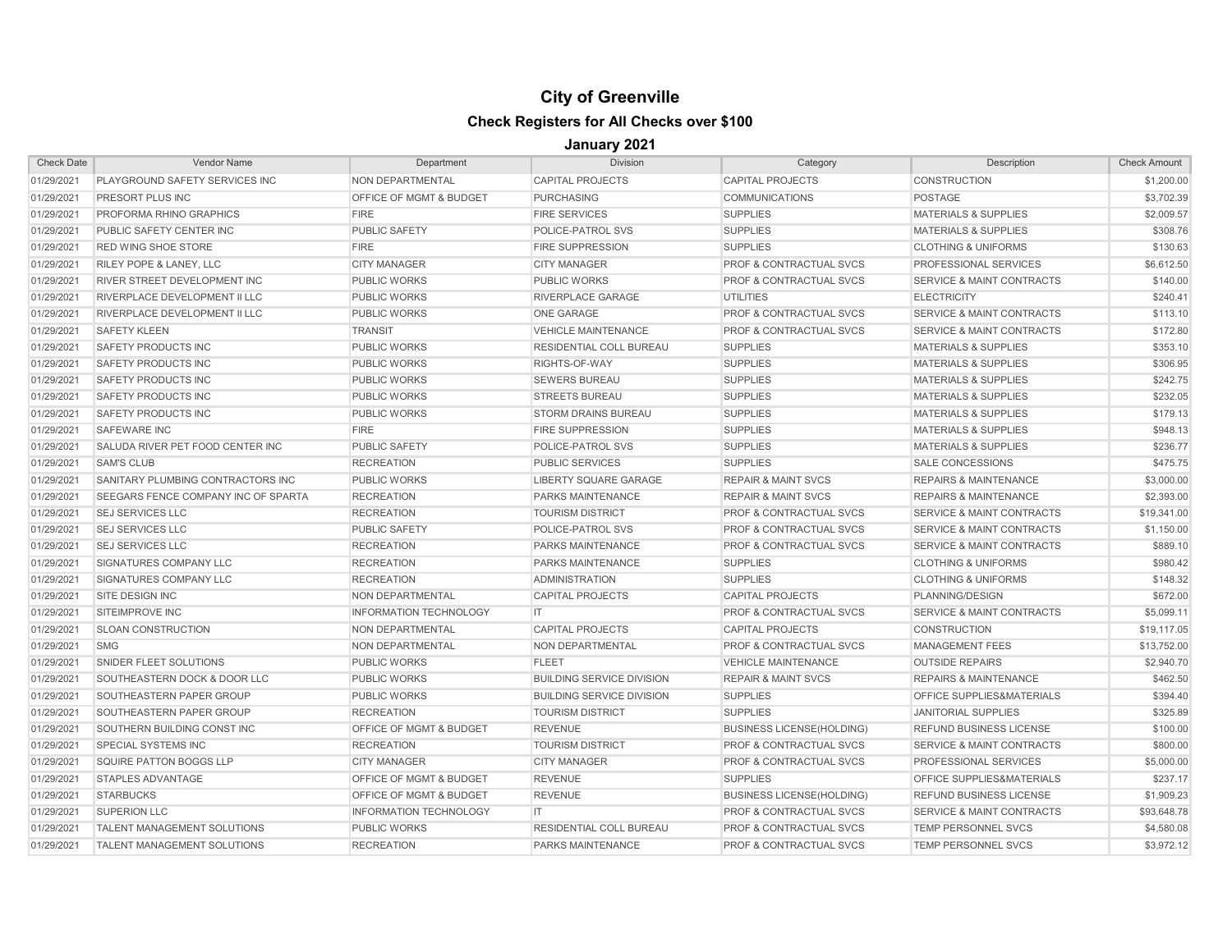| <b>Check Date</b> | <b>Vendor Name</b>                      | Department                         | <b>Division</b>                  | Category                           | Description                          | <b>Check Amount</b> |
|-------------------|-----------------------------------------|------------------------------------|----------------------------------|------------------------------------|--------------------------------------|---------------------|
| 01/29/2021        | <b>PLAYGROUND SAFETY SERVICES INC</b>   | <b>NON DEPARTMENTAL</b>            | <b>CAPITAL PROJECTS</b>          | <b>CAPITAL PROJECTS</b>            | <b>CONSTRUCTION</b>                  | \$1,200.00          |
| 01/29/2021        | <b>PRESORT PLUS INC</b>                 | OFFICE OF MGMT & BUDGET            | <b>PURCHASING</b>                | <b>COMMUNICATIONS</b>              | <b>POSTAGE</b>                       | \$3,702.39          |
| 01/29/2021        | PROFORMA RHINO GRAPHICS                 | <b>FIRE</b>                        | <b>FIRE SERVICES</b>             | <b>SUPPLIES</b>                    | <b>MATERIALS &amp; SUPPLIES</b>      | \$2,009.57          |
| 01/29/2021        | PUBLIC SAFETY CENTER INC                | <b>PUBLIC SAFETY</b>               | POLICE-PATROL SVS                | <b>SUPPLIES</b>                    | <b>MATERIALS &amp; SUPPLIES</b>      | \$308.76            |
| 01/29/2021        | <b>RED WING SHOE STORE</b>              | <b>FIRE</b>                        | <b>FIRE SUPPRESSION</b>          | <b>SUPPLIES</b>                    | <b>CLOTHING &amp; UNIFORMS</b>       | \$130.63            |
| 01/29/2021        | <b>RILEY POPE &amp; LANEY, LLC</b>      | <b>CITY MANAGER</b>                | <b>CITY MANAGER</b>              | <b>PROF &amp; CONTRACTUAL SVCS</b> | <b>PROFESSIONAL SERVICES</b>         | \$6,612.50          |
| 01/29/2021        | <b>RIVER STREET DEVELOPMENT INC</b>     | <b>PUBLIC WORKS</b>                | <b>PUBLIC WORKS</b>              | <b>PROF &amp; CONTRACTUAL SVCS</b> | <b>SERVICE &amp; MAINT CONTRACTS</b> | \$140.00            |
| 01/29/2021        | RIVERPLACE DEVELOPMENT II LLC           | <b>PUBLIC WORKS</b>                | <b>RIVERPLACE GARAGE</b>         | <b>UTILITIES</b>                   | <b>ELECTRICITY</b>                   | \$240.41            |
| 01/29/2021        | <b>RIVERPLACE DEVELOPMENT II LLC</b>    | <b>PUBLIC WORKS</b>                | <b>ONE GARAGE</b>                | <b>PROF &amp; CONTRACTUAL SVCS</b> | <b>SERVICE &amp; MAINT CONTRACTS</b> | \$113.10            |
| 01/29/2021        | <b>SAFETY KLEEN</b>                     | <b>TRANSIT</b>                     | <b>VEHICLE MAINTENANCE</b>       | PROF & CONTRACTUAL SVCS            | <b>SERVICE &amp; MAINT CONTRACTS</b> | \$172.80            |
| 01/29/2021        | <b>SAFETY PRODUCTS INC</b>              | <b>PUBLIC WORKS</b>                | RESIDENTIAL COLL BUREAU          | <b>SUPPLIES</b>                    | <b>MATERIALS &amp; SUPPLIES</b>      | \$353.10            |
| 01/29/2021        | <b>SAFETY PRODUCTS INC</b>              | <b>PUBLIC WORKS</b>                | RIGHTS-OF-WAY                    | <b>SUPPLIES</b>                    | <b>MATERIALS &amp; SUPPLIES</b>      | \$306.95            |
| 01/29/2021        | <b>SAFETY PRODUCTS INC</b>              | <b>PUBLIC WORKS</b>                | <b>SEWERS BUREAU</b>             | <b>SUPPLIES</b>                    | <b>MATERIALS &amp; SUPPLIES</b>      | \$242.75            |
| 01/29/2021        | <b>SAFETY PRODUCTS INC</b>              | <b>PUBLIC WORKS</b>                | <b>STREETS BUREAU</b>            | <b>SUPPLIES</b>                    | <b>MATERIALS &amp; SUPPLIES</b>      | \$232.05            |
| 01/29/2021        | <b>SAFETY PRODUCTS INC</b>              | <b>PUBLIC WORKS</b>                | <b>STORM DRAINS BUREAU</b>       | <b>SUPPLIES</b>                    | <b>MATERIALS &amp; SUPPLIES</b>      | \$179.13            |
| 01/29/2021        | <b>SAFEWARE INC</b>                     | <b>FIRE</b>                        | <b>FIRE SUPPRESSION</b>          | <b>SUPPLIES</b>                    | <b>MATERIALS &amp; SUPPLIES</b>      | \$948.13            |
| 01/29/2021        | SALUDA RIVER PET FOOD CENTER INC        | <b>PUBLIC SAFETY</b>               | POLICE-PATROL SVS                | <b>SUPPLIES</b>                    | <b>MATERIALS &amp; SUPPLIES</b>      | \$236.77            |
| 01/29/2021        | <b>SAM'S CLUB</b>                       | <b>RECREATION</b>                  | <b>PUBLIC SERVICES</b>           | <b>SUPPLIES</b>                    | <b>SALE CONCESSIONS</b>              | \$475.75            |
| 01/29/2021        | SANITARY PLUMBING CONTRACTORS INC       | <b>PUBLIC WORKS</b>                | <b>LIBERTY SQUARE GARAGE</b>     | <b>REPAIR &amp; MAINT SVCS</b>     | <b>REPAIRS &amp; MAINTENANCE</b>     | \$3,000.00          |
| 01/29/2021        | SEEGARS FENCE COMPANY INC OF SPARTA     | <b>RECREATION</b>                  | PARKS MAINTENANCE                | <b>REPAIR &amp; MAINT SVCS</b>     | <b>REPAIRS &amp; MAINTENANCE</b>     | \$2,393.00          |
| 01/29/2021        | <b>SEJ SERVICES LLC</b>                 | <b>RECREATION</b>                  | <b>TOURISM DISTRICT</b>          | <b>PROF &amp; CONTRACTUAL SVCS</b> | <b>SERVICE &amp; MAINT CONTRACTS</b> | \$19,341.00         |
| 01/29/2021        | <b>SEJ SERVICES LLC</b>                 | <b>PUBLIC SAFETY</b>               | POLICE-PATROL SVS                | <b>PROF &amp; CONTRACTUAL SVCS</b> | <b>SERVICE &amp; MAINT CONTRACTS</b> | \$1,150.00          |
| 01/29/2021        | <b>SEJ SERVICES LLC</b>                 | <b>RECREATION</b>                  | <b>PARKS MAINTENANCE</b>         | <b>PROF &amp; CONTRACTUAL SVCS</b> | <b>SERVICE &amp; MAINT CONTRACTS</b> | \$889.10            |
| 01/29/2021        | SIGNATURES COMPANY LLC                  | <b>RECREATION</b>                  | <b>PARKS MAINTENANCE</b>         | <b>SUPPLIES</b>                    | <b>CLOTHING &amp; UNIFORMS</b>       | \$980.42            |
| 01/29/2021        | <b>SIGNATURES COMPANY LLC</b>           | <b>RECREATION</b>                  | <b>ADMINISTRATION</b>            | <b>SUPPLIES</b>                    | <b>CLOTHING &amp; UNIFORMS</b>       | \$148.32            |
| 01/29/2021        | <b>SITE DESIGN INC</b>                  | <b>NON DEPARTMENTAL</b>            | <b>CAPITAL PROJECTS</b>          | <b>CAPITAL PROJECTS</b>            | PLANNING/DESIGN                      | \$672.00            |
| 01/29/2021        | SITEIMPROVE INC                         | <b>INFORMATION TECHNOLOGY</b>      | IT.                              | PROF & CONTRACTUAL SVCS            | <b>SERVICE &amp; MAINT CONTRACTS</b> | \$5,099.11          |
| 01/29/2021        | <b>SLOAN CONSTRUCTION</b>               | <b>NON DEPARTMENTAL</b>            | <b>CAPITAL PROJECTS</b>          | <b>CAPITAL PROJECTS</b>            | <b>CONSTRUCTION</b>                  | \$19,117.05         |
| 01/29/2021        | <b>SMG</b>                              | <b>NON DEPARTMENTAL</b>            | <b>NON DEPARTMENTAL</b>          | PROF & CONTRACTUAL SVCS            | <b>MANAGEMENT FEES</b>               | \$13,752.00         |
| 01/29/2021        | SNIDER FLEET SOLUTIONS                  | <b>PUBLIC WORKS</b>                | <b>FLEET</b>                     | <b>VEHICLE MAINTENANCE</b>         | <b>OUTSIDE REPAIRS</b>               | \$2,940.70          |
| 01/29/2021        | <b>SOUTHEASTERN DOCK &amp; DOOR LLC</b> | <b>PUBLIC WORKS</b>                | <b>BUILDING SERVICE DIVISION</b> | <b>REPAIR &amp; MAINT SVCS</b>     | <b>REPAIRS &amp; MAINTENANCE</b>     | \$462.50            |
| 01/29/2021        | SOUTHEASTERN PAPER GROUP                | <b>PUBLIC WORKS</b>                | <b>BUILDING SERVICE DIVISION</b> | <b>SUPPLIES</b>                    | <b>OFFICE SUPPLIES&amp;MATERIALS</b> | \$394.40            |
| 01/29/2021        | SOUTHEASTERN PAPER GROUP                | <b>RECREATION</b>                  | <b>TOURISM DISTRICT</b>          | <b>SUPPLIES</b>                    | <b>JANITORIAL SUPPLIES</b>           | \$325.89            |
| 01/29/2021        | SOUTHERN BUILDING CONST INC             | <b>OFFICE OF MGMT &amp; BUDGET</b> | <b>REVENUE</b>                   | <b>BUSINESS LICENSE(HOLDING)</b>   | <b>REFUND BUSINESS LICENSE</b>       | \$100.00            |
| 01/29/2021        | <b>SPECIAL SYSTEMS INC</b>              | <b>RECREATION</b>                  | <b>TOURISM DISTRICT</b>          | PROF & CONTRACTUAL SVCS            | <b>SERVICE &amp; MAINT CONTRACTS</b> | \$800.00            |
| 01/29/2021        | SQUIRE PATTON BOGGS LLP                 | <b>CITY MANAGER</b>                | <b>CITY MANAGER</b>              | <b>PROF &amp; CONTRACTUAL SVCS</b> | PROFESSIONAL SERVICES                | \$5,000.00          |
| 01/29/2021        | <b>STAPLES ADVANTAGE</b>                | OFFICE OF MGMT & BUDGET            | <b>REVENUE</b>                   | <b>SUPPLIES</b>                    | OFFICE SUPPLIES&MATERIALS            | \$237.17            |
| 01/29/2021        | <b>STARBUCKS</b>                        | <b>OFFICE OF MGMT &amp; BUDGET</b> | <b>REVENUE</b>                   | <b>BUSINESS LICENSE(HOLDING)</b>   | <b>REFUND BUSINESS LICENSE</b>       | \$1,909.23          |
| 01/29/2021        | <b>SUPERION LLC</b>                     | <b>INFORMATION TECHNOLOGY</b>      | IT                               | <b>PROF &amp; CONTRACTUAL SVCS</b> | SERVICE & MAINT CONTRACTS            | \$93,648.78         |
| 01/29/2021        | <b>TALENT MANAGEMENT SOLUTIONS</b>      | <b>PUBLIC WORKS</b>                | <b>RESIDENTIAL COLL BUREAU</b>   | <b>PROF &amp; CONTRACTUAL SVCS</b> | <b>TEMP PERSONNEL SVCS</b>           | \$4,580.08          |
| 01/29/2021        | <b>TALENT MANAGEMENT SOLUTIONS</b>      | <b>RECREATION</b>                  | PARKS MAINTENANCE                | <b>PROF &amp; CONTRACTUAL SVCS</b> | TEMP PERSONNEL SVCS                  | \$3,972.12          |